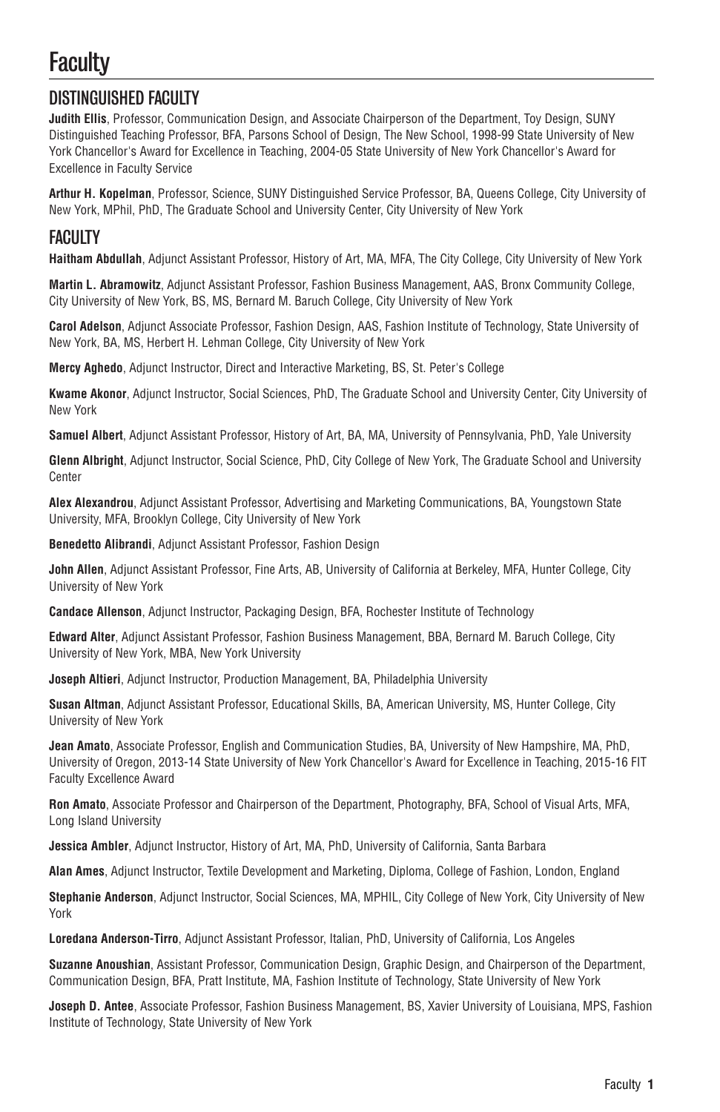## **Faculty**

## DISTINGUISHED FACULTY

**Judith Ellis**, Professor, Communication Design, and Associate Chairperson of the Department, Toy Design, SUNY Distinguished Teaching Professor, BFA, Parsons School of Design, The New School, 1998-99 State University of New York Chancellor's Award for Excellence in Teaching, 2004-05 State University of New York Chancellor's Award for Excellence in Faculty Service

**Arthur H. Kopelman**, Professor, Science, SUNY Distinguished Service Professor, BA, Queens College, City University of New York, MPhil, PhD, The Graduate School and University Center, City University of New York

## FACULTY

**Haitham Abdullah**, Adjunct Assistant Professor, History of Art, MA, MFA, The City College, City University of New York

**Martin L. Abramowitz**, Adjunct Assistant Professor, Fashion Business Management, AAS, Bronx Community College, City University of New York, BS, MS, Bernard M. Baruch College, City University of New York

**Carol Adelson**, Adjunct Associate Professor, Fashion Design, AAS, Fashion Institute of Technology, State University of New York, BA, MS, Herbert H. Lehman College, City University of New York

**Mercy Aghedo**, Adjunct Instructor, Direct and Interactive Marketing, BS, St. Peter's College

**Kwame Akonor**, Adjunct Instructor, Social Sciences, PhD, The Graduate School and University Center, City University of New York

**Samuel Albert**, Adjunct Assistant Professor, History of Art, BA, MA, University of Pennsylvania, PhD, Yale University

**Glenn Albright**, Adjunct Instructor, Social Science, PhD, City College of New York, The Graduate School and University Center

**Alex Alexandrou**, Adjunct Assistant Professor, Advertising and Marketing Communications, BA, Youngstown State University, MFA, Brooklyn College, City University of New York

**Benedetto Alibrandi**, Adjunct Assistant Professor, Fashion Design

**John Allen**, Adjunct Assistant Professor, Fine Arts, AB, University of California at Berkeley, MFA, Hunter College, City University of New York

**Candace Allenson**, Adjunct Instructor, Packaging Design, BFA, Rochester Institute of Technology

**Edward Alter**, Adjunct Assistant Professor, Fashion Business Management, BBA, Bernard M. Baruch College, City University of New York, MBA, New York University

**Joseph Altieri**, Adjunct Instructor, Production Management, BA, Philadelphia University

**Susan Altman**, Adjunct Assistant Professor, Educational Skills, BA, American University, MS, Hunter College, City University of New York

**Jean Amato**, Associate Professor, English and Communication Studies, BA, University of New Hampshire, MA, PhD, University of Oregon, 2013-14 State University of New York Chancellor's Award for Excellence in Teaching, 2015-16 FIT Faculty Excellence Award

**Ron Amato**, Associate Professor and Chairperson of the Department, Photography, BFA, School of Visual Arts, MFA, Long Island University

**Jessica Ambler**, Adjunct Instructor, History of Art, MA, PhD, University of California, Santa Barbara

**Alan Ames**, Adjunct Instructor, Textile Development and Marketing, Diploma, College of Fashion, London, England

**Stephanie Anderson**, Adjunct Instructor, Social Sciences, MA, MPHIL, City College of New York, City University of New York

**Loredana Anderson-Tirro**, Adjunct Assistant Professor, Italian, PhD, University of California, Los Angeles

**Suzanne Anoushian**, Assistant Professor, Communication Design, Graphic Design, and Chairperson of the Department, Communication Design, BFA, Pratt Institute, MA, Fashion Institute of Technology, State University of New York

**Joseph D. Antee**, Associate Professor, Fashion Business Management, BS, Xavier University of Louisiana, MPS, Fashion Institute of Technology, State University of New York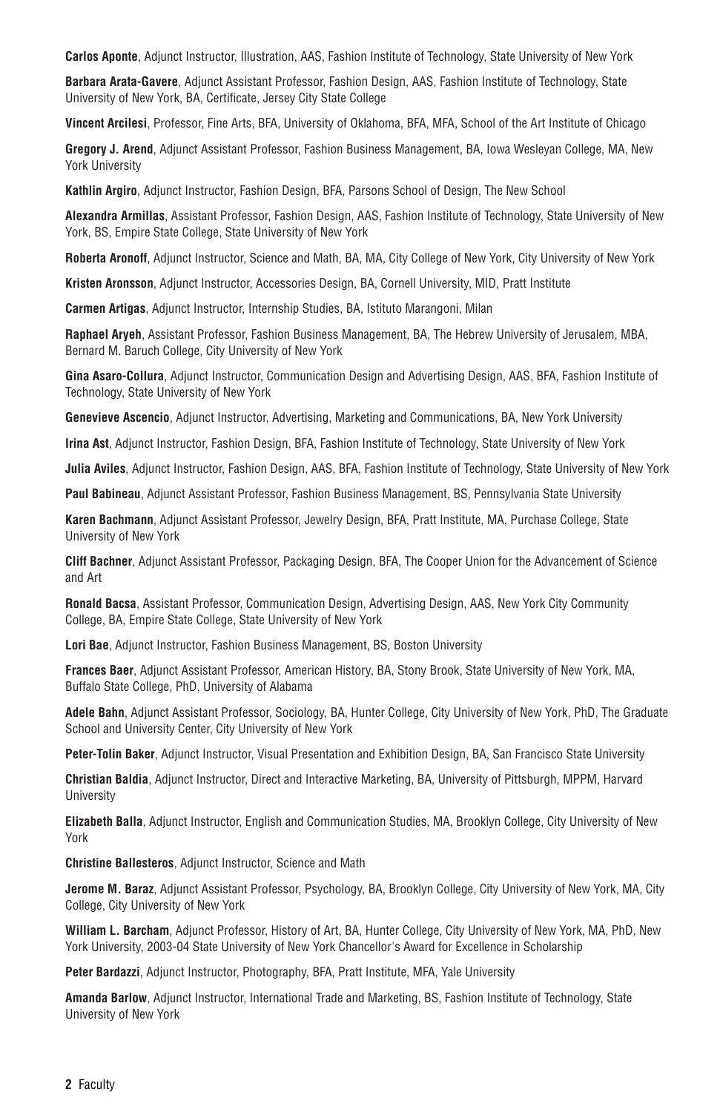**Carlos Aponte**, Adjunct Instructor, Illustration, AAS, Fashion Institute of Technology, State University of New York

**Barbara Arata-Gavere**, Adjunct Assistant Professor, Fashion Design, AAS, Fashion Institute of Technology, State University of New York, BA, Certificate, Jersey City State College

**Vincent Arcilesi**, Professor, Fine Arts, BFA, University of Oklahoma, BFA, MFA, School of the Art Institute of Chicago

**Gregory J. Arend**, Adjunct Assistant Professor, Fashion Business Management, BA, Iowa Wesleyan College, MA, New York University

**Kathlin Argiro**, Adjunct Instructor, Fashion Design, BFA, Parsons School of Design, The New School

**Alexandra Armillas**, Assistant Professor, Fashion Design, AAS, Fashion Institute of Technology, State University of New York, BS, Empire State College, State University of New York

**Roberta Aronoff**, Adjunct Instructor, Science and Math, BA, MA, City College of New York, City University of New York

**Kristen Aronsson**, Adjunct Instructor, Accessories Design, BA, Cornell University, MID, Pratt Institute

**Carmen Artigas**, Adjunct Instructor, Internship Studies, BA, Istituto Marangoni, Milan

**Raphael Aryeh**, Assistant Professor, Fashion Business Management, BA, The Hebrew University of Jerusalem, MBA, Bernard M. Baruch College, City University of New York

**Gina Asaro-Collura**, Adjunct Instructor, Communication Design and Advertising Design, AAS, BFA, Fashion Institute of Technology, State University of New York

**Genevieve Ascencio**, Adjunct Instructor, Advertising, Marketing and Communications, BA, New York University

**Irina Ast**, Adjunct Instructor, Fashion Design, BFA, Fashion Institute of Technology, State University of New York

**Julia Aviles**, Adjunct Instructor, Fashion Design, AAS, BFA, Fashion Institute of Technology, State University of New York

**Paul Babineau**, Adjunct Assistant Professor, Fashion Business Management, BS, Pennsylvania State University

**Karen Bachmann**, Adjunct Assistant Professor, Jewelry Design, BFA, Pratt Institute, MA, Purchase College, State University of New York

**Cliff Bachner**, Adjunct Assistant Professor, Packaging Design, BFA, The Cooper Union for the Advancement of Science and Art

**Ronald Bacsa**, Assistant Professor, Communication Design, Advertising Design, AAS, New York City Community College, BA, Empire State College, State University of New York

**Lori Bae**, Adjunct Instructor, Fashion Business Management, BS, Boston University

**Frances Baer**, Adjunct Assistant Professor, American History, BA, Stony Brook, State University of New York, MA, Buffalo State College, PhD, University of Alabama

**Adele Bahn**, Adjunct Assistant Professor, Sociology, BA, Hunter College, City University of New York, PhD, The Graduate School and University Center, City University of New York

**Peter-Tolin Baker**, Adjunct Instructor, Visual Presentation and Exhibition Design, BA, San Francisco State University

**Christian Baldia**, Adjunct Instructor, Direct and Interactive Marketing, BA, University of Pittsburgh, MPPM, Harvard **University** 

**Elizabeth Balla**, Adjunct Instructor, English and Communication Studies, MA, Brooklyn College, City University of New York

**Christine Ballesteros**, Adjunct Instructor, Science and Math

**Jerome M. Baraz**, Adjunct Assistant Professor, Psychology, BA, Brooklyn College, City University of New York, MA, City College, City University of New York

**William L. Barcham**, Adjunct Professor, History of Art, BA, Hunter College, City University of New York, MA, PhD, New York University, 2003-04 State University of New York Chancellor's Award for Excellence in Scholarship

**Peter Bardazzi**, Adjunct Instructor, Photography, BFA, Pratt Institute, MFA, Yale University

**Amanda Barlow**, Adjunct Instructor, International Trade and Marketing, BS, Fashion Institute of Technology, State University of New York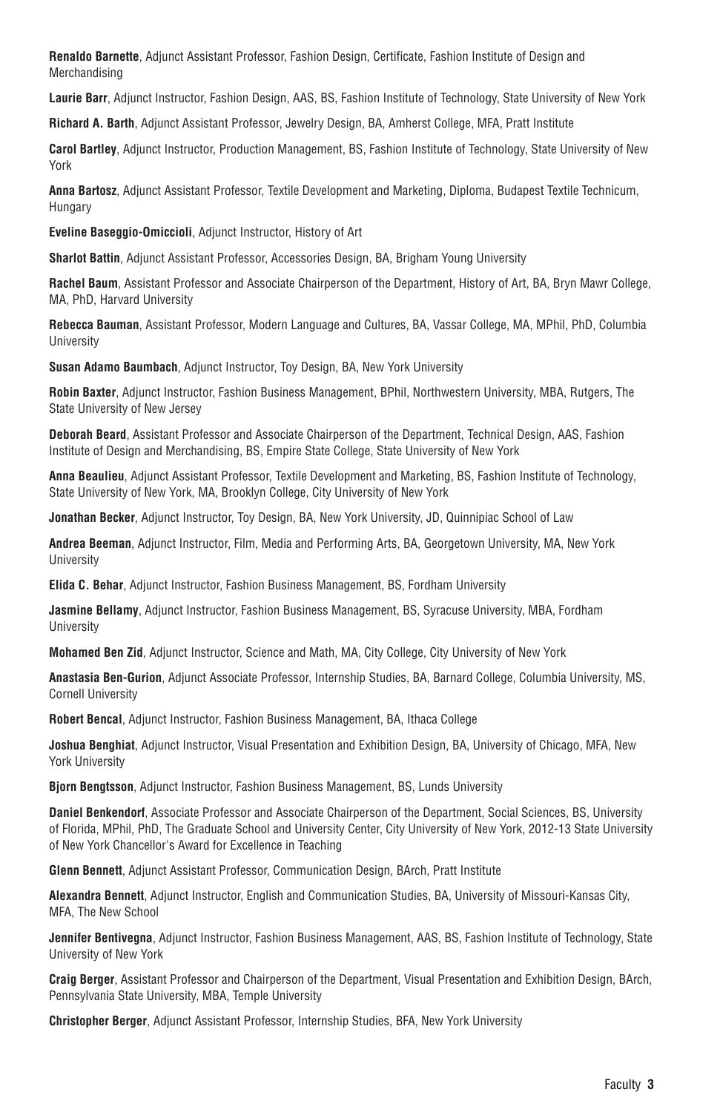**Renaldo Barnette**, Adjunct Assistant Professor, Fashion Design, Certificate, Fashion Institute of Design and Merchandising

**Laurie Barr**, Adjunct Instructor, Fashion Design, AAS, BS, Fashion Institute of Technology, State University of New York

**Richard A. Barth**, Adjunct Assistant Professor, Jewelry Design, BA, Amherst College, MFA, Pratt Institute

**Carol Bartley**, Adjunct Instructor, Production Management, BS, Fashion Institute of Technology, State University of New York

**Anna Bartosz**, Adjunct Assistant Professor, Textile Development and Marketing, Diploma, Budapest Textile Technicum, Hungary

**Eveline Baseggio-Omiccioli**, Adjunct Instructor, History of Art

**Sharlot Battin**, Adjunct Assistant Professor, Accessories Design, BA, Brigham Young University

**Rachel Baum**, Assistant Professor and Associate Chairperson of the Department, History of Art, BA, Bryn Mawr College, MA, PhD, Harvard University

**Rebecca Bauman**, Assistant Professor, Modern Language and Cultures, BA, Vassar College, MA, MPhil, PhD, Columbia University

**Susan Adamo Baumbach**, Adjunct Instructor, Toy Design, BA, New York University

**Robin Baxter**, Adjunct Instructor, Fashion Business Management, BPhil, Northwestern University, MBA, Rutgers, The State University of New Jersey

**Deborah Beard**, Assistant Professor and Associate Chairperson of the Department, Technical Design, AAS, Fashion Institute of Design and Merchandising, BS, Empire State College, State University of New York

**Anna Beaulieu**, Adjunct Assistant Professor, Textile Development and Marketing, BS, Fashion Institute of Technology, State University of New York, MA, Brooklyn College, City University of New York

**Jonathan Becker**, Adjunct Instructor, Toy Design, BA, New York University, JD, Quinnipiac School of Law

**Andrea Beeman**, Adjunct Instructor, Film, Media and Performing Arts, BA, Georgetown University, MA, New York **University** 

**Elida C. Behar**, Adjunct Instructor, Fashion Business Management, BS, Fordham University

**Jasmine Bellamy**, Adjunct Instructor, Fashion Business Management, BS, Syracuse University, MBA, Fordham University

**Mohamed Ben Zid**, Adjunct Instructor, Science and Math, MA, City College, City University of New York

**Anastasia Ben-Gurion**, Adjunct Associate Professor, Internship Studies, BA, Barnard College, Columbia University, MS, Cornell University

**Robert Bencal**, Adjunct Instructor, Fashion Business Management, BA, Ithaca College

**Joshua Benghiat**, Adjunct Instructor, Visual Presentation and Exhibition Design, BA, University of Chicago, MFA, New York University

**Bjorn Bengtsson**, Adjunct Instructor, Fashion Business Management, BS, Lunds University

**Daniel Benkendorf**, Associate Professor and Associate Chairperson of the Department, Social Sciences, BS, University of Florida, MPhil, PhD, The Graduate School and University Center, City University of New York, 2012-13 State University of New York Chancellor's Award for Excellence in Teaching

**Glenn Bennett**, Adjunct Assistant Professor, Communication Design, BArch, Pratt Institute

**Alexandra Bennett**, Adjunct Instructor, English and Communication Studies, BA, University of Missouri-Kansas City, MFA, The New School

**Jennifer Bentivegna**, Adjunct Instructor, Fashion Business Management, AAS, BS, Fashion Institute of Technology, State University of New York

**Craig Berger**, Assistant Professor and Chairperson of the Department, Visual Presentation and Exhibition Design, BArch, Pennsylvania State University, MBA, Temple University

**Christopher Berger**, Adjunct Assistant Professor, Internship Studies, BFA, New York University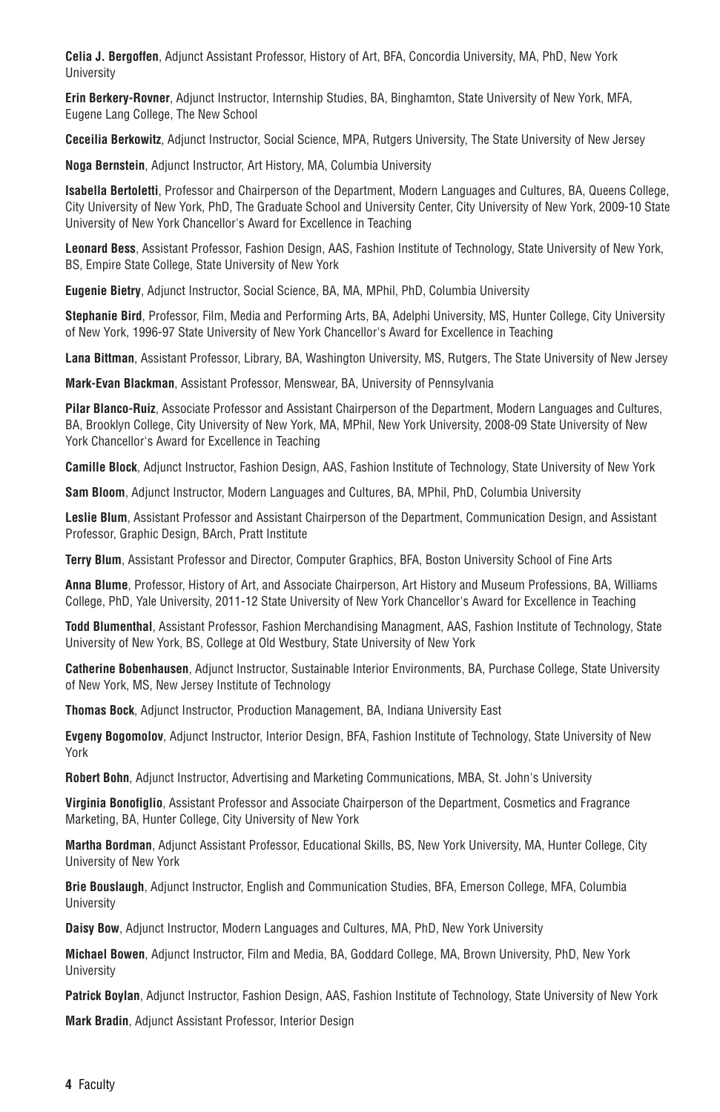**Celia J. Bergoffen**, Adjunct Assistant Professor, History of Art, BFA, Concordia University, MA, PhD, New York University

**Erin Berkery-Rovner**, Adjunct Instructor, Internship Studies, BA, Binghamton, State University of New York, MFA, Eugene Lang College, The New School

**Ceceilia Berkowitz**, Adjunct Instructor, Social Science, MPA, Rutgers University, The State University of New Jersey

**Noga Bernstein**, Adjunct Instructor, Art History, MA, Columbia University

**Isabella Bertoletti**, Professor and Chairperson of the Department, Modern Languages and Cultures, BA, Queens College, City University of New York, PhD, The Graduate School and University Center, City University of New York, 2009-10 State University of New York Chancellor's Award for Excellence in Teaching

**Leonard Bess**, Assistant Professor, Fashion Design, AAS, Fashion Institute of Technology, State University of New York, BS, Empire State College, State University of New York

**Eugenie Bietry**, Adjunct Instructor, Social Science, BA, MA, MPhil, PhD, Columbia University

**Stephanie Bird**, Professor, Film, Media and Performing Arts, BA, Adelphi University, MS, Hunter College, City University of New York, 1996-97 State University of New York Chancellor's Award for Excellence in Teaching

**Lana Bittman**, Assistant Professor, Library, BA, Washington University, MS, Rutgers, The State University of New Jersey

**Mark-Evan Blackman**, Assistant Professor, Menswear, BA, University of Pennsylvania

**Pilar Blanco-Ruiz**, Associate Professor and Assistant Chairperson of the Department, Modern Languages and Cultures, BA, Brooklyn College, City University of New York, MA, MPhil, New York University, 2008-09 State University of New York Chancellor's Award for Excellence in Teaching

**Camille Block**, Adjunct Instructor, Fashion Design, AAS, Fashion Institute of Technology, State University of New York

**Sam Bloom**, Adjunct Instructor, Modern Languages and Cultures, BA, MPhil, PhD, Columbia University

**Leslie Blum**, Assistant Professor and Assistant Chairperson of the Department, Communication Design, and Assistant Professor, Graphic Design, BArch, Pratt Institute

**Terry Blum**, Assistant Professor and Director, Computer Graphics, BFA, Boston University School of Fine Arts

**Anna Blume**, Professor, History of Art, and Associate Chairperson, Art History and Museum Professions, BA, Williams College, PhD, Yale University, 2011-12 State University of New York Chancellor's Award for Excellence in Teaching

**Todd Blumenthal**, Assistant Professor, Fashion Merchandising Managment, AAS, Fashion Institute of Technology, State University of New York, BS, College at Old Westbury, State University of New York

**Catherine Bobenhausen**, Adjunct Instructor, Sustainable Interior Environments, BA, Purchase College, State University of New York, MS, New Jersey Institute of Technology

**Thomas Bock**, Adjunct Instructor, Production Management, BA, Indiana University East

**Evgeny Bogomolov**, Adjunct Instructor, Interior Design, BFA, Fashion Institute of Technology, State University of New York

**Robert Bohn**, Adjunct Instructor, Advertising and Marketing Communications, MBA, St. John's University

**Virginia Bonofiglio**, Assistant Professor and Associate Chairperson of the Department, Cosmetics and Fragrance Marketing, BA, Hunter College, City University of New York

**Martha Bordman**, Adjunct Assistant Professor, Educational Skills, BS, New York University, MA, Hunter College, City University of New York

**Brie Bouslaugh**, Adjunct Instructor, English and Communication Studies, BFA, Emerson College, MFA, Columbia **University** 

**Daisy Bow**, Adjunct Instructor, Modern Languages and Cultures, MA, PhD, New York University

**Michael Bowen**, Adjunct Instructor, Film and Media, BA, Goddard College, MA, Brown University, PhD, New York **University** 

**Patrick Boylan**, Adjunct Instructor, Fashion Design, AAS, Fashion Institute of Technology, State University of New York

**Mark Bradin**, Adjunct Assistant Professor, Interior Design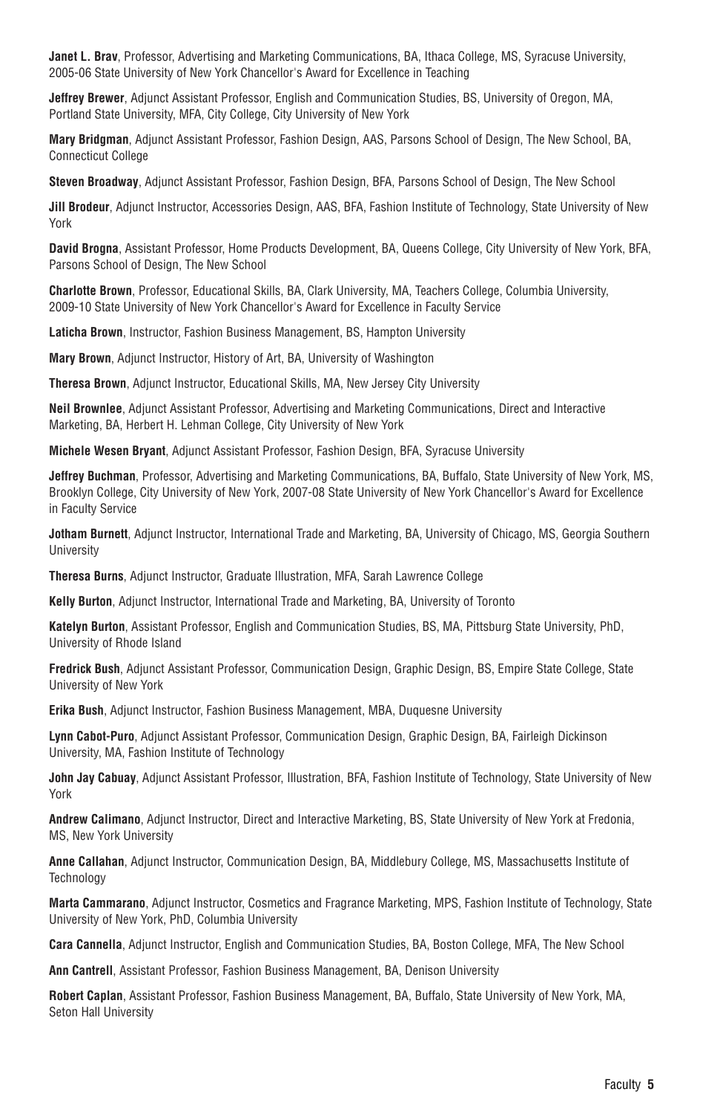**Janet L. Brav**, Professor, Advertising and Marketing Communications, BA, Ithaca College, MS, Syracuse University, 2005-06 State University of New York Chancellor's Award for Excellence in Teaching

**Jeffrey Brewer**, Adjunct Assistant Professor, English and Communication Studies, BS, University of Oregon, MA, Portland State University, MFA, City College, City University of New York

**Mary Bridgman**, Adjunct Assistant Professor, Fashion Design, AAS, Parsons School of Design, The New School, BA, Connecticut College

**Steven Broadway**, Adjunct Assistant Professor, Fashion Design, BFA, Parsons School of Design, The New School

**Jill Brodeur**, Adjunct Instructor, Accessories Design, AAS, BFA, Fashion Institute of Technology, State University of New York

**David Brogna**, Assistant Professor, Home Products Development, BA, Queens College, City University of New York, BFA, Parsons School of Design, The New School

**Charlotte Brown**, Professor, Educational Skills, BA, Clark University, MA, Teachers College, Columbia University, 2009-10 State University of New York Chancellor's Award for Excellence in Faculty Service

**Laticha Brown**, Instructor, Fashion Business Management, BS, Hampton University

**Mary Brown**, Adjunct Instructor, History of Art, BA, University of Washington

**Theresa Brown**, Adjunct Instructor, Educational Skills, MA, New Jersey City University

**Neil Brownlee**, Adjunct Assistant Professor, Advertising and Marketing Communications, Direct and Interactive Marketing, BA, Herbert H. Lehman College, City University of New York

**Michele Wesen Bryant**, Adjunct Assistant Professor, Fashion Design, BFA, Syracuse University

**Jeffrey Buchman**, Professor, Advertising and Marketing Communications, BA, Buffalo, State University of New York, MS, Brooklyn College, City University of New York, 2007-08 State University of New York Chancellor's Award for Excellence in Faculty Service

**Jotham Burnett**, Adjunct Instructor, International Trade and Marketing, BA, University of Chicago, MS, Georgia Southern **University** 

**Theresa Burns**, Adjunct Instructor, Graduate Illustration, MFA, Sarah Lawrence College

**Kelly Burton**, Adjunct Instructor, International Trade and Marketing, BA, University of Toronto

**Katelyn Burton**, Assistant Professor, English and Communication Studies, BS, MA, Pittsburg State University, PhD, University of Rhode Island

**Fredrick Bush**, Adjunct Assistant Professor, Communication Design, Graphic Design, BS, Empire State College, State University of New York

**Erika Bush**, Adjunct Instructor, Fashion Business Management, MBA, Duquesne University

**Lynn Cabot-Puro**, Adjunct Assistant Professor, Communication Design, Graphic Design, BA, Fairleigh Dickinson University, MA, Fashion Institute of Technology

**John Jay Cabuay**, Adjunct Assistant Professor, Illustration, BFA, Fashion Institute of Technology, State University of New York

**Andrew Calimano**, Adjunct Instructor, Direct and Interactive Marketing, BS, State University of New York at Fredonia, MS, New York University

**Anne Callahan**, Adjunct Instructor, Communication Design, BA, Middlebury College, MS, Massachusetts Institute of **Technology** 

**Marta Cammarano**, Adjunct Instructor, Cosmetics and Fragrance Marketing, MPS, Fashion Institute of Technology, State University of New York, PhD, Columbia University

**Cara Cannella**, Adjunct Instructor, English and Communication Studies, BA, Boston College, MFA, The New School

**Ann Cantrell**, Assistant Professor, Fashion Business Management, BA, Denison University

**Robert Caplan**, Assistant Professor, Fashion Business Management, BA, Buffalo, State University of New York, MA, Seton Hall University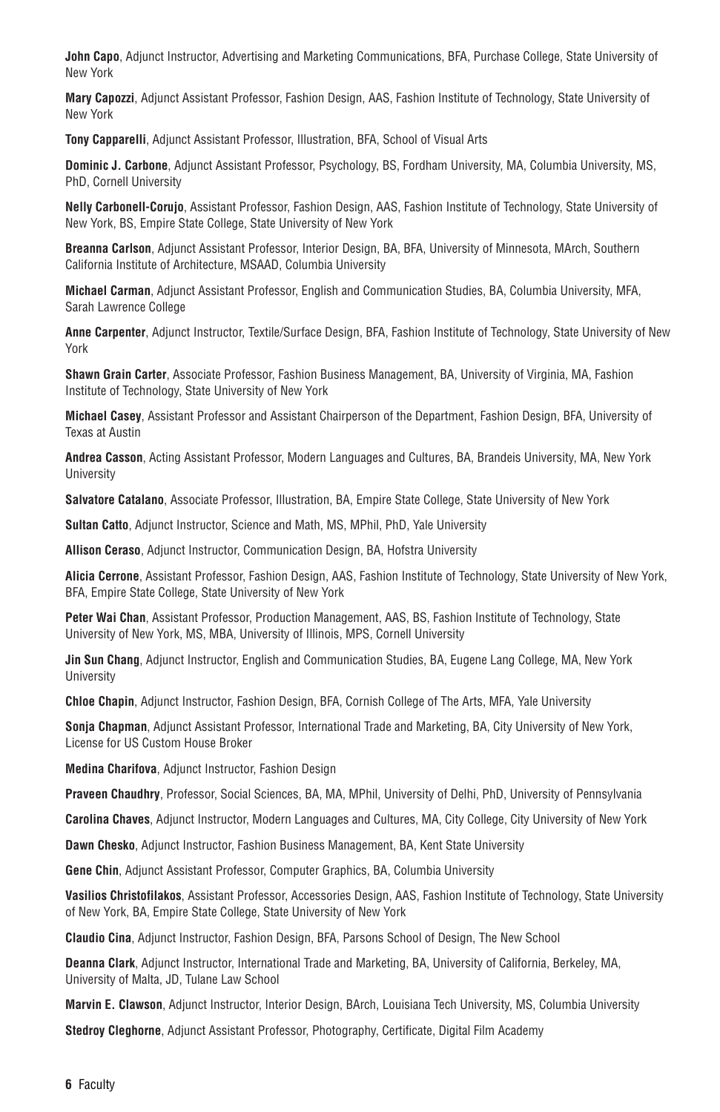**John Capo**, Adjunct Instructor, Advertising and Marketing Communications, BFA, Purchase College, State University of New York

**Mary Capozzi**, Adjunct Assistant Professor, Fashion Design, AAS, Fashion Institute of Technology, State University of New York

**Tony Capparelli**, Adjunct Assistant Professor, Illustration, BFA, School of Visual Arts

**Dominic J. Carbone**, Adjunct Assistant Professor, Psychology, BS, Fordham University, MA, Columbia University, MS, PhD, Cornell University

**Nelly Carbonell-Corujo**, Assistant Professor, Fashion Design, AAS, Fashion Institute of Technology, State University of New York, BS, Empire State College, State University of New York

**Breanna Carlson**, Adjunct Assistant Professor, Interior Design, BA, BFA, University of Minnesota, MArch, Southern California Institute of Architecture, MSAAD, Columbia University

**Michael Carman**, Adjunct Assistant Professor, English and Communication Studies, BA, Columbia University, MFA, Sarah Lawrence College

**Anne Carpenter**, Adjunct Instructor, Textile/Surface Design, BFA, Fashion Institute of Technology, State University of New York

**Shawn Grain Carter**, Associate Professor, Fashion Business Management, BA, University of Virginia, MA, Fashion Institute of Technology, State University of New York

**Michael Casey**, Assistant Professor and Assistant Chairperson of the Department, Fashion Design, BFA, University of Texas at Austin

**Andrea Casson**, Acting Assistant Professor, Modern Languages and Cultures, BA, Brandeis University, MA, New York University

**Salvatore Catalano**, Associate Professor, Illustration, BA, Empire State College, State University of New York

**Sultan Catto**, Adjunct Instructor, Science and Math, MS, MPhil, PhD, Yale University

**Allison Ceraso**, Adjunct Instructor, Communication Design, BA, Hofstra University

**Alicia Cerrone**, Assistant Professor, Fashion Design, AAS, Fashion Institute of Technology, State University of New York, BFA, Empire State College, State University of New York

**Peter Wai Chan**, Assistant Professor, Production Management, AAS, BS, Fashion Institute of Technology, State University of New York, MS, MBA, University of Illinois, MPS, Cornell University

**Jin Sun Chang**, Adjunct Instructor, English and Communication Studies, BA, Eugene Lang College, MA, New York University

**Chloe Chapin**, Adjunct Instructor, Fashion Design, BFA, Cornish College of The Arts, MFA, Yale University

**Sonja Chapman**, Adjunct Assistant Professor, International Trade and Marketing, BA, City University of New York, License for US Custom House Broker

**Medina Charifova**, Adjunct Instructor, Fashion Design

**Praveen Chaudhry**, Professor, Social Sciences, BA, MA, MPhil, University of Delhi, PhD, University of Pennsylvania

**Carolina Chaves**, Adjunct Instructor, Modern Languages and Cultures, MA, City College, City University of New York

**Dawn Chesko**, Adjunct Instructor, Fashion Business Management, BA, Kent State University

**Gene Chin**, Adjunct Assistant Professor, Computer Graphics, BA, Columbia University

**Vasilios Christofilakos**, Assistant Professor, Accessories Design, AAS, Fashion Institute of Technology, State University of New York, BA, Empire State College, State University of New York

**Claudio Cina**, Adjunct Instructor, Fashion Design, BFA, Parsons School of Design, The New School

**Deanna Clark**, Adjunct Instructor, International Trade and Marketing, BA, University of California, Berkeley, MA, University of Malta, JD, Tulane Law School

**Marvin E. Clawson**, Adjunct Instructor, Interior Design, BArch, Louisiana Tech University, MS, Columbia University

**Stedroy Cleghorne**, Adjunct Assistant Professor, Photography, Certificate, Digital Film Academy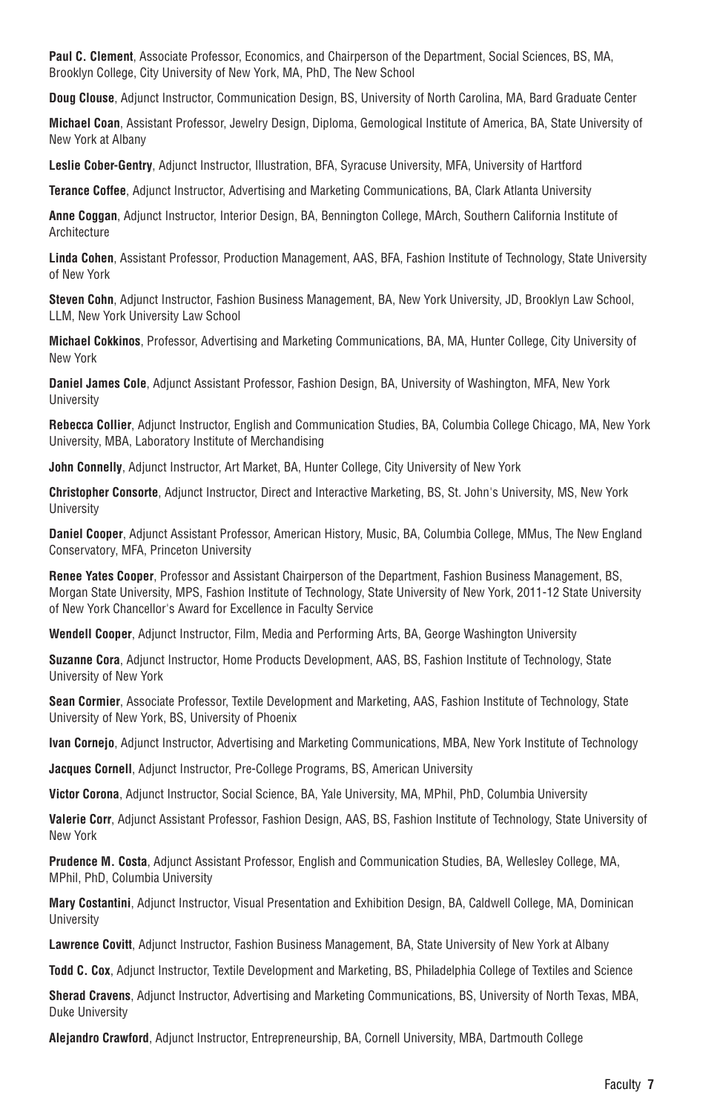**Paul C. Clement**, Associate Professor, Economics, and Chairperson of the Department, Social Sciences, BS, MA, Brooklyn College, City University of New York, MA, PhD, The New School

**Doug Clouse**, Adjunct Instructor, Communication Design, BS, University of North Carolina, MA, Bard Graduate Center

**Michael Coan**, Assistant Professor, Jewelry Design, Diploma, Gemological Institute of America, BA, State University of New York at Albany

**Leslie Cober-Gentry**, Adjunct Instructor, Illustration, BFA, Syracuse University, MFA, University of Hartford

**Terance Coffee**, Adjunct Instructor, Advertising and Marketing Communications, BA, Clark Atlanta University

**Anne Coggan**, Adjunct Instructor, Interior Design, BA, Bennington College, MArch, Southern California Institute of Architecture

**Linda Cohen**, Assistant Professor, Production Management, AAS, BFA, Fashion Institute of Technology, State University of New York

**Steven Cohn**, Adjunct Instructor, Fashion Business Management, BA, New York University, JD, Brooklyn Law School, LLM, New York University Law School

**Michael Cokkinos**, Professor, Advertising and Marketing Communications, BA, MA, Hunter College, City University of New York

**Daniel James Cole**, Adjunct Assistant Professor, Fashion Design, BA, University of Washington, MFA, New York **University** 

**Rebecca Collier**, Adjunct Instructor, English and Communication Studies, BA, Columbia College Chicago, MA, New York University, MBA, Laboratory Institute of Merchandising

**John Connelly**, Adjunct Instructor, Art Market, BA, Hunter College, City University of New York

**Christopher Consorte**, Adjunct Instructor, Direct and Interactive Marketing, BS, St. John's University, MS, New York **University** 

**Daniel Cooper**, Adjunct Assistant Professor, American History, Music, BA, Columbia College, MMus, The New England Conservatory, MFA, Princeton University

**Renee Yates Cooper**, Professor and Assistant Chairperson of the Department, Fashion Business Management, BS, Morgan State University, MPS, Fashion Institute of Technology, State University of New York, 2011-12 State University of New York Chancellor's Award for Excellence in Faculty Service

**Wendell Cooper**, Adjunct Instructor, Film, Media and Performing Arts, BA, George Washington University

**Suzanne Cora**, Adjunct Instructor, Home Products Development, AAS, BS, Fashion Institute of Technology, State University of New York

**Sean Cormier**, Associate Professor, Textile Development and Marketing, AAS, Fashion Institute of Technology, State University of New York, BS, University of Phoenix

**Ivan Cornejo**, Adjunct Instructor, Advertising and Marketing Communications, MBA, New York Institute of Technology

**Jacques Cornell**, Adjunct Instructor, Pre-College Programs, BS, American University

**Victor Corona**, Adjunct Instructor, Social Science, BA, Yale University, MA, MPhil, PhD, Columbia University

**Valerie Corr**, Adjunct Assistant Professor, Fashion Design, AAS, BS, Fashion Institute of Technology, State University of New York

**Prudence M. Costa**, Adjunct Assistant Professor, English and Communication Studies, BA, Wellesley College, MA, MPhil, PhD, Columbia University

**Mary Costantini**, Adjunct Instructor, Visual Presentation and Exhibition Design, BA, Caldwell College, MA, Dominican **University** 

**Lawrence Covitt**, Adjunct Instructor, Fashion Business Management, BA, State University of New York at Albany

**Todd C. Cox**, Adjunct Instructor, Textile Development and Marketing, BS, Philadelphia College of Textiles and Science

**Sherad Cravens**, Adjunct Instructor, Advertising and Marketing Communications, BS, University of North Texas, MBA, Duke University

**Alejandro Crawford**, Adjunct Instructor, Entrepreneurship, BA, Cornell University, MBA, Dartmouth College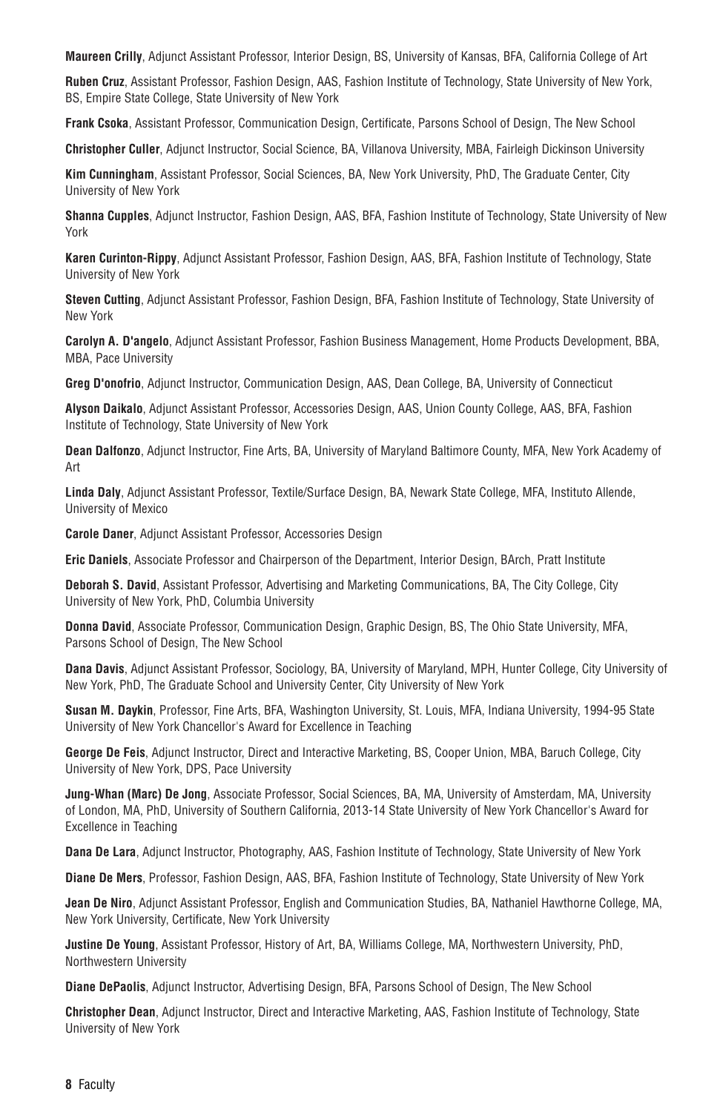**Maureen Crilly**, Adjunct Assistant Professor, Interior Design, BS, University of Kansas, BFA, California College of Art

**Ruben Cruz**, Assistant Professor, Fashion Design, AAS, Fashion Institute of Technology, State University of New York, BS, Empire State College, State University of New York

**Frank Csoka**, Assistant Professor, Communication Design, Certificate, Parsons School of Design, The New School

**Christopher Culler**, Adjunct Instructor, Social Science, BA, Villanova University, MBA, Fairleigh Dickinson University

**Kim Cunningham**, Assistant Professor, Social Sciences, BA, New York University, PhD, The Graduate Center, City University of New York

**Shanna Cupples**, Adjunct Instructor, Fashion Design, AAS, BFA, Fashion Institute of Technology, State University of New York

**Karen Curinton-Rippy**, Adjunct Assistant Professor, Fashion Design, AAS, BFA, Fashion Institute of Technology, State University of New York

**Steven Cutting**, Adjunct Assistant Professor, Fashion Design, BFA, Fashion Institute of Technology, State University of New York

**Carolyn A. D'angelo**, Adjunct Assistant Professor, Fashion Business Management, Home Products Development, BBA, MBA, Pace University

**Greg D'onofrio**, Adjunct Instructor, Communication Design, AAS, Dean College, BA, University of Connecticut

**Alyson Daikalo**, Adjunct Assistant Professor, Accessories Design, AAS, Union County College, AAS, BFA, Fashion Institute of Technology, State University of New York

**Dean Dalfonzo**, Adjunct Instructor, Fine Arts, BA, University of Maryland Baltimore County, MFA, New York Academy of Art

**Linda Daly**, Adjunct Assistant Professor, Textile/Surface Design, BA, Newark State College, MFA, Instituto Allende, University of Mexico

**Carole Daner**, Adjunct Assistant Professor, Accessories Design

**Eric Daniels**, Associate Professor and Chairperson of the Department, Interior Design, BArch, Pratt Institute

**Deborah S. David**, Assistant Professor, Advertising and Marketing Communications, BA, The City College, City University of New York, PhD, Columbia University

**Donna David**, Associate Professor, Communication Design, Graphic Design, BS, The Ohio State University, MFA, Parsons School of Design, The New School

**Dana Davis**, Adjunct Assistant Professor, Sociology, BA, University of Maryland, MPH, Hunter College, City University of New York, PhD, The Graduate School and University Center, City University of New York

**Susan M. Daykin**, Professor, Fine Arts, BFA, Washington University, St. Louis, MFA, Indiana University, 1994-95 State University of New York Chancellor's Award for Excellence in Teaching

**George De Feis**, Adjunct Instructor, Direct and Interactive Marketing, BS, Cooper Union, MBA, Baruch College, City University of New York, DPS, Pace University

**Jung-Whan (Marc) De Jong**, Associate Professor, Social Sciences, BA, MA, University of Amsterdam, MA, University of London, MA, PhD, University of Southern California, 2013-14 State University of New York Chancellor's Award for Excellence in Teaching

**Dana De Lara**, Adjunct Instructor, Photography, AAS, Fashion Institute of Technology, State University of New York

**Diane De Mers**, Professor, Fashion Design, AAS, BFA, Fashion Institute of Technology, State University of New York

**Jean De Niro**, Adjunct Assistant Professor, English and Communication Studies, BA, Nathaniel Hawthorne College, MA, New York University, Certificate, New York University

**Justine De Young**, Assistant Professor, History of Art, BA, Williams College, MA, Northwestern University, PhD, Northwestern University

**Diane DePaolis**, Adjunct Instructor, Advertising Design, BFA, Parsons School of Design, The New School

**Christopher Dean**, Adjunct Instructor, Direct and Interactive Marketing, AAS, Fashion Institute of Technology, State University of New York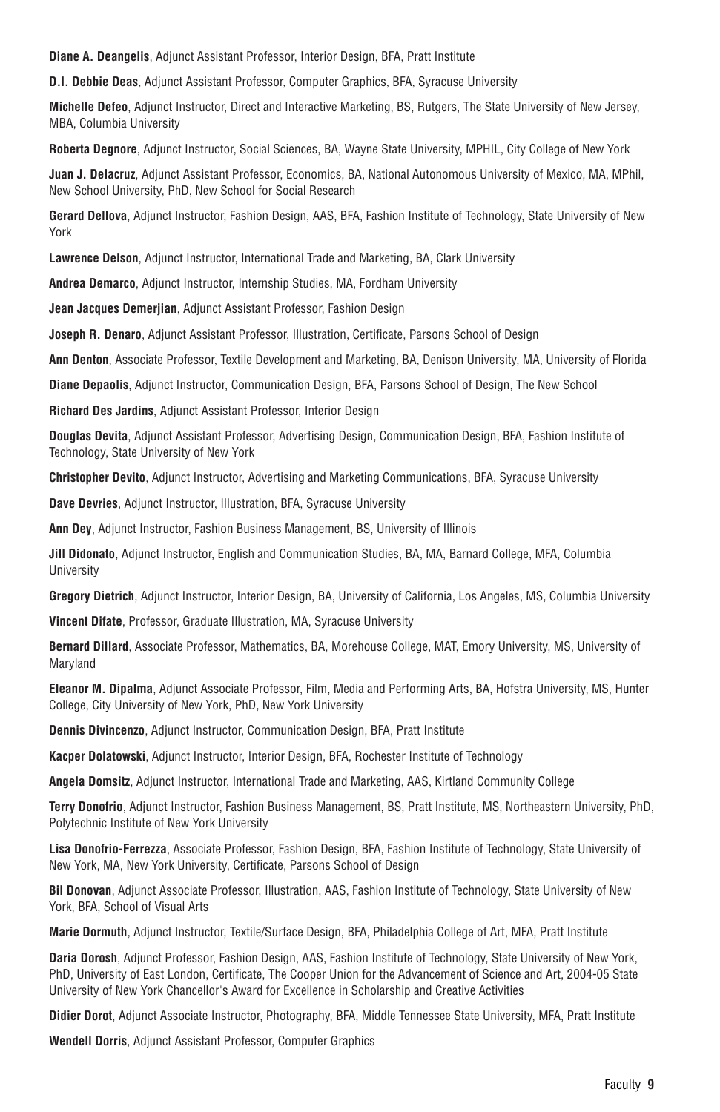**Diane A. Deangelis**, Adjunct Assistant Professor, Interior Design, BFA, Pratt Institute

**D.l. Debbie Deas**, Adjunct Assistant Professor, Computer Graphics, BFA, Syracuse University

**Michelle Defeo**, Adjunct Instructor, Direct and Interactive Marketing, BS, Rutgers, The State University of New Jersey, MBA, Columbia University

**Roberta Degnore**, Adjunct Instructor, Social Sciences, BA, Wayne State University, MPHIL, City College of New York

**Juan J. Delacruz**, Adjunct Assistant Professor, Economics, BA, National Autonomous University of Mexico, MA, MPhil, New School University, PhD, New School for Social Research

**Gerard Dellova**, Adjunct Instructor, Fashion Design, AAS, BFA, Fashion Institute of Technology, State University of New York

**Lawrence Delson**, Adjunct Instructor, International Trade and Marketing, BA, Clark University

**Andrea Demarco**, Adjunct Instructor, Internship Studies, MA, Fordham University

**Jean Jacques Demerjian**, Adjunct Assistant Professor, Fashion Design

**Joseph R. Denaro**, Adjunct Assistant Professor, Illustration, Certificate, Parsons School of Design

**Ann Denton**, Associate Professor, Textile Development and Marketing, BA, Denison University, MA, University of Florida

**Diane Depaolis**, Adjunct Instructor, Communication Design, BFA, Parsons School of Design, The New School

**Richard Des Jardins**, Adjunct Assistant Professor, Interior Design

**Douglas Devita**, Adjunct Assistant Professor, Advertising Design, Communication Design, BFA, Fashion Institute of Technology, State University of New York

**Christopher Devito**, Adjunct Instructor, Advertising and Marketing Communications, BFA, Syracuse University

**Dave Devries**, Adjunct Instructor, Illustration, BFA, Syracuse University

**Ann Dey**, Adjunct Instructor, Fashion Business Management, BS, University of Illinois

**Jill Didonato**, Adjunct Instructor, English and Communication Studies, BA, MA, Barnard College, MFA, Columbia **University** 

**Gregory Dietrich**, Adjunct Instructor, Interior Design, BA, University of California, Los Angeles, MS, Columbia University

**Vincent Difate**, Professor, Graduate Illustration, MA, Syracuse University

**Bernard Dillard**, Associate Professor, Mathematics, BA, Morehouse College, MAT, Emory University, MS, University of Maryland

**Eleanor M. Dipalma**, Adjunct Associate Professor, Film, Media and Performing Arts, BA, Hofstra University, MS, Hunter College, City University of New York, PhD, New York University

**Dennis Divincenzo**, Adjunct Instructor, Communication Design, BFA, Pratt Institute

**Kacper Dolatowski**, Adjunct Instructor, Interior Design, BFA, Rochester Institute of Technology

**Angela Domsitz**, Adjunct Instructor, International Trade and Marketing, AAS, Kirtland Community College

**Terry Donofrio**, Adjunct Instructor, Fashion Business Management, BS, Pratt Institute, MS, Northeastern University, PhD, Polytechnic Institute of New York University

**Lisa Donofrio-Ferrezza**, Associate Professor, Fashion Design, BFA, Fashion Institute of Technology, State University of New York, MA, New York University, Certificate, Parsons School of Design

**Bil Donovan**, Adjunct Associate Professor, Illustration, AAS, Fashion Institute of Technology, State University of New York, BFA, School of Visual Arts

**Marie Dormuth**, Adjunct Instructor, Textile/Surface Design, BFA, Philadelphia College of Art, MFA, Pratt Institute

**Daria Dorosh**, Adjunct Professor, Fashion Design, AAS, Fashion Institute of Technology, State University of New York, PhD, University of East London, Certificate, The Cooper Union for the Advancement of Science and Art, 2004-05 State University of New York Chancellor's Award for Excellence in Scholarship and Creative Activities

**Didier Dorot**, Adjunct Associate Instructor, Photography, BFA, Middle Tennessee State University, MFA, Pratt Institute

**Wendell Dorris**, Adjunct Assistant Professor, Computer Graphics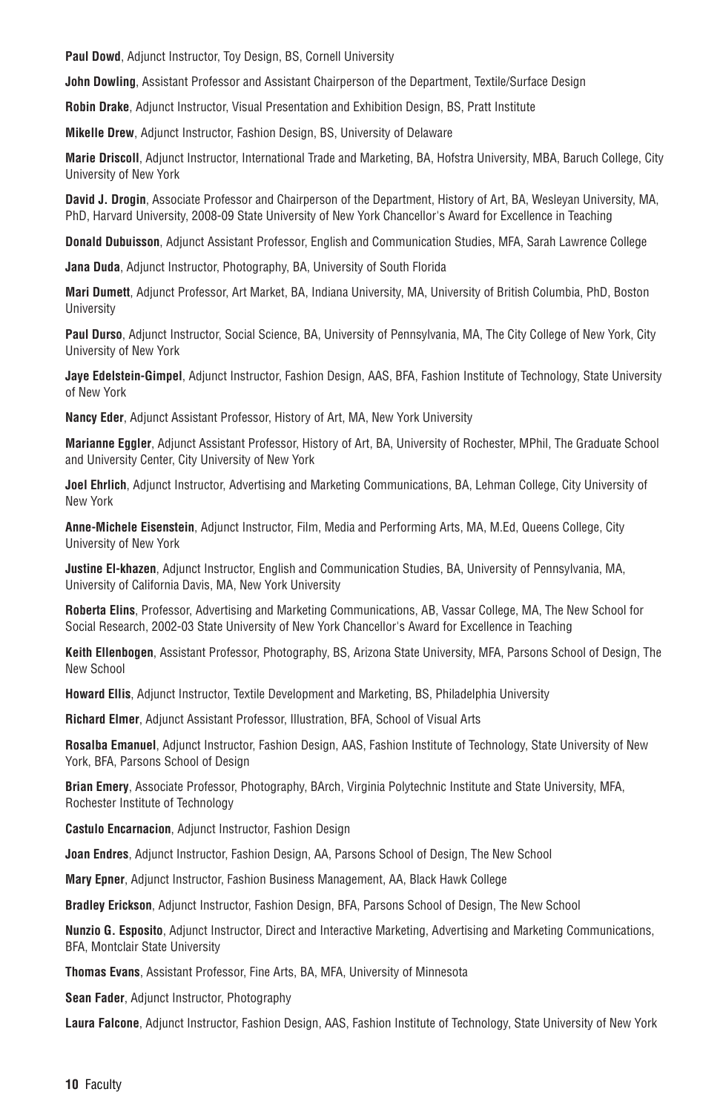**Paul Dowd**, Adjunct Instructor, Toy Design, BS, Cornell University

**John Dowling**, Assistant Professor and Assistant Chairperson of the Department, Textile/Surface Design

**Robin Drake**, Adjunct Instructor, Visual Presentation and Exhibition Design, BS, Pratt Institute

**Mikelle Drew**, Adjunct Instructor, Fashion Design, BS, University of Delaware

**Marie Driscoll**, Adjunct Instructor, International Trade and Marketing, BA, Hofstra University, MBA, Baruch College, City University of New York

**David J. Drogin**, Associate Professor and Chairperson of the Department, History of Art, BA, Wesleyan University, MA, PhD, Harvard University, 2008-09 State University of New York Chancellor's Award for Excellence in Teaching

**Donald Dubuisson**, Adjunct Assistant Professor, English and Communication Studies, MFA, Sarah Lawrence College

**Jana Duda**, Adjunct Instructor, Photography, BA, University of South Florida

**Mari Dumett**, Adjunct Professor, Art Market, BA, Indiana University, MA, University of British Columbia, PhD, Boston **University** 

**Paul Durso**, Adjunct Instructor, Social Science, BA, University of Pennsylvania, MA, The City College of New York, City University of New York

**Jaye Edelstein-Gimpel**, Adjunct Instructor, Fashion Design, AAS, BFA, Fashion Institute of Technology, State University of New York

**Nancy Eder**, Adjunct Assistant Professor, History of Art, MA, New York University

**Marianne Eggler**, Adjunct Assistant Professor, History of Art, BA, University of Rochester, MPhil, The Graduate School and University Center, City University of New York

**Joel Ehrlich**, Adjunct Instructor, Advertising and Marketing Communications, BA, Lehman College, City University of New York

**Anne-Michele Eisenstein**, Adjunct Instructor, Film, Media and Performing Arts, MA, M.Ed, Queens College, City University of New York

**Justine El-khazen**, Adjunct Instructor, English and Communication Studies, BA, University of Pennsylvania, MA, University of California Davis, MA, New York University

**Roberta Elins**, Professor, Advertising and Marketing Communications, AB, Vassar College, MA, The New School for Social Research, 2002-03 State University of New York Chancellor's Award for Excellence in Teaching

**Keith Ellenbogen**, Assistant Professor, Photography, BS, Arizona State University, MFA, Parsons School of Design, The New School

**Howard Ellis**, Adjunct Instructor, Textile Development and Marketing, BS, Philadelphia University

**Richard Elmer**, Adjunct Assistant Professor, Illustration, BFA, School of Visual Arts

**Rosalba Emanuel**, Adjunct Instructor, Fashion Design, AAS, Fashion Institute of Technology, State University of New York, BFA, Parsons School of Design

**Brian Emery**, Associate Professor, Photography, BArch, Virginia Polytechnic Institute and State University, MFA, Rochester Institute of Technology

**Castulo Encarnacion**, Adjunct Instructor, Fashion Design

**Joan Endres**, Adjunct Instructor, Fashion Design, AA, Parsons School of Design, The New School

**Mary Epner**, Adjunct Instructor, Fashion Business Management, AA, Black Hawk College

**Bradley Erickson**, Adjunct Instructor, Fashion Design, BFA, Parsons School of Design, The New School

**Nunzio G. Esposito**, Adjunct Instructor, Direct and Interactive Marketing, Advertising and Marketing Communications, BFA, Montclair State University

**Thomas Evans**, Assistant Professor, Fine Arts, BA, MFA, University of Minnesota

**Sean Fader**, Adjunct Instructor, Photography

**Laura Falcone**, Adjunct Instructor, Fashion Design, AAS, Fashion Institute of Technology, State University of New York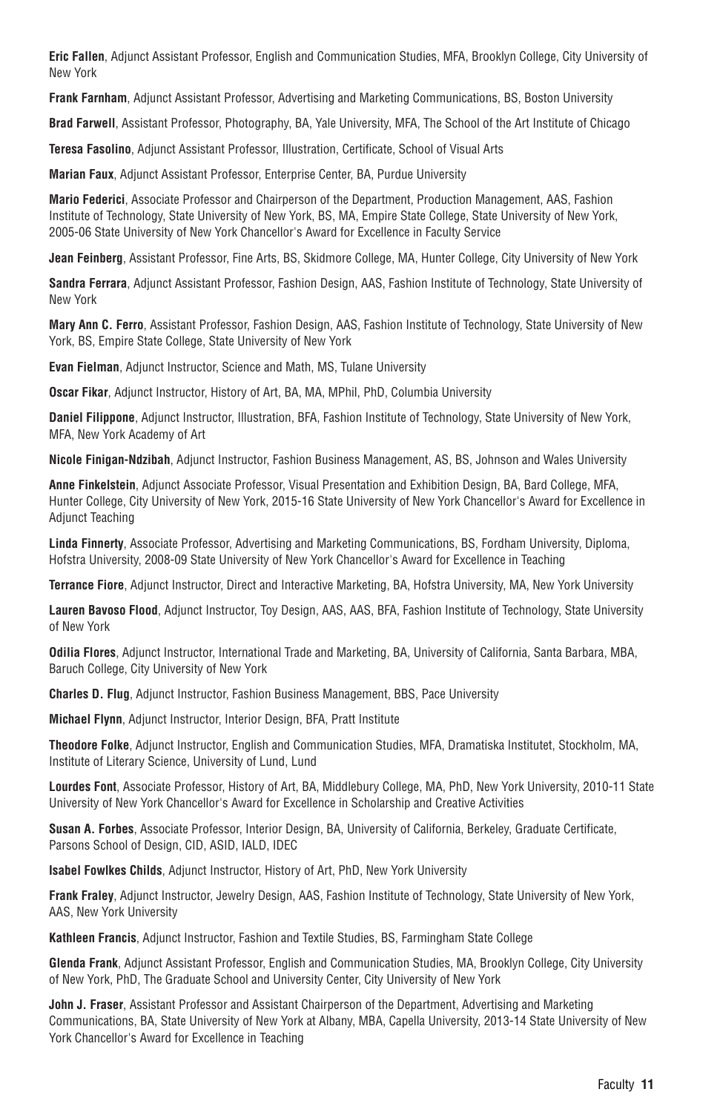**Eric Fallen**, Adjunct Assistant Professor, English and Communication Studies, MFA, Brooklyn College, City University of New York

**Frank Farnham**, Adjunct Assistant Professor, Advertising and Marketing Communications, BS, Boston University

**Brad Farwell**, Assistant Professor, Photography, BA, Yale University, MFA, The School of the Art Institute of Chicago

**Teresa Fasolino**, Adjunct Assistant Professor, Illustration, Certificate, School of Visual Arts

**Marian Faux**, Adjunct Assistant Professor, Enterprise Center, BA, Purdue University

**Mario Federici**, Associate Professor and Chairperson of the Department, Production Management, AAS, Fashion Institute of Technology, State University of New York, BS, MA, Empire State College, State University of New York, 2005-06 State University of New York Chancellor's Award for Excellence in Faculty Service

**Jean Feinberg**, Assistant Professor, Fine Arts, BS, Skidmore College, MA, Hunter College, City University of New York

**Sandra Ferrara**, Adjunct Assistant Professor, Fashion Design, AAS, Fashion Institute of Technology, State University of New York

**Mary Ann C. Ferro**, Assistant Professor, Fashion Design, AAS, Fashion Institute of Technology, State University of New York, BS, Empire State College, State University of New York

**Evan Fielman**, Adjunct Instructor, Science and Math, MS, Tulane University

**Oscar Fikar**, Adjunct Instructor, History of Art, BA, MA, MPhil, PhD, Columbia University

**Daniel Filippone**, Adjunct Instructor, Illustration, BFA, Fashion Institute of Technology, State University of New York, MFA, New York Academy of Art

**Nicole Finigan-Ndzibah**, Adjunct Instructor, Fashion Business Management, AS, BS, Johnson and Wales University

**Anne Finkelstein**, Adjunct Associate Professor, Visual Presentation and Exhibition Design, BA, Bard College, MFA, Hunter College, City University of New York, 2015-16 State University of New York Chancellor's Award for Excellence in Adjunct Teaching

**Linda Finnerty**, Associate Professor, Advertising and Marketing Communications, BS, Fordham University, Diploma, Hofstra University, 2008-09 State University of New York Chancellor's Award for Excellence in Teaching

**Terrance Fiore**, Adjunct Instructor, Direct and Interactive Marketing, BA, Hofstra University, MA, New York University

**Lauren Bavoso Flood**, Adjunct Instructor, Toy Design, AAS, AAS, BFA, Fashion Institute of Technology, State University of New York

**Odilia Flores**, Adjunct Instructor, International Trade and Marketing, BA, University of California, Santa Barbara, MBA, Baruch College, City University of New York

**Charles D. Flug**, Adjunct Instructor, Fashion Business Management, BBS, Pace University

**Michael Flynn**, Adjunct Instructor, Interior Design, BFA, Pratt Institute

**Theodore Folke**, Adjunct Instructor, English and Communication Studies, MFA, Dramatiska Institutet, Stockholm, MA, Institute of Literary Science, University of Lund, Lund

**Lourdes Font**, Associate Professor, History of Art, BA, Middlebury College, MA, PhD, New York University, 2010-11 State University of New York Chancellor's Award for Excellence in Scholarship and Creative Activities

**Susan A. Forbes**, Associate Professor, Interior Design, BA, University of California, Berkeley, Graduate Certificate, Parsons School of Design, CID, ASID, IALD, IDEC

**Isabel Fowlkes Childs**, Adjunct Instructor, History of Art, PhD, New York University

**Frank Fraley**, Adjunct Instructor, Jewelry Design, AAS, Fashion Institute of Technology, State University of New York, AAS, New York University

**Kathleen Francis**, Adjunct Instructor, Fashion and Textile Studies, BS, Farmingham State College

**Glenda Frank**, Adjunct Assistant Professor, English and Communication Studies, MA, Brooklyn College, City University of New York, PhD, The Graduate School and University Center, City University of New York

**John J. Fraser**, Assistant Professor and Assistant Chairperson of the Department, Advertising and Marketing Communications, BA, State University of New York at Albany, MBA, Capella University, 2013-14 State University of New York Chancellor's Award for Excellence in Teaching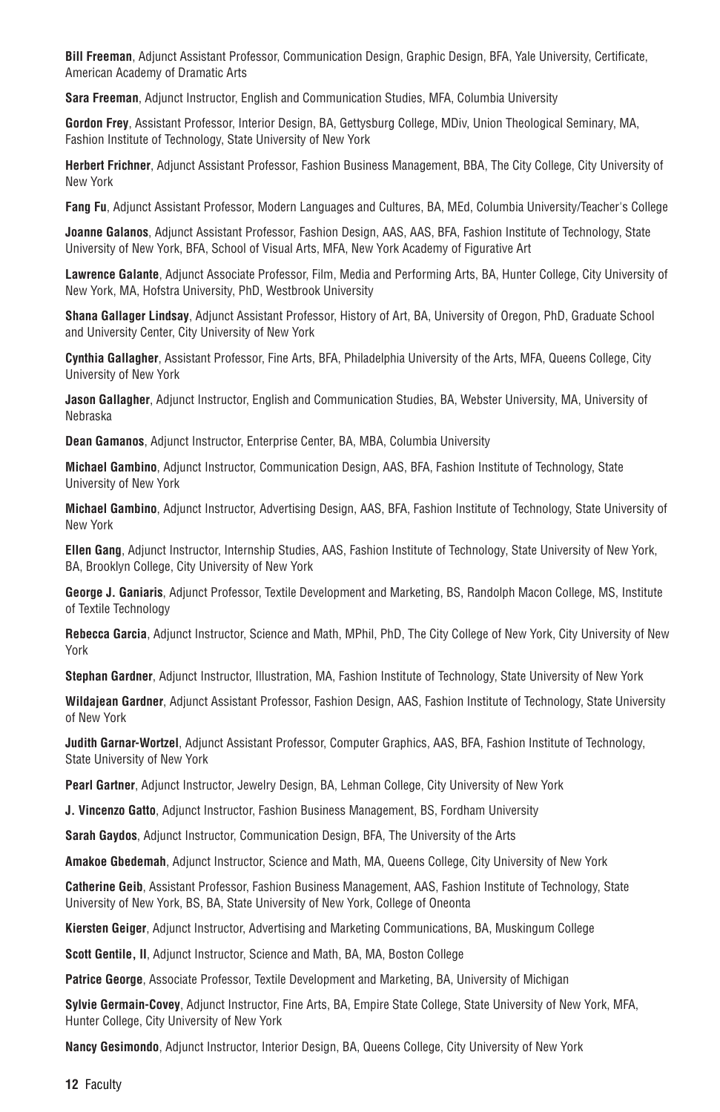**Bill Freeman**, Adjunct Assistant Professor, Communication Design, Graphic Design, BFA, Yale University, Certificate, American Academy of Dramatic Arts

**Sara Freeman**, Adjunct Instructor, English and Communication Studies, MFA, Columbia University

**Gordon Frey**, Assistant Professor, Interior Design, BA, Gettysburg College, MDiv, Union Theological Seminary, MA, Fashion Institute of Technology, State University of New York

**Herbert Frichner**, Adjunct Assistant Professor, Fashion Business Management, BBA, The City College, City University of New York

**Fang Fu**, Adjunct Assistant Professor, Modern Languages and Cultures, BA, MEd, Columbia University/Teacher's College

**Joanne Galanos**, Adjunct Assistant Professor, Fashion Design, AAS, AAS, BFA, Fashion Institute of Technology, State University of New York, BFA, School of Visual Arts, MFA, New York Academy of Figurative Art

**Lawrence Galante**, Adjunct Associate Professor, Film, Media and Performing Arts, BA, Hunter College, City University of New York, MA, Hofstra University, PhD, Westbrook University

**Shana Gallager Lindsay**, Adjunct Assistant Professor, History of Art, BA, University of Oregon, PhD, Graduate School and University Center, City University of New York

**Cynthia Gallagher**, Assistant Professor, Fine Arts, BFA, Philadelphia University of the Arts, MFA, Queens College, City University of New York

**Jason Gallagher**, Adjunct Instructor, English and Communication Studies, BA, Webster University, MA, University of Nebraska

**Dean Gamanos**, Adjunct Instructor, Enterprise Center, BA, MBA, Columbia University

**Michael Gambino**, Adjunct Instructor, Communication Design, AAS, BFA, Fashion Institute of Technology, State University of New York

**Michael Gambino**, Adjunct Instructor, Advertising Design, AAS, BFA, Fashion Institute of Technology, State University of New York

**Ellen Gang**, Adjunct Instructor, Internship Studies, AAS, Fashion Institute of Technology, State University of New York, BA, Brooklyn College, City University of New York

**George J. Ganiaris**, Adjunct Professor, Textile Development and Marketing, BS, Randolph Macon College, MS, Institute of Textile Technology

**Rebecca Garcia**, Adjunct Instructor, Science and Math, MPhil, PhD, The City College of New York, City University of New York

**Stephan Gardner**, Adjunct Instructor, Illustration, MA, Fashion Institute of Technology, State University of New York

**Wildajean Gardner**, Adjunct Assistant Professor, Fashion Design, AAS, Fashion Institute of Technology, State University of New York

**Judith Garnar-Wortzel**, Adjunct Assistant Professor, Computer Graphics, AAS, BFA, Fashion Institute of Technology, State University of New York

**Pearl Gartner**, Adjunct Instructor, Jewelry Design, BA, Lehman College, City University of New York

**J. Vincenzo Gatto**, Adjunct Instructor, Fashion Business Management, BS, Fordham University

**Sarah Gaydos**, Adjunct Instructor, Communication Design, BFA, The University of the Arts

**Amakoe Gbedemah**, Adjunct Instructor, Science and Math, MA, Queens College, City University of New York

**Catherine Geib**, Assistant Professor, Fashion Business Management, AAS, Fashion Institute of Technology, State University of New York, BS, BA, State University of New York, College of Oneonta

**Kiersten Geiger**, Adjunct Instructor, Advertising and Marketing Communications, BA, Muskingum College

**Scott Gentile, II**, Adjunct Instructor, Science and Math, BA, MA, Boston College

**Patrice George**, Associate Professor, Textile Development and Marketing, BA, University of Michigan

**Sylvie Germain-Covey**, Adjunct Instructor, Fine Arts, BA, Empire State College, State University of New York, MFA, Hunter College, City University of New York

**Nancy Gesimondo**, Adjunct Instructor, Interior Design, BA, Queens College, City University of New York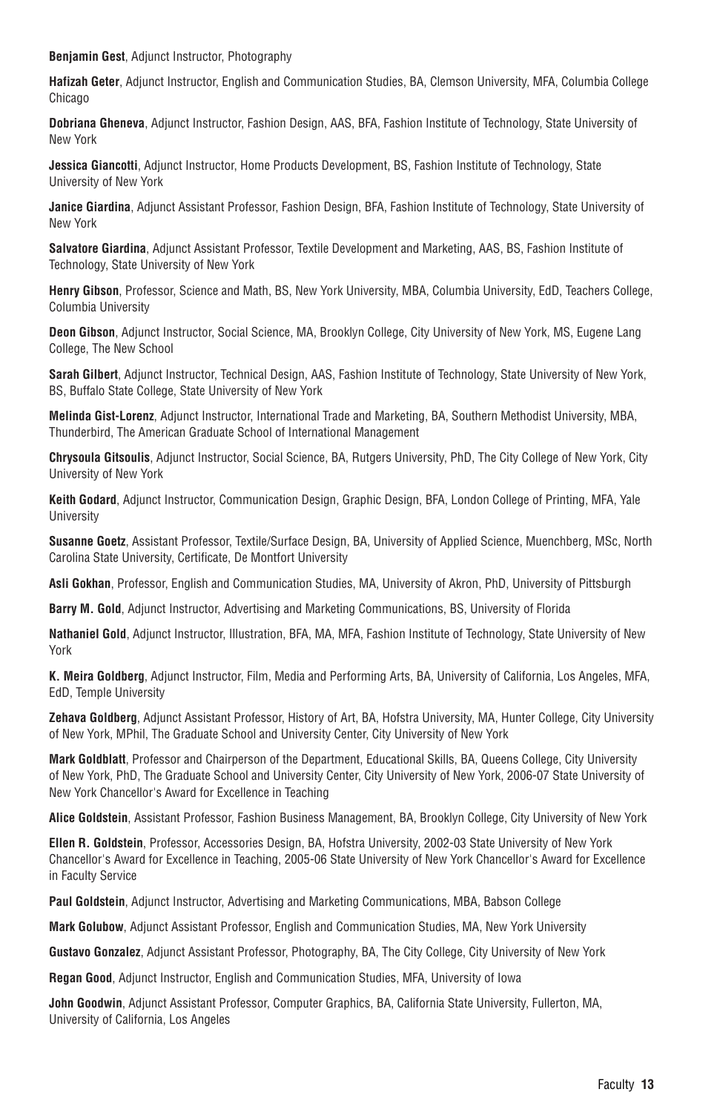**Benjamin Gest**, Adjunct Instructor, Photography

**Hafizah Geter**, Adjunct Instructor, English and Communication Studies, BA, Clemson University, MFA, Columbia College Chicago

**Dobriana Gheneva**, Adjunct Instructor, Fashion Design, AAS, BFA, Fashion Institute of Technology, State University of New York

**Jessica Giancotti**, Adjunct Instructor, Home Products Development, BS, Fashion Institute of Technology, State University of New York

**Janice Giardina**, Adjunct Assistant Professor, Fashion Design, BFA, Fashion Institute of Technology, State University of New York

**Salvatore Giardina**, Adjunct Assistant Professor, Textile Development and Marketing, AAS, BS, Fashion Institute of Technology, State University of New York

**Henry Gibson**, Professor, Science and Math, BS, New York University, MBA, Columbia University, EdD, Teachers College, Columbia University

**Deon Gibson**, Adjunct Instructor, Social Science, MA, Brooklyn College, City University of New York, MS, Eugene Lang College, The New School

**Sarah Gilbert**, Adjunct Instructor, Technical Design, AAS, Fashion Institute of Technology, State University of New York, BS, Buffalo State College, State University of New York

**Melinda Gist-Lorenz**, Adjunct Instructor, International Trade and Marketing, BA, Southern Methodist University, MBA, Thunderbird, The American Graduate School of International Management

**Chrysoula Gitsoulis**, Adjunct Instructor, Social Science, BA, Rutgers University, PhD, The City College of New York, City University of New York

**Keith Godard**, Adjunct Instructor, Communication Design, Graphic Design, BFA, London College of Printing, MFA, Yale **University** 

**Susanne Goetz**, Assistant Professor, Textile/Surface Design, BA, University of Applied Science, Muenchberg, MSc, North Carolina State University, Certificate, De Montfort University

**Asli Gokhan**, Professor, English and Communication Studies, MA, University of Akron, PhD, University of Pittsburgh

**Barry M. Gold**, Adjunct Instructor, Advertising and Marketing Communications, BS, University of Florida

**Nathaniel Gold**, Adjunct Instructor, Illustration, BFA, MA, MFA, Fashion Institute of Technology, State University of New York

**K. Meira Goldberg**, Adjunct Instructor, Film, Media and Performing Arts, BA, University of California, Los Angeles, MFA, EdD, Temple University

**Zehava Goldberg**, Adjunct Assistant Professor, History of Art, BA, Hofstra University, MA, Hunter College, City University of New York, MPhil, The Graduate School and University Center, City University of New York

**Mark Goldblatt**, Professor and Chairperson of the Department, Educational Skills, BA, Queens College, City University of New York, PhD, The Graduate School and University Center, City University of New York, 2006-07 State University of New York Chancellor's Award for Excellence in Teaching

**Alice Goldstein**, Assistant Professor, Fashion Business Management, BA, Brooklyn College, City University of New York

**Ellen R. Goldstein**, Professor, Accessories Design, BA, Hofstra University, 2002-03 State University of New York Chancellor's Award for Excellence in Teaching, 2005-06 State University of New York Chancellor's Award for Excellence in Faculty Service

**Paul Goldstein**, Adjunct Instructor, Advertising and Marketing Communications, MBA, Babson College

**Mark Golubow**, Adjunct Assistant Professor, English and Communication Studies, MA, New York University

**Gustavo Gonzalez**, Adjunct Assistant Professor, Photography, BA, The City College, City University of New York

**Regan Good**, Adjunct Instructor, English and Communication Studies, MFA, University of Iowa

**John Goodwin**, Adjunct Assistant Professor, Computer Graphics, BA, California State University, Fullerton, MA, University of California, Los Angeles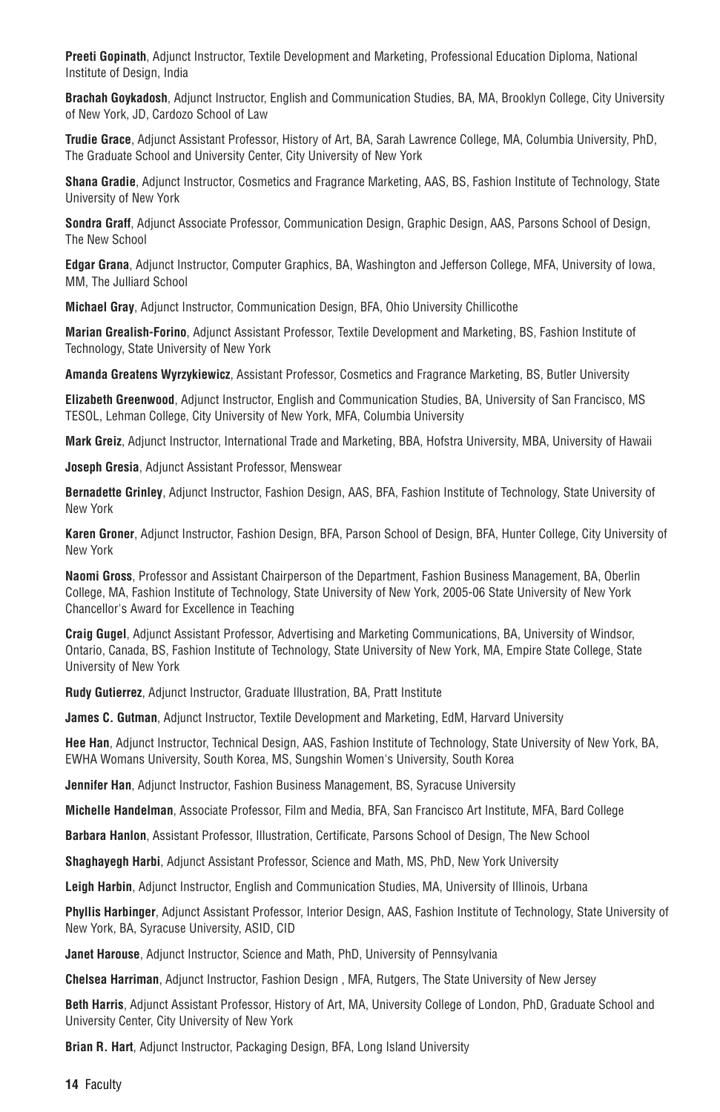**Preeti Gopinath**, Adjunct Instructor, Textile Development and Marketing, Professional Education Diploma, National Institute of Design, India

**Brachah Goykadosh**, Adjunct Instructor, English and Communication Studies, BA, MA, Brooklyn College, City University of New York, JD, Cardozo School of Law

**Trudie Grace**, Adjunct Assistant Professor, History of Art, BA, Sarah Lawrence College, MA, Columbia University, PhD, The Graduate School and University Center, City University of New York

**Shana Gradie**, Adjunct Instructor, Cosmetics and Fragrance Marketing, AAS, BS, Fashion Institute of Technology, State University of New York

**Sondra Graff**, Adjunct Associate Professor, Communication Design, Graphic Design, AAS, Parsons School of Design, The New School

**Edgar Grana**, Adjunct Instructor, Computer Graphics, BA, Washington and Jefferson College, MFA, University of Iowa, MM, The Julliard School

**Michael Gray**, Adjunct Instructor, Communication Design, BFA, Ohio University Chillicothe

**Marian Grealish-Forino**, Adjunct Assistant Professor, Textile Development and Marketing, BS, Fashion Institute of Technology, State University of New York

**Amanda Greatens Wyrzykiewicz**, Assistant Professor, Cosmetics and Fragrance Marketing, BS, Butler University

**Elizabeth Greenwood**, Adjunct Instructor, English and Communication Studies, BA, University of San Francisco, MS TESOL, Lehman College, City University of New York, MFA, Columbia University

**Mark Greiz**, Adjunct Instructor, International Trade and Marketing, BBA, Hofstra University, MBA, University of Hawaii

**Joseph Gresia**, Adjunct Assistant Professor, Menswear

**Bernadette Grinley**, Adjunct Instructor, Fashion Design, AAS, BFA, Fashion Institute of Technology, State University of New York

**Karen Groner**, Adjunct Instructor, Fashion Design, BFA, Parson School of Design, BFA, Hunter College, City University of New York

**Naomi Gross**, Professor and Assistant Chairperson of the Department, Fashion Business Management, BA, Oberlin College, MA, Fashion Institute of Technology, State University of New York, 2005-06 State University of New York Chancellor's Award for Excellence in Teaching

**Craig Gugel**, Adjunct Assistant Professor, Advertising and Marketing Communications, BA, University of Windsor, Ontario, Canada, BS, Fashion Institute of Technology, State University of New York, MA, Empire State College, State University of New York

**Rudy Gutierrez**, Adjunct Instructor, Graduate Illustration, BA, Pratt Institute

**James C. Gutman**, Adjunct Instructor, Textile Development and Marketing, EdM, Harvard University

**Hee Han**, Adjunct Instructor, Technical Design, AAS, Fashion Institute of Technology, State University of New York, BA, EWHA Womans University, South Korea, MS, Sungshin Women's University, South Korea

**Jennifer Han**, Adjunct Instructor, Fashion Business Management, BS, Syracuse University

**Michelle Handelman**, Associate Professor, Film and Media, BFA, San Francisco Art Institute, MFA, Bard College

**Barbara Hanlon**, Assistant Professor, Illustration, Certificate, Parsons School of Design, The New School

**Shaghayegh Harbi**, Adjunct Assistant Professor, Science and Math, MS, PhD, New York University

**Leigh Harbin**, Adjunct Instructor, English and Communication Studies, MA, University of Illinois, Urbana

**Phyllis Harbinger**, Adjunct Assistant Professor, Interior Design, AAS, Fashion Institute of Technology, State University of New York, BA, Syracuse University, ASID, CID

**Janet Harouse**, Adjunct Instructor, Science and Math, PhD, University of Pennsylvania

**Chelsea Harriman**, Adjunct Instructor, Fashion Design , MFA, Rutgers, The State University of New Jersey

**Beth Harris**, Adjunct Assistant Professor, History of Art, MA, University College of London, PhD, Graduate School and University Center, City University of New York

**Brian R. Hart**, Adjunct Instructor, Packaging Design, BFA, Long Island University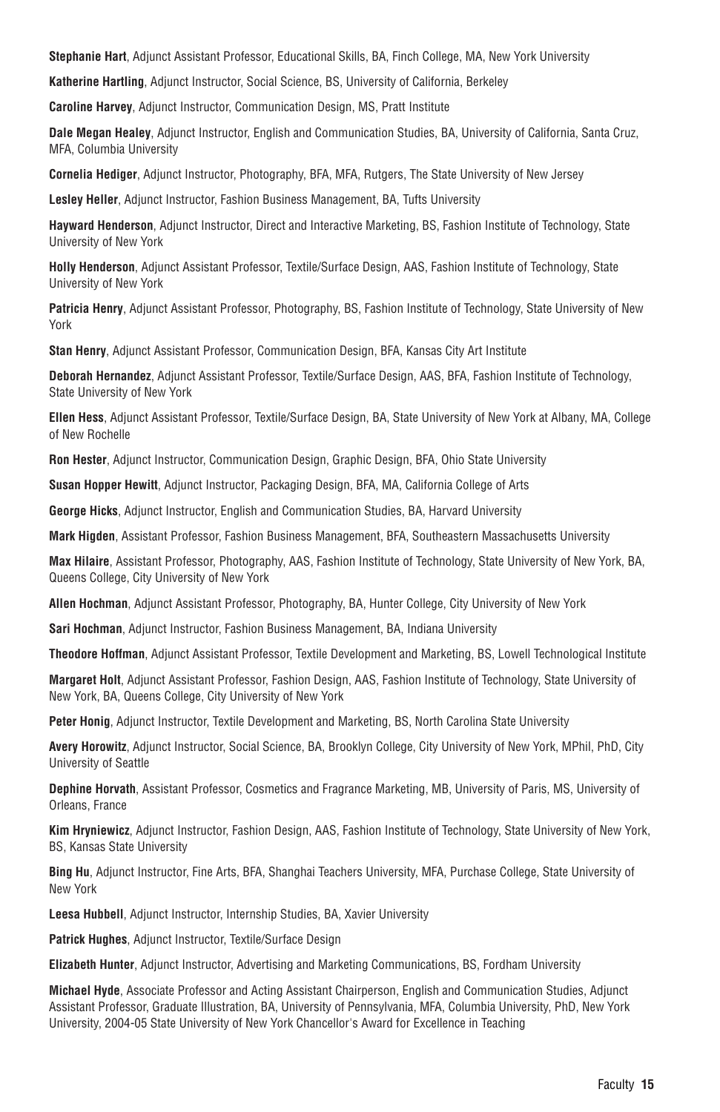**Stephanie Hart**, Adjunct Assistant Professor, Educational Skills, BA, Finch College, MA, New York University

**Katherine Hartling**, Adjunct Instructor, Social Science, BS, University of California, Berkeley

**Caroline Harvey**, Adjunct Instructor, Communication Design, MS, Pratt Institute

**Dale Megan Healey**, Adjunct Instructor, English and Communication Studies, BA, University of California, Santa Cruz, MFA, Columbia University

**Cornelia Hediger**, Adjunct Instructor, Photography, BFA, MFA, Rutgers, The State University of New Jersey

**Lesley Heller**, Adjunct Instructor, Fashion Business Management, BA, Tufts University

**Hayward Henderson**, Adjunct Instructor, Direct and Interactive Marketing, BS, Fashion Institute of Technology, State University of New York

**Holly Henderson**, Adjunct Assistant Professor, Textile/Surface Design, AAS, Fashion Institute of Technology, State University of New York

**Patricia Henry**, Adjunct Assistant Professor, Photography, BS, Fashion Institute of Technology, State University of New York

**Stan Henry**, Adjunct Assistant Professor, Communication Design, BFA, Kansas City Art Institute

**Deborah Hernandez**, Adjunct Assistant Professor, Textile/Surface Design, AAS, BFA, Fashion Institute of Technology, State University of New York

**Ellen Hess**, Adjunct Assistant Professor, Textile/Surface Design, BA, State University of New York at Albany, MA, College of New Rochelle

**Ron Hester**, Adjunct Instructor, Communication Design, Graphic Design, BFA, Ohio State University

**Susan Hopper Hewitt**, Adjunct Instructor, Packaging Design, BFA, MA, California College of Arts

**George Hicks**, Adjunct Instructor, English and Communication Studies, BA, Harvard University

**Mark Higden**, Assistant Professor, Fashion Business Management, BFA, Southeastern Massachusetts University

**Max Hilaire**, Assistant Professor, Photography, AAS, Fashion Institute of Technology, State University of New York, BA, Queens College, City University of New York

**Allen Hochman**, Adjunct Assistant Professor, Photography, BA, Hunter College, City University of New York

**Sari Hochman**, Adjunct Instructor, Fashion Business Management, BA, Indiana University

**Theodore Hoffman**, Adjunct Assistant Professor, Textile Development and Marketing, BS, Lowell Technological Institute

**Margaret Holt**, Adjunct Assistant Professor, Fashion Design, AAS, Fashion Institute of Technology, State University of New York, BA, Queens College, City University of New York

**Peter Honig**, Adjunct Instructor, Textile Development and Marketing, BS, North Carolina State University

**Avery Horowitz**, Adjunct Instructor, Social Science, BA, Brooklyn College, City University of New York, MPhil, PhD, City University of Seattle

**Dephine Horvath**, Assistant Professor, Cosmetics and Fragrance Marketing, MB, University of Paris, MS, University of Orleans, France

**Kim Hryniewicz**, Adjunct Instructor, Fashion Design, AAS, Fashion Institute of Technology, State University of New York, BS, Kansas State University

**Bing Hu**, Adjunct Instructor, Fine Arts, BFA, Shanghai Teachers University, MFA, Purchase College, State University of New York

**Leesa Hubbell**, Adjunct Instructor, Internship Studies, BA, Xavier University

**Patrick Hughes**, Adjunct Instructor, Textile/Surface Design

**Elizabeth Hunter**, Adjunct Instructor, Advertising and Marketing Communications, BS, Fordham University

**Michael Hyde**, Associate Professor and Acting Assistant Chairperson, English and Communication Studies, Adjunct Assistant Professor, Graduate Illustration, BA, University of Pennsylvania, MFA, Columbia University, PhD, New York University, 2004-05 State University of New York Chancellor's Award for Excellence in Teaching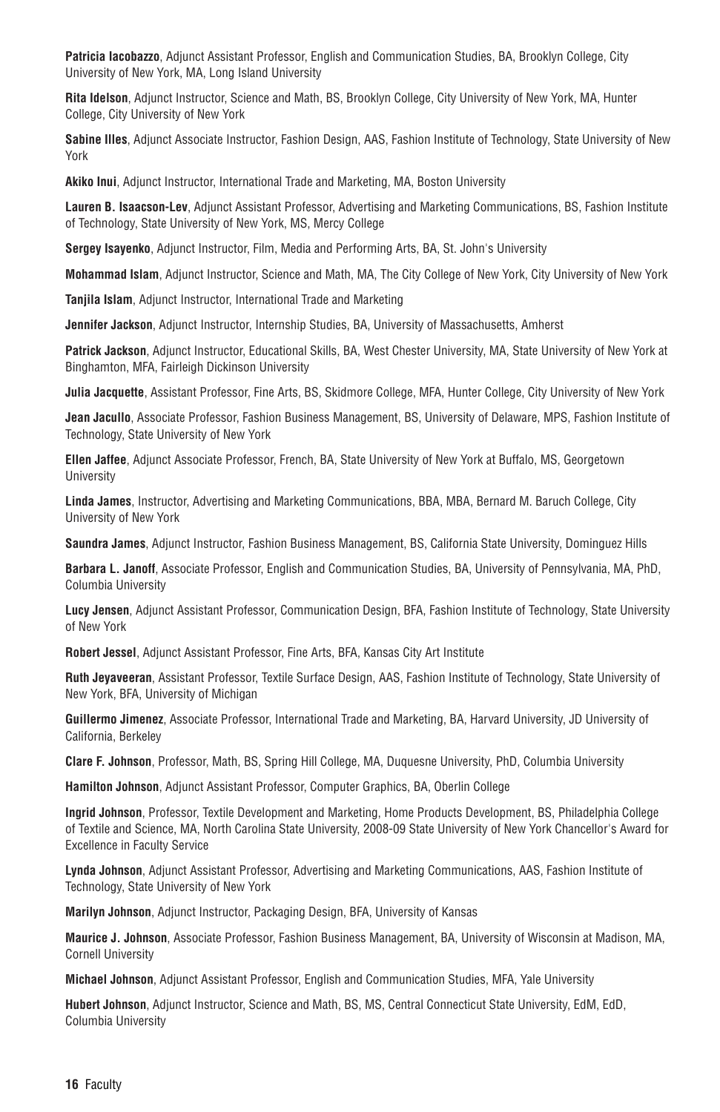**Patricia Iacobazzo**, Adjunct Assistant Professor, English and Communication Studies, BA, Brooklyn College, City University of New York, MA, Long Island University

**Rita Idelson**, Adjunct Instructor, Science and Math, BS, Brooklyn College, City University of New York, MA, Hunter College, City University of New York

**Sabine Illes**, Adjunct Associate Instructor, Fashion Design, AAS, Fashion Institute of Technology, State University of New York

**Akiko Inui**, Adjunct Instructor, International Trade and Marketing, MA, Boston University

**Lauren B. Isaacson-Lev**, Adjunct Assistant Professor, Advertising and Marketing Communications, BS, Fashion Institute of Technology, State University of New York, MS, Mercy College

**Sergey Isayenko**, Adjunct Instructor, Film, Media and Performing Arts, BA, St. John's University

**Mohammad Islam**, Adjunct Instructor, Science and Math, MA, The City College of New York, City University of New York

**Tanjila Islam**, Adjunct Instructor, International Trade and Marketing

**Jennifer Jackson**, Adjunct Instructor, Internship Studies, BA, University of Massachusetts, Amherst

**Patrick Jackson**, Adjunct Instructor, Educational Skills, BA, West Chester University, MA, State University of New York at Binghamton, MFA, Fairleigh Dickinson University

**Julia Jacquette**, Assistant Professor, Fine Arts, BS, Skidmore College, MFA, Hunter College, City University of New York

**Jean Jacullo**, Associate Professor, Fashion Business Management, BS, University of Delaware, MPS, Fashion Institute of Technology, State University of New York

**Ellen Jaffee**, Adjunct Associate Professor, French, BA, State University of New York at Buffalo, MS, Georgetown University

**Linda James**, Instructor, Advertising and Marketing Communications, BBA, MBA, Bernard M. Baruch College, City University of New York

**Saundra James**, Adjunct Instructor, Fashion Business Management, BS, California State University, Dominguez Hills

**Barbara L. Janoff**, Associate Professor, English and Communication Studies, BA, University of Pennsylvania, MA, PhD, Columbia University

**Lucy Jensen**, Adjunct Assistant Professor, Communication Design, BFA, Fashion Institute of Technology, State University of New York

**Robert Jessel**, Adjunct Assistant Professor, Fine Arts, BFA, Kansas City Art Institute

**Ruth Jeyaveeran**, Assistant Professor, Textile Surface Design, AAS, Fashion Institute of Technology, State University of New York, BFA, University of Michigan

**Guillermo Jimenez**, Associate Professor, International Trade and Marketing, BA, Harvard University, JD University of California, Berkeley

**Clare F. Johnson**, Professor, Math, BS, Spring Hill College, MA, Duquesne University, PhD, Columbia University

**Hamilton Johnson**, Adjunct Assistant Professor, Computer Graphics, BA, Oberlin College

**Ingrid Johnson**, Professor, Textile Development and Marketing, Home Products Development, BS, Philadelphia College of Textile and Science, MA, North Carolina State University, 2008-09 State University of New York Chancellor's Award for Excellence in Faculty Service

**Lynda Johnson**, Adjunct Assistant Professor, Advertising and Marketing Communications, AAS, Fashion Institute of Technology, State University of New York

**Marilyn Johnson**, Adjunct Instructor, Packaging Design, BFA, University of Kansas

**Maurice J. Johnson**, Associate Professor, Fashion Business Management, BA, University of Wisconsin at Madison, MA, Cornell University

**Michael Johnson**, Adjunct Assistant Professor, English and Communication Studies, MFA, Yale University

**Hubert Johnson**, Adjunct Instructor, Science and Math, BS, MS, Central Connecticut State University, EdM, EdD, Columbia University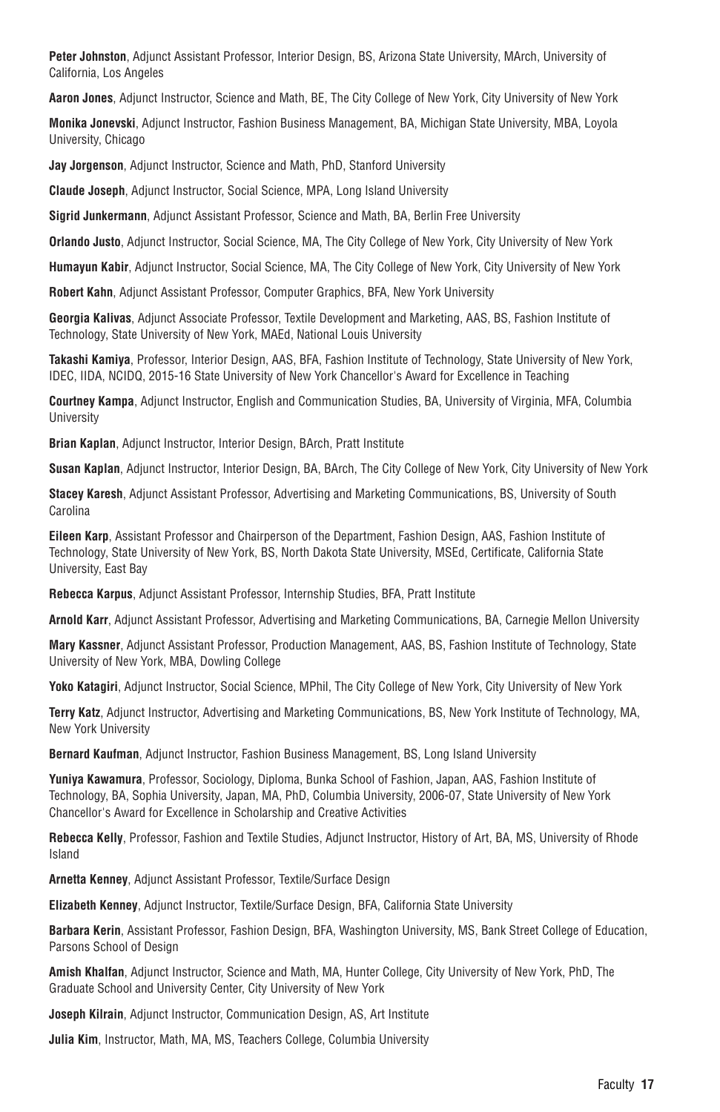**Peter Johnston**, Adjunct Assistant Professor, Interior Design, BS, Arizona State University, MArch, University of California, Los Angeles

**Aaron Jones**, Adjunct Instructor, Science and Math, BE, The City College of New York, City University of New York

**Monika Jonevski**, Adjunct Instructor, Fashion Business Management, BA, Michigan State University, MBA, Loyola University, Chicago

**Jay Jorgenson**, Adjunct Instructor, Science and Math, PhD, Stanford University

**Claude Joseph**, Adjunct Instructor, Social Science, MPA, Long Island University

**Sigrid Junkermann**, Adjunct Assistant Professor, Science and Math, BA, Berlin Free University

**Orlando Justo**, Adjunct Instructor, Social Science, MA, The City College of New York, City University of New York

**Humayun Kabir**, Adjunct Instructor, Social Science, MA, The City College of New York, City University of New York

**Robert Kahn**, Adjunct Assistant Professor, Computer Graphics, BFA, New York University

**Georgia Kalivas**, Adjunct Associate Professor, Textile Development and Marketing, AAS, BS, Fashion Institute of Technology, State University of New York, MAEd, National Louis University

**Takashi Kamiya**, Professor, Interior Design, AAS, BFA, Fashion Institute of Technology, State University of New York, IDEC, IIDA, NCIDQ, 2015-16 State University of New York Chancellor's Award for Excellence in Teaching

**Courtney Kampa**, Adjunct Instructor, English and Communication Studies, BA, University of Virginia, MFA, Columbia University

**Brian Kaplan**, Adjunct Instructor, Interior Design, BArch, Pratt Institute

**Susan Kaplan**, Adjunct Instructor, Interior Design, BA, BArch, The City College of New York, City University of New York

**Stacey Karesh**, Adjunct Assistant Professor, Advertising and Marketing Communications, BS, University of South Carolina

**Eileen Karp**, Assistant Professor and Chairperson of the Department, Fashion Design, AAS, Fashion Institute of Technology, State University of New York, BS, North Dakota State University, MSEd, Certificate, California State University, East Bay

**Rebecca Karpus**, Adjunct Assistant Professor, Internship Studies, BFA, Pratt Institute

**Arnold Karr**, Adjunct Assistant Professor, Advertising and Marketing Communications, BA, Carnegie Mellon University

**Mary Kassner**, Adjunct Assistant Professor, Production Management, AAS, BS, Fashion Institute of Technology, State University of New York, MBA, Dowling College

**Yoko Katagiri**, Adjunct Instructor, Social Science, MPhil, The City College of New York, City University of New York

**Terry Katz**, Adjunct Instructor, Advertising and Marketing Communications, BS, New York Institute of Technology, MA, New York University

**Bernard Kaufman**, Adjunct Instructor, Fashion Business Management, BS, Long Island University

**Yuniya Kawamura**, Professor, Sociology, Diploma, Bunka School of Fashion, Japan, AAS, Fashion Institute of Technology, BA, Sophia University, Japan, MA, PhD, Columbia University, 2006-07, State University of New York Chancellor's Award for Excellence in Scholarship and Creative Activities

**Rebecca Kelly**, Professor, Fashion and Textile Studies, Adjunct Instructor, History of Art, BA, MS, University of Rhode Island

**Arnetta Kenney**, Adjunct Assistant Professor, Textile/Surface Design

**Elizabeth Kenney**, Adjunct Instructor, Textile/Surface Design, BFA, California State University

**Barbara Kerin**, Assistant Professor, Fashion Design, BFA, Washington University, MS, Bank Street College of Education, Parsons School of Design

**Amish Khalfan**, Adjunct Instructor, Science and Math, MA, Hunter College, City University of New York, PhD, The Graduate School and University Center, City University of New York

**Joseph Kilrain**, Adjunct Instructor, Communication Design, AS, Art Institute

**Julia Kim**, Instructor, Math, MA, MS, Teachers College, Columbia University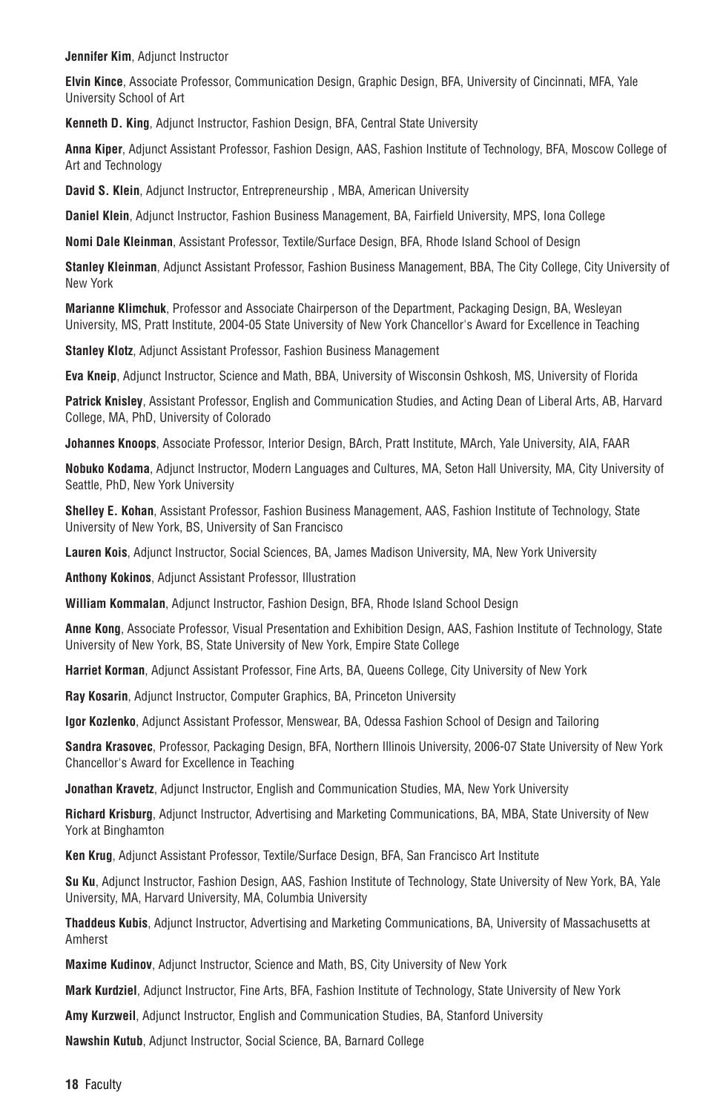**Jennifer Kim**, Adjunct Instructor

**Elvin Kince**, Associate Professor, Communication Design, Graphic Design, BFA, University of Cincinnati, MFA, Yale University School of Art

**Kenneth D. King**, Adjunct Instructor, Fashion Design, BFA, Central State University

**Anna Kiper**, Adjunct Assistant Professor, Fashion Design, AAS, Fashion Institute of Technology, BFA, Moscow College of Art and Technology

**David S. Klein**, Adjunct Instructor, Entrepreneurship , MBA, American University

**Daniel Klein**, Adjunct Instructor, Fashion Business Management, BA, Fairfield University, MPS, Iona College

**Nomi Dale Kleinman**, Assistant Professor, Textile/Surface Design, BFA, Rhode Island School of Design

**Stanley Kleinman**, Adjunct Assistant Professor, Fashion Business Management, BBA, The City College, City University of New York

**Marianne Klimchuk**, Professor and Associate Chairperson of the Department, Packaging Design, BA, Wesleyan University, MS, Pratt Institute, 2004-05 State University of New York Chancellor's Award for Excellence in Teaching

**Stanley Klotz**, Adjunct Assistant Professor, Fashion Business Management

**Eva Kneip**, Adjunct Instructor, Science and Math, BBA, University of Wisconsin Oshkosh, MS, University of Florida

**Patrick Knisley**, Assistant Professor, English and Communication Studies, and Acting Dean of Liberal Arts, AB, Harvard College, MA, PhD, University of Colorado

**Johannes Knoops**, Associate Professor, Interior Design, BArch, Pratt Institute, MArch, Yale University, AIA, FAAR

**Nobuko Kodama**, Adjunct Instructor, Modern Languages and Cultures, MA, Seton Hall University, MA, City University of Seattle, PhD, New York University

**Shelley E. Kohan**, Assistant Professor, Fashion Business Management, AAS, Fashion Institute of Technology, State University of New York, BS, University of San Francisco

**Lauren Kois**, Adjunct Instructor, Social Sciences, BA, James Madison University, MA, New York University

**Anthony Kokinos**, Adjunct Assistant Professor, Illustration

**William Kommalan**, Adjunct Instructor, Fashion Design, BFA, Rhode Island School Design

**Anne Kong**, Associate Professor, Visual Presentation and Exhibition Design, AAS, Fashion Institute of Technology, State University of New York, BS, State University of New York, Empire State College

**Harriet Korman**, Adjunct Assistant Professor, Fine Arts, BA, Queens College, City University of New York

**Ray Kosarin**, Adjunct Instructor, Computer Graphics, BA, Princeton University

**Igor Kozlenko**, Adjunct Assistant Professor, Menswear, BA, Odessa Fashion School of Design and Tailoring

**Sandra Krasovec**, Professor, Packaging Design, BFA, Northern Illinois University, 2006-07 State University of New York Chancellor's Award for Excellence in Teaching

**Jonathan Kravetz**, Adjunct Instructor, English and Communication Studies, MA, New York University

**Richard Krisburg**, Adjunct Instructor, Advertising and Marketing Communications, BA, MBA, State University of New York at Binghamton

**Ken Krug**, Adjunct Assistant Professor, Textile/Surface Design, BFA, San Francisco Art Institute

**Su Ku**, Adjunct Instructor, Fashion Design, AAS, Fashion Institute of Technology, State University of New York, BA, Yale University, MA, Harvard University, MA, Columbia University

**Thaddeus Kubis**, Adjunct Instructor, Advertising and Marketing Communications, BA, University of Massachusetts at Amherst

**Maxime Kudinov**, Adjunct Instructor, Science and Math, BS, City University of New York

**Mark Kurdziel**, Adjunct Instructor, Fine Arts, BFA, Fashion Institute of Technology, State University of New York

**Amy Kurzweil**, Adjunct Instructor, English and Communication Studies, BA, Stanford University

**Nawshin Kutub**, Adjunct Instructor, Social Science, BA, Barnard College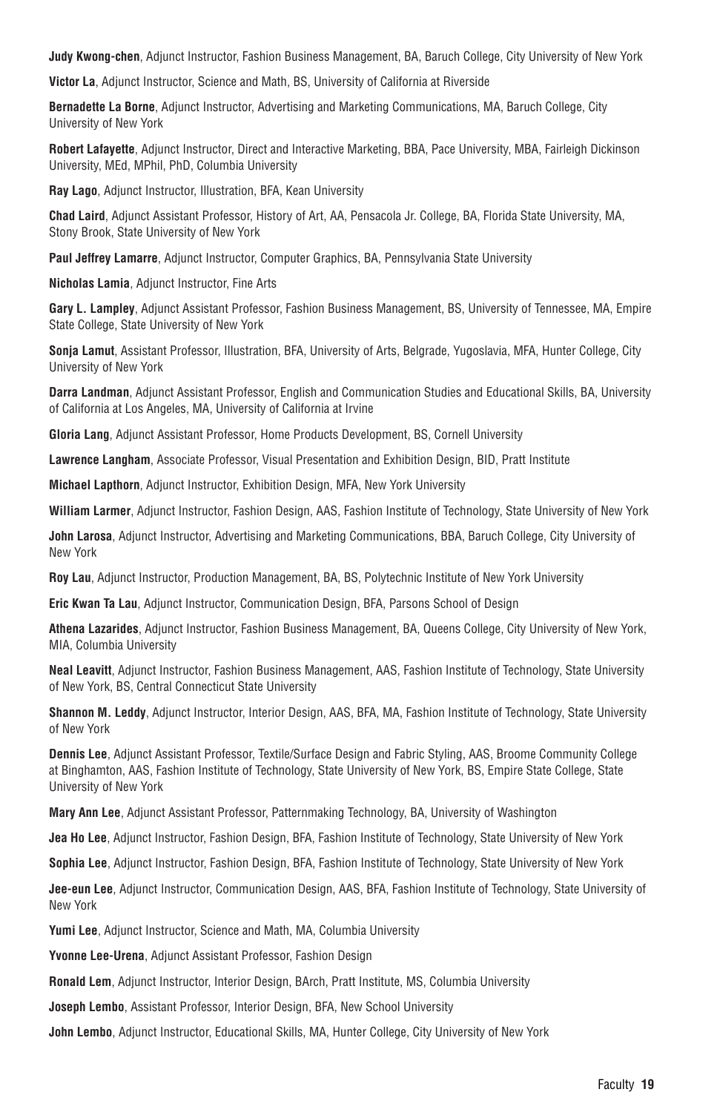**Judy Kwong-chen**, Adjunct Instructor, Fashion Business Management, BA, Baruch College, City University of New York

**Victor La**, Adjunct Instructor, Science and Math, BS, University of California at Riverside

**Bernadette La Borne**, Adjunct Instructor, Advertising and Marketing Communications, MA, Baruch College, City University of New York

**Robert Lafayette**, Adjunct Instructor, Direct and Interactive Marketing, BBA, Pace University, MBA, Fairleigh Dickinson University, MEd, MPhil, PhD, Columbia University

**Ray Lago**, Adjunct Instructor, Illustration, BFA, Kean University

**Chad Laird**, Adjunct Assistant Professor, History of Art, AA, Pensacola Jr. College, BA, Florida State University, MA, Stony Brook, State University of New York

**Paul Jeffrey Lamarre**, Adjunct Instructor, Computer Graphics, BA, Pennsylvania State University

**Nicholas Lamia**, Adjunct Instructor, Fine Arts

**Gary L. Lampley**, Adjunct Assistant Professor, Fashion Business Management, BS, University of Tennessee, MA, Empire State College, State University of New York

**Sonja Lamut**, Assistant Professor, Illustration, BFA, University of Arts, Belgrade, Yugoslavia, MFA, Hunter College, City University of New York

**Darra Landman**, Adjunct Assistant Professor, English and Communication Studies and Educational Skills, BA, University of California at Los Angeles, MA, University of California at Irvine

**Gloria Lang**, Adjunct Assistant Professor, Home Products Development, BS, Cornell University

**Lawrence Langham**, Associate Professor, Visual Presentation and Exhibition Design, BID, Pratt Institute

**Michael Lapthorn**, Adjunct Instructor, Exhibition Design, MFA, New York University

**William Larmer**, Adjunct Instructor, Fashion Design, AAS, Fashion Institute of Technology, State University of New York

**John Larosa**, Adjunct Instructor, Advertising and Marketing Communications, BBA, Baruch College, City University of New York

**Roy Lau**, Adjunct Instructor, Production Management, BA, BS, Polytechnic Institute of New York University

**Eric Kwan Ta Lau**, Adjunct Instructor, Communication Design, BFA, Parsons School of Design

**Athena Lazarides**, Adjunct Instructor, Fashion Business Management, BA, Queens College, City University of New York, MIA, Columbia University

**Neal Leavitt**, Adjunct Instructor, Fashion Business Management, AAS, Fashion Institute of Technology, State University of New York, BS, Central Connecticut State University

**Shannon M. Leddy**, Adjunct Instructor, Interior Design, AAS, BFA, MA, Fashion Institute of Technology, State University of New York

**Dennis Lee**, Adjunct Assistant Professor, Textile/Surface Design and Fabric Styling, AAS, Broome Community College at Binghamton, AAS, Fashion Institute of Technology, State University of New York, BS, Empire State College, State University of New York

**Mary Ann Lee**, Adjunct Assistant Professor, Patternmaking Technology, BA, University of Washington

**Jea Ho Lee**, Adjunct Instructor, Fashion Design, BFA, Fashion Institute of Technology, State University of New York

**Sophia Lee**, Adjunct Instructor, Fashion Design, BFA, Fashion Institute of Technology, State University of New York

**Jee-eun Lee**, Adjunct Instructor, Communication Design, AAS, BFA, Fashion Institute of Technology, State University of New York

**Yumi Lee**, Adjunct Instructor, Science and Math, MA, Columbia University

**Yvonne Lee-Urena**, Adjunct Assistant Professor, Fashion Design

**Ronald Lem**, Adjunct Instructor, Interior Design, BArch, Pratt Institute, MS, Columbia University

**Joseph Lembo**, Assistant Professor, Interior Design, BFA, New School University

**John Lembo**, Adjunct Instructor, Educational Skills, MA, Hunter College, City University of New York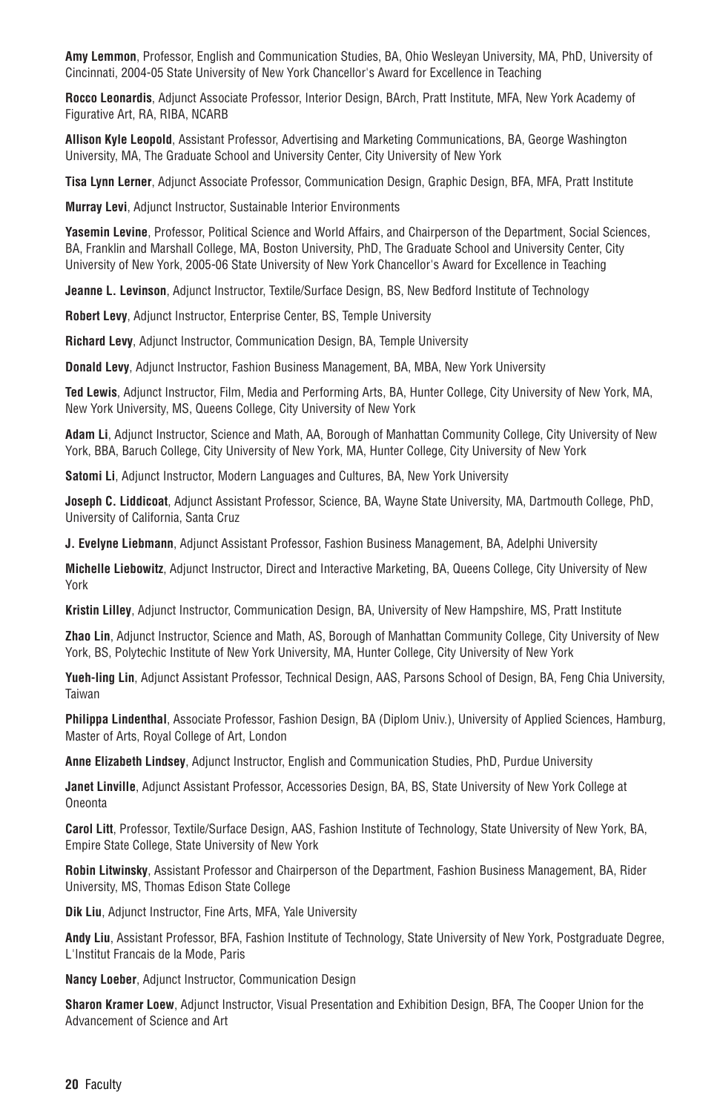**Amy Lemmon**, Professor, English and Communication Studies, BA, Ohio Wesleyan University, MA, PhD, University of Cincinnati, 2004-05 State University of New York Chancellor's Award for Excellence in Teaching

**Rocco Leonardis**, Adjunct Associate Professor, Interior Design, BArch, Pratt Institute, MFA, New York Academy of Figurative Art, RA, RIBA, NCARB

**Allison Kyle Leopold**, Assistant Professor, Advertising and Marketing Communications, BA, George Washington University, MA, The Graduate School and University Center, City University of New York

**Tisa Lynn Lerner**, Adjunct Associate Professor, Communication Design, Graphic Design, BFA, MFA, Pratt Institute

**Murray Levi**, Adjunct Instructor, Sustainable Interior Environments

**Yasemin Levine**, Professor, Political Science and World Affairs, and Chairperson of the Department, Social Sciences, BA, Franklin and Marshall College, MA, Boston University, PhD, The Graduate School and University Center, City University of New York, 2005-06 State University of New York Chancellor's Award for Excellence in Teaching

**Jeanne L. Levinson**, Adjunct Instructor, Textile/Surface Design, BS, New Bedford Institute of Technology

**Robert Levy**, Adjunct Instructor, Enterprise Center, BS, Temple University

**Richard Levy**, Adjunct Instructor, Communication Design, BA, Temple University

**Donald Levy**, Adjunct Instructor, Fashion Business Management, BA, MBA, New York University

**Ted Lewis**, Adjunct Instructor, Film, Media and Performing Arts, BA, Hunter College, City University of New York, MA, New York University, MS, Queens College, City University of New York

**Adam Li**, Adjunct Instructor, Science and Math, AA, Borough of Manhattan Community College, City University of New York, BBA, Baruch College, City University of New York, MA, Hunter College, City University of New York

**Satomi Li**, Adjunct Instructor, Modern Languages and Cultures, BA, New York University

**Joseph C. Liddicoat**, Adjunct Assistant Professor, Science, BA, Wayne State University, MA, Dartmouth College, PhD, University of California, Santa Cruz

**J. Evelyne Liebmann**, Adjunct Assistant Professor, Fashion Business Management, BA, Adelphi University

**Michelle Liebowitz**, Adjunct Instructor, Direct and Interactive Marketing, BA, Queens College, City University of New York

**Kristin Lilley**, Adjunct Instructor, Communication Design, BA, University of New Hampshire, MS, Pratt Institute

**Zhao Lin**, Adjunct Instructor, Science and Math, AS, Borough of Manhattan Community College, City University of New York, BS, Polytechic Institute of New York University, MA, Hunter College, City University of New York

**Yueh-ling Lin**, Adjunct Assistant Professor, Technical Design, AAS, Parsons School of Design, BA, Feng Chia University, Taiwan

**Philippa Lindenthal**, Associate Professor, Fashion Design, BA (Diplom Univ.), University of Applied Sciences, Hamburg, Master of Arts, Royal College of Art, London

**Anne Elizabeth Lindsey**, Adjunct Instructor, English and Communication Studies, PhD, Purdue University

**Janet Linville**, Adjunct Assistant Professor, Accessories Design, BA, BS, State University of New York College at **Oneonta** 

**Carol Litt**, Professor, Textile/Surface Design, AAS, Fashion Institute of Technology, State University of New York, BA, Empire State College, State University of New York

**Robin Litwinsky**, Assistant Professor and Chairperson of the Department, Fashion Business Management, BA, Rider University, MS, Thomas Edison State College

**Dik Liu**, Adjunct Instructor, Fine Arts, MFA, Yale University

**Andy Liu**, Assistant Professor, BFA, Fashion Institute of Technology, State University of New York, Postgraduate Degree, L'Institut Francais de la Mode, Paris

**Nancy Loeber**, Adjunct Instructor, Communication Design

**Sharon Kramer Loew**, Adjunct Instructor, Visual Presentation and Exhibition Design, BFA, The Cooper Union for the Advancement of Science and Art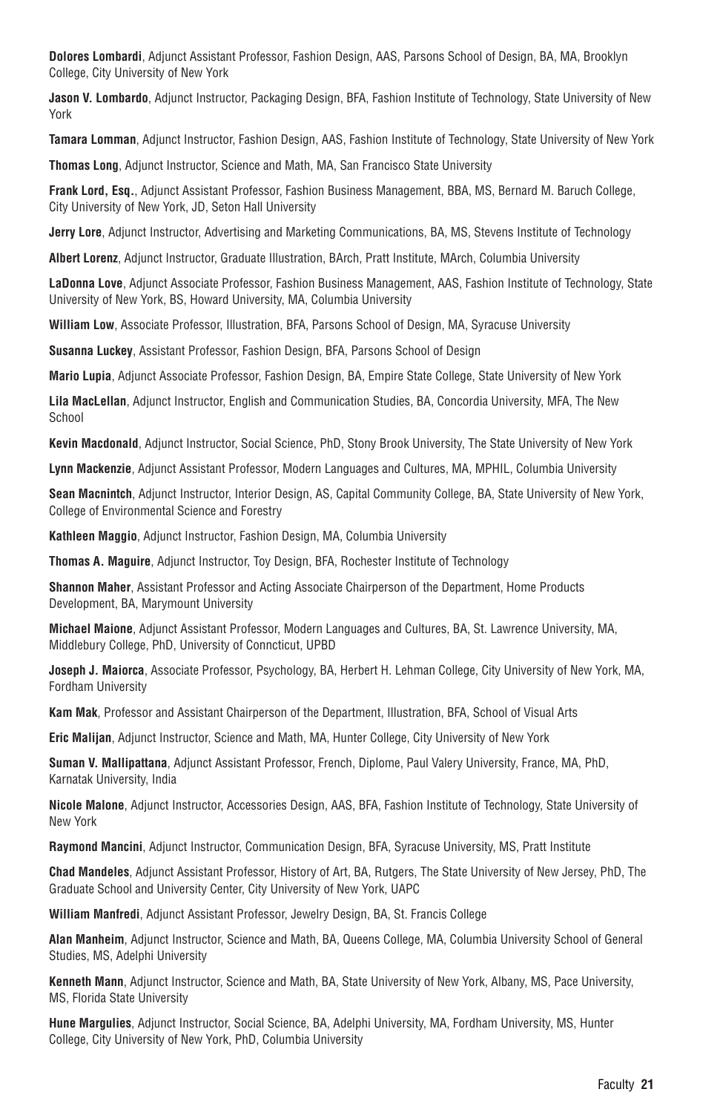**Dolores Lombardi**, Adjunct Assistant Professor, Fashion Design, AAS, Parsons School of Design, BA, MA, Brooklyn College, City University of New York

**Jason V. Lombardo**, Adjunct Instructor, Packaging Design, BFA, Fashion Institute of Technology, State University of New York

**Tamara Lomman**, Adjunct Instructor, Fashion Design, AAS, Fashion Institute of Technology, State University of New York

**Thomas Long**, Adjunct Instructor, Science and Math, MA, San Francisco State University

**Frank Lord, Esq.**, Adjunct Assistant Professor, Fashion Business Management, BBA, MS, Bernard M. Baruch College, City University of New York, JD, Seton Hall University

**Jerry Lore**, Adjunct Instructor, Advertising and Marketing Communications, BA, MS, Stevens Institute of Technology

**Albert Lorenz**, Adjunct Instructor, Graduate Illustration, BArch, Pratt Institute, MArch, Columbia University

**LaDonna Love**, Adjunct Associate Professor, Fashion Business Management, AAS, Fashion Institute of Technology, State University of New York, BS, Howard University, MA, Columbia University

**William Low**, Associate Professor, Illustration, BFA, Parsons School of Design, MA, Syracuse University

**Susanna Luckey**, Assistant Professor, Fashion Design, BFA, Parsons School of Design

**Mario Lupia**, Adjunct Associate Professor, Fashion Design, BA, Empire State College, State University of New York

**Lila MacLellan**, Adjunct Instructor, English and Communication Studies, BA, Concordia University, MFA, The New School

**Kevin Macdonald**, Adjunct Instructor, Social Science, PhD, Stony Brook University, The State University of New York

**Lynn Mackenzie**, Adjunct Assistant Professor, Modern Languages and Cultures, MA, MPHIL, Columbia University

**Sean Macnintch**, Adjunct Instructor, Interior Design, AS, Capital Community College, BA, State University of New York, College of Environmental Science and Forestry

**Kathleen Maggio**, Adjunct Instructor, Fashion Design, MA, Columbia University

**Thomas A. Maguire**, Adjunct Instructor, Toy Design, BFA, Rochester Institute of Technology

**Shannon Maher**, Assistant Professor and Acting Associate Chairperson of the Department, Home Products Development, BA, Marymount University

**Michael Maione**, Adjunct Assistant Professor, Modern Languages and Cultures, BA, St. Lawrence University, MA, Middlebury College, PhD, University of Conncticut, UPBD

**Joseph J. Maiorca**, Associate Professor, Psychology, BA, Herbert H. Lehman College, City University of New York, MA, Fordham University

**Kam Mak**, Professor and Assistant Chairperson of the Department, Illustration, BFA, School of Visual Arts

**Eric Malijan**, Adjunct Instructor, Science and Math, MA, Hunter College, City University of New York

**Suman V. Mallipattana**, Adjunct Assistant Professor, French, Diplome, Paul Valery University, France, MA, PhD, Karnatak University, India

**Nicole Malone**, Adjunct Instructor, Accessories Design, AAS, BFA, Fashion Institute of Technology, State University of New York

**Raymond Mancini**, Adjunct Instructor, Communication Design, BFA, Syracuse University, MS, Pratt Institute

**Chad Mandeles**, Adjunct Assistant Professor, History of Art, BA, Rutgers, The State University of New Jersey, PhD, The Graduate School and University Center, City University of New York, UAPC

**William Manfredi**, Adjunct Assistant Professor, Jewelry Design, BA, St. Francis College

**Alan Manheim**, Adjunct Instructor, Science and Math, BA, Queens College, MA, Columbia University School of General Studies, MS, Adelphi University

**Kenneth Mann**, Adjunct Instructor, Science and Math, BA, State University of New York, Albany, MS, Pace University, MS, Florida State University

**Hune Margulies**, Adjunct Instructor, Social Science, BA, Adelphi University, MA, Fordham University, MS, Hunter College, City University of New York, PhD, Columbia University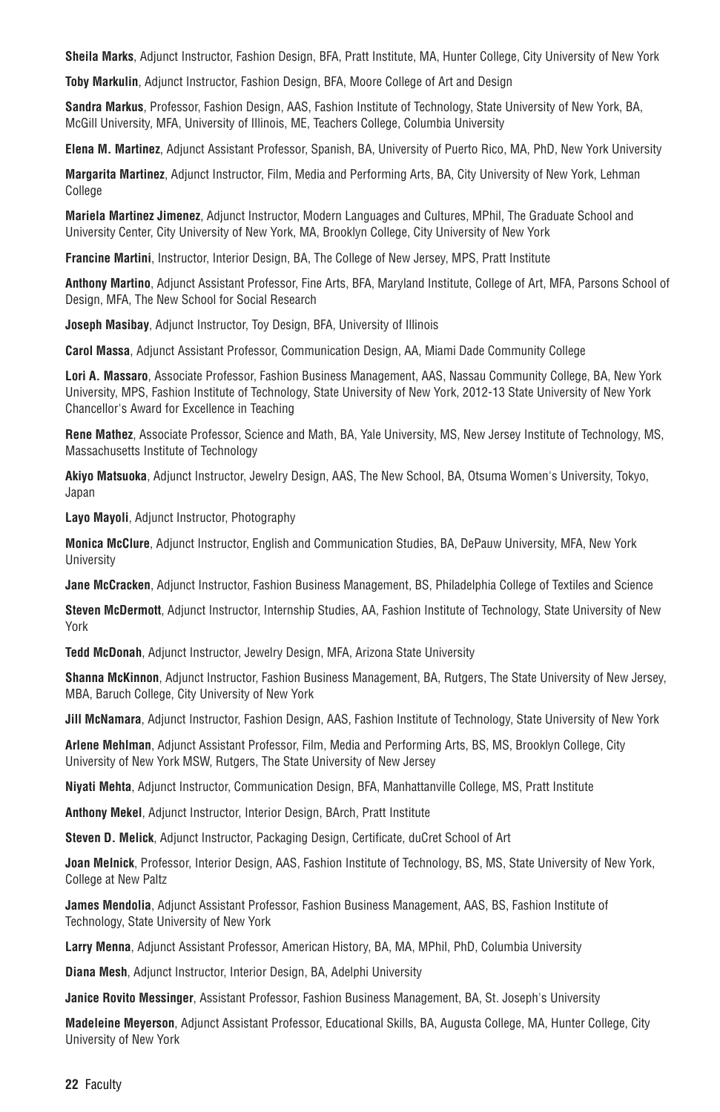**Sheila Marks**, Adjunct Instructor, Fashion Design, BFA, Pratt Institute, MA, Hunter College, City University of New York

**Toby Markulin**, Adjunct Instructor, Fashion Design, BFA, Moore College of Art and Design

**Sandra Markus**, Professor, Fashion Design, AAS, Fashion Institute of Technology, State University of New York, BA, McGill University, MFA, University of Illinois, ME, Teachers College, Columbia University

**Elena M. Martinez**, Adjunct Assistant Professor, Spanish, BA, University of Puerto Rico, MA, PhD, New York University

**Margarita Martinez**, Adjunct Instructor, Film, Media and Performing Arts, BA, City University of New York, Lehman College

**Mariela Martinez Jimenez**, Adjunct Instructor, Modern Languages and Cultures, MPhil, The Graduate School and University Center, City University of New York, MA, Brooklyn College, City University of New York

**Francine Martini**, Instructor, Interior Design, BA, The College of New Jersey, MPS, Pratt Institute

**Anthony Martino**, Adjunct Assistant Professor, Fine Arts, BFA, Maryland Institute, College of Art, MFA, Parsons School of Design, MFA, The New School for Social Research

**Joseph Masibay**, Adjunct Instructor, Toy Design, BFA, University of Illinois

**Carol Massa**, Adjunct Assistant Professor, Communication Design, AA, Miami Dade Community College

**Lori A. Massaro**, Associate Professor, Fashion Business Management, AAS, Nassau Community College, BA, New York University, MPS, Fashion Institute of Technology, State University of New York, 2012-13 State University of New York Chancellor's Award for Excellence in Teaching

**Rene Mathez**, Associate Professor, Science and Math, BA, Yale University, MS, New Jersey Institute of Technology, MS, Massachusetts Institute of Technology

**Akiyo Matsuoka**, Adjunct Instructor, Jewelry Design, AAS, The New School, BA, Otsuma Women's University, Tokyo, Japan

**Layo Mayoli**, Adjunct Instructor, Photography

**Monica McClure**, Adjunct Instructor, English and Communication Studies, BA, DePauw University, MFA, New York **University** 

**Jane McCracken**, Adjunct Instructor, Fashion Business Management, BS, Philadelphia College of Textiles and Science

**Steven McDermott**, Adjunct Instructor, Internship Studies, AA, Fashion Institute of Technology, State University of New York

**Tedd McDonah**, Adjunct Instructor, Jewelry Design, MFA, Arizona State University

**Shanna McKinnon**, Adjunct Instructor, Fashion Business Management, BA, Rutgers, The State University of New Jersey, MBA, Baruch College, City University of New York

**Jill McNamara**, Adjunct Instructor, Fashion Design, AAS, Fashion Institute of Technology, State University of New York

**Arlene Mehlman**, Adjunct Assistant Professor, Film, Media and Performing Arts, BS, MS, Brooklyn College, City University of New York MSW, Rutgers, The State University of New Jersey

**Niyati Mehta**, Adjunct Instructor, Communication Design, BFA, Manhattanville College, MS, Pratt Institute

**Anthony Mekel**, Adjunct Instructor, Interior Design, BArch, Pratt Institute

**Steven D. Melick**, Adjunct Instructor, Packaging Design, Certificate, duCret School of Art

**Joan Melnick**, Professor, Interior Design, AAS, Fashion Institute of Technology, BS, MS, State University of New York, College at New Paltz

**James Mendolia**, Adjunct Assistant Professor, Fashion Business Management, AAS, BS, Fashion Institute of Technology, State University of New York

**Larry Menna**, Adjunct Assistant Professor, American History, BA, MA, MPhil, PhD, Columbia University

**Diana Mesh**, Adjunct Instructor, Interior Design, BA, Adelphi University

**Janice Rovito Messinger**, Assistant Professor, Fashion Business Management, BA, St. Joseph's University

**Madeleine Meyerson**, Adjunct Assistant Professor, Educational Skills, BA, Augusta College, MA, Hunter College, City University of New York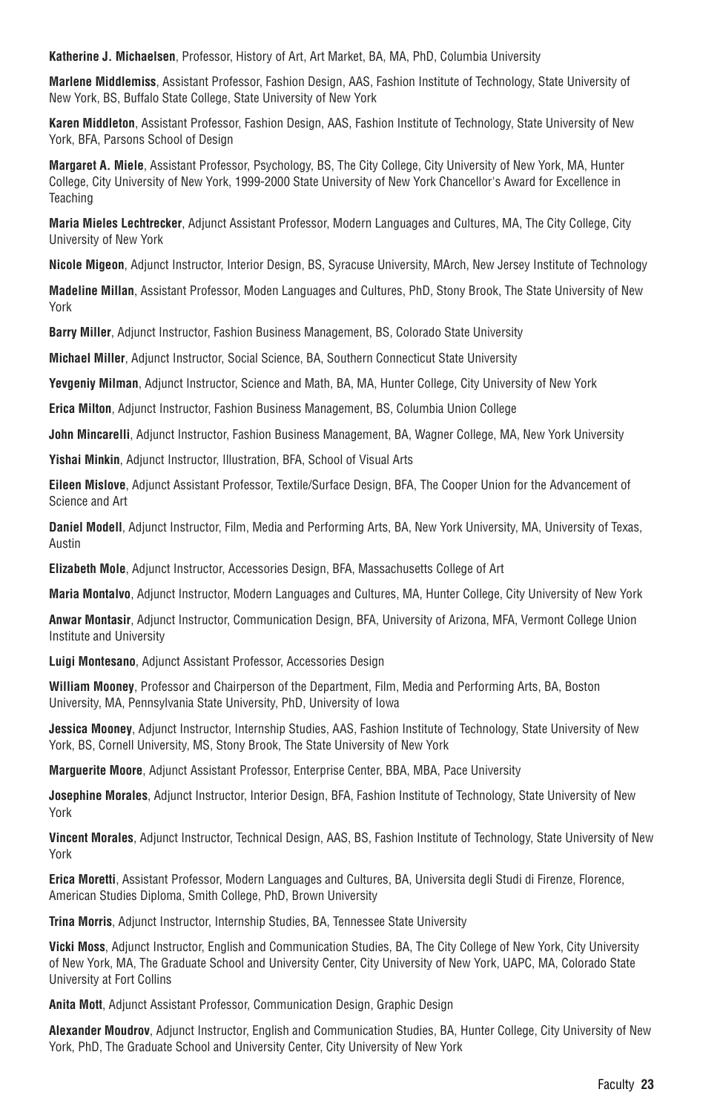**Katherine J. Michaelsen**, Professor, History of Art, Art Market, BA, MA, PhD, Columbia University

**Marlene Middlemiss**, Assistant Professor, Fashion Design, AAS, Fashion Institute of Technology, State University of New York, BS, Buffalo State College, State University of New York

**Karen Middleton**, Assistant Professor, Fashion Design, AAS, Fashion Institute of Technology, State University of New York, BFA, Parsons School of Design

**Margaret A. Miele**, Assistant Professor, Psychology, BS, The City College, City University of New York, MA, Hunter College, City University of New York, 1999-2000 State University of New York Chancellor's Award for Excellence in **Teaching** 

**Maria Mieles Lechtrecker**, Adjunct Assistant Professor, Modern Languages and Cultures, MA, The City College, City University of New York

**Nicole Migeon**, Adjunct Instructor, Interior Design, BS, Syracuse University, MArch, New Jersey Institute of Technology

**Madeline Millan**, Assistant Professor, Moden Languages and Cultures, PhD, Stony Brook, The State University of New York

**Barry Miller**, Adjunct Instructor, Fashion Business Management, BS, Colorado State University

**Michael Miller**, Adjunct Instructor, Social Science, BA, Southern Connecticut State University

**Yevgeniy Milman**, Adjunct Instructor, Science and Math, BA, MA, Hunter College, City University of New York

**Erica Milton**, Adjunct Instructor, Fashion Business Management, BS, Columbia Union College

**John Mincarelli**, Adjunct Instructor, Fashion Business Management, BA, Wagner College, MA, New York University

**Yishai Minkin**, Adjunct Instructor, Illustration, BFA, School of Visual Arts

**Eileen Mislove**, Adjunct Assistant Professor, Textile/Surface Design, BFA, The Cooper Union for the Advancement of Science and Art

**Daniel Modell**, Adjunct Instructor, Film, Media and Performing Arts, BA, New York University, MA, University of Texas, Austin

**Elizabeth Mole**, Adjunct Instructor, Accessories Design, BFA, Massachusetts College of Art

**Maria Montalvo**, Adjunct Instructor, Modern Languages and Cultures, MA, Hunter College, City University of New York

**Anwar Montasir**, Adjunct Instructor, Communication Design, BFA, University of Arizona, MFA, Vermont College Union Institute and University

**Luigi Montesano**, Adjunct Assistant Professor, Accessories Design

**William Mooney**, Professor and Chairperson of the Department, Film, Media and Performing Arts, BA, Boston University, MA, Pennsylvania State University, PhD, University of Iowa

**Jessica Mooney**, Adjunct Instructor, Internship Studies, AAS, Fashion Institute of Technology, State University of New York, BS, Cornell University, MS, Stony Brook, The State University of New York

**Marguerite Moore**, Adjunct Assistant Professor, Enterprise Center, BBA, MBA, Pace University

**Josephine Morales**, Adjunct Instructor, Interior Design, BFA, Fashion Institute of Technology, State University of New York

**Vincent Morales**, Adjunct Instructor, Technical Design, AAS, BS, Fashion Institute of Technology, State University of New York

**Erica Moretti**, Assistant Professor, Modern Languages and Cultures, BA, Universita degli Studi di Firenze, Florence, American Studies Diploma, Smith College, PhD, Brown University

**Trina Morris**, Adjunct Instructor, Internship Studies, BA, Tennessee State University

**Vicki Moss**, Adjunct Instructor, English and Communication Studies, BA, The City College of New York, City University of New York, MA, The Graduate School and University Center, City University of New York, UAPC, MA, Colorado State University at Fort Collins

**Anita Mott**, Adjunct Assistant Professor, Communication Design, Graphic Design

**Alexander Moudrov**, Adjunct Instructor, English and Communication Studies, BA, Hunter College, City University of New York, PhD, The Graduate School and University Center, City University of New York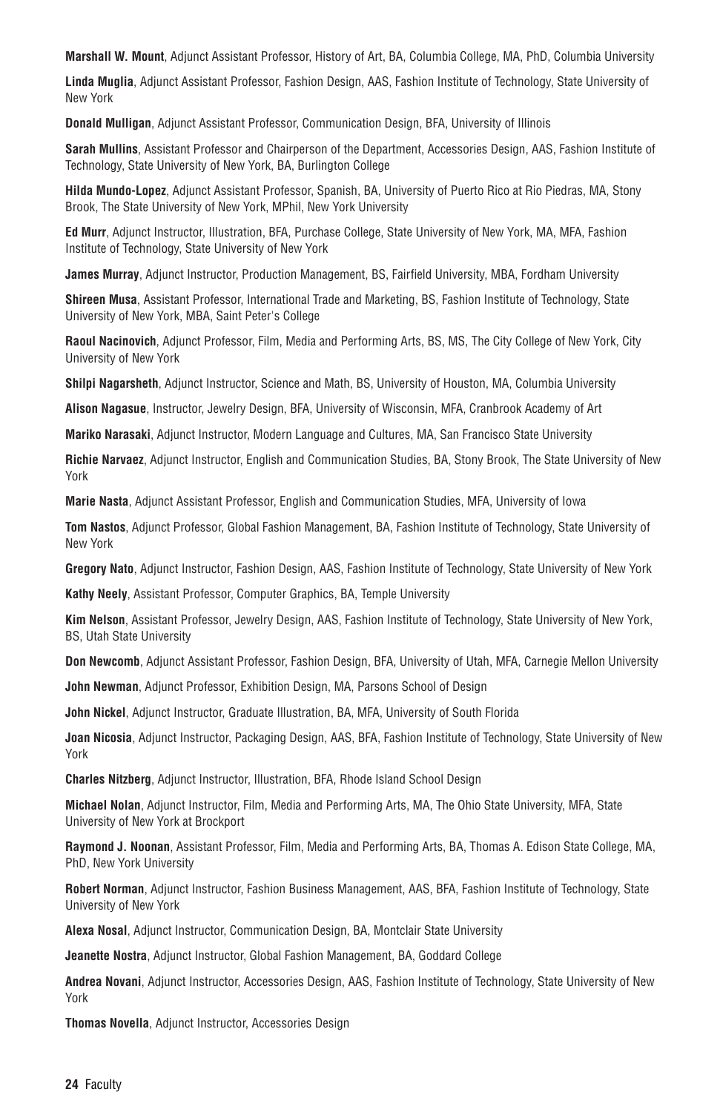**Marshall W. Mount**, Adjunct Assistant Professor, History of Art, BA, Columbia College, MA, PhD, Columbia University

**Linda Muglia**, Adjunct Assistant Professor, Fashion Design, AAS, Fashion Institute of Technology, State University of New York

**Donald Mulligan**, Adjunct Assistant Professor, Communication Design, BFA, University of Illinois

**Sarah Mullins**, Assistant Professor and Chairperson of the Department, Accessories Design, AAS, Fashion Institute of Technology, State University of New York, BA, Burlington College

**Hilda Mundo-Lopez**, Adjunct Assistant Professor, Spanish, BA, University of Puerto Rico at Rio Piedras, MA, Stony Brook, The State University of New York, MPhil, New York University

**Ed Murr**, Adjunct Instructor, Illustration, BFA, Purchase College, State University of New York, MA, MFA, Fashion Institute of Technology, State University of New York

**James Murray**, Adjunct Instructor, Production Management, BS, Fairfield University, MBA, Fordham University

**Shireen Musa**, Assistant Professor, International Trade and Marketing, BS, Fashion Institute of Technology, State University of New York, MBA, Saint Peter's College

**Raoul Nacinovich**, Adjunct Professor, Film, Media and Performing Arts, BS, MS, The City College of New York, City University of New York

**Shilpi Nagarsheth**, Adjunct Instructor, Science and Math, BS, University of Houston, MA, Columbia University

**Alison Nagasue**, Instructor, Jewelry Design, BFA, University of Wisconsin, MFA, Cranbrook Academy of Art

**Mariko Narasaki**, Adjunct Instructor, Modern Language and Cultures, MA, San Francisco State University

**Richie Narvaez**, Adjunct Instructor, English and Communication Studies, BA, Stony Brook, The State University of New York

**Marie Nasta**, Adjunct Assistant Professor, English and Communication Studies, MFA, University of Iowa

**Tom Nastos**, Adjunct Professor, Global Fashion Management, BA, Fashion Institute of Technology, State University of New York

**Gregory Nato**, Adjunct Instructor, Fashion Design, AAS, Fashion Institute of Technology, State University of New York

**Kathy Neely**, Assistant Professor, Computer Graphics, BA, Temple University

**Kim Nelson**, Assistant Professor, Jewelry Design, AAS, Fashion Institute of Technology, State University of New York, BS, Utah State University

**Don Newcomb**, Adjunct Assistant Professor, Fashion Design, BFA, University of Utah, MFA, Carnegie Mellon University

**John Newman**, Adjunct Professor, Exhibition Design, MA, Parsons School of Design

**John Nickel**, Adjunct Instructor, Graduate Illustration, BA, MFA, University of South Florida

**Joan Nicosia**, Adjunct Instructor, Packaging Design, AAS, BFA, Fashion Institute of Technology, State University of New York

**Charles Nitzberg**, Adjunct Instructor, Illustration, BFA, Rhode Island School Design

**Michael Nolan**, Adjunct Instructor, Film, Media and Performing Arts, MA, The Ohio State University, MFA, State University of New York at Brockport

**Raymond J. Noonan**, Assistant Professor, Film, Media and Performing Arts, BA, Thomas A. Edison State College, MA, PhD, New York University

**Robert Norman**, Adjunct Instructor, Fashion Business Management, AAS, BFA, Fashion Institute of Technology, State University of New York

**Alexa Nosal**, Adjunct Instructor, Communication Design, BA, Montclair State University

**Jeanette Nostra**, Adjunct Instructor, Global Fashion Management, BA, Goddard College

**Andrea Novani**, Adjunct Instructor, Accessories Design, AAS, Fashion Institute of Technology, State University of New York

**Thomas Novella**, Adjunct Instructor, Accessories Design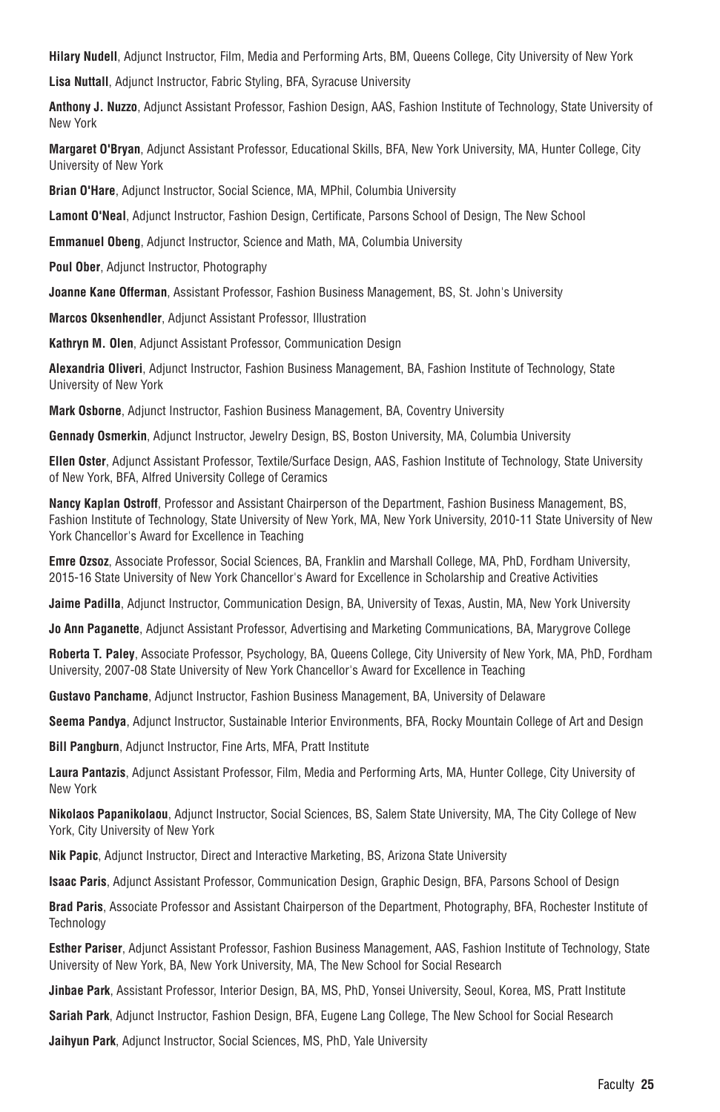**Hilary Nudell**, Adjunct Instructor, Film, Media and Performing Arts, BM, Queens College, City University of New York

**Lisa Nuttall**, Adjunct Instructor, Fabric Styling, BFA, Syracuse University

**Anthony J. Nuzzo**, Adjunct Assistant Professor, Fashion Design, AAS, Fashion Institute of Technology, State University of New York

**Margaret O'Bryan**, Adjunct Assistant Professor, Educational Skills, BFA, New York University, MA, Hunter College, City University of New York

**Brian O'Hare**, Adjunct Instructor, Social Science, MA, MPhil, Columbia University

**Lamont O'Neal**, Adjunct Instructor, Fashion Design, Certificate, Parsons School of Design, The New School

**Emmanuel Obeng**, Adjunct Instructor, Science and Math, MA, Columbia University

**Poul Ober**, Adjunct Instructor, Photography

**Joanne Kane Offerman**, Assistant Professor, Fashion Business Management, BS, St. John's University

**Marcos Oksenhendler**, Adjunct Assistant Professor, Illustration

**Kathryn M. Olen**, Adjunct Assistant Professor, Communication Design

**Alexandria Oliveri**, Adjunct Instructor, Fashion Business Management, BA, Fashion Institute of Technology, State University of New York

**Mark Osborne**, Adjunct Instructor, Fashion Business Management, BA, Coventry University

**Gennady Osmerkin**, Adjunct Instructor, Jewelry Design, BS, Boston University, MA, Columbia University

**Ellen Oster**, Adjunct Assistant Professor, Textile/Surface Design, AAS, Fashion Institute of Technology, State University of New York, BFA, Alfred University College of Ceramics

**Nancy Kaplan Ostroff**, Professor and Assistant Chairperson of the Department, Fashion Business Management, BS, Fashion Institute of Technology, State University of New York, MA, New York University, 2010-11 State University of New York Chancellor's Award for Excellence in Teaching

**Emre Ozsoz**, Associate Professor, Social Sciences, BA, Franklin and Marshall College, MA, PhD, Fordham University, 2015-16 State University of New York Chancellor's Award for Excellence in Scholarship and Creative Activities

**Jaime Padilla**, Adjunct Instructor, Communication Design, BA, University of Texas, Austin, MA, New York University

**Jo Ann Paganette**, Adjunct Assistant Professor, Advertising and Marketing Communications, BA, Marygrove College

**Roberta T. Paley**, Associate Professor, Psychology, BA, Queens College, City University of New York, MA, PhD, Fordham University, 2007-08 State University of New York Chancellor's Award for Excellence in Teaching

**Gustavo Panchame**, Adjunct Instructor, Fashion Business Management, BA, University of Delaware

**Seema Pandya**, Adjunct Instructor, Sustainable Interior Environments, BFA, Rocky Mountain College of Art and Design

**Bill Pangburn**, Adjunct Instructor, Fine Arts, MFA, Pratt Institute

**Laura Pantazis**, Adjunct Assistant Professor, Film, Media and Performing Arts, MA, Hunter College, City University of New York

**Nikolaos Papanikolaou**, Adjunct Instructor, Social Sciences, BS, Salem State University, MA, The City College of New York, City University of New York

**Nik Papic**, Adjunct Instructor, Direct and Interactive Marketing, BS, Arizona State University

**Isaac Paris**, Adjunct Assistant Professor, Communication Design, Graphic Design, BFA, Parsons School of Design

**Brad Paris**, Associate Professor and Assistant Chairperson of the Department, Photography, BFA, Rochester Institute of **Technology** 

**Esther Pariser**, Adjunct Assistant Professor, Fashion Business Management, AAS, Fashion Institute of Technology, State University of New York, BA, New York University, MA, The New School for Social Research

**Jinbae Park**, Assistant Professor, Interior Design, BA, MS, PhD, Yonsei University, Seoul, Korea, MS, Pratt Institute

**Sariah Park**, Adjunct Instructor, Fashion Design, BFA, Eugene Lang College, The New School for Social Research

**Jaihyun Park**, Adjunct Instructor, Social Sciences, MS, PhD, Yale University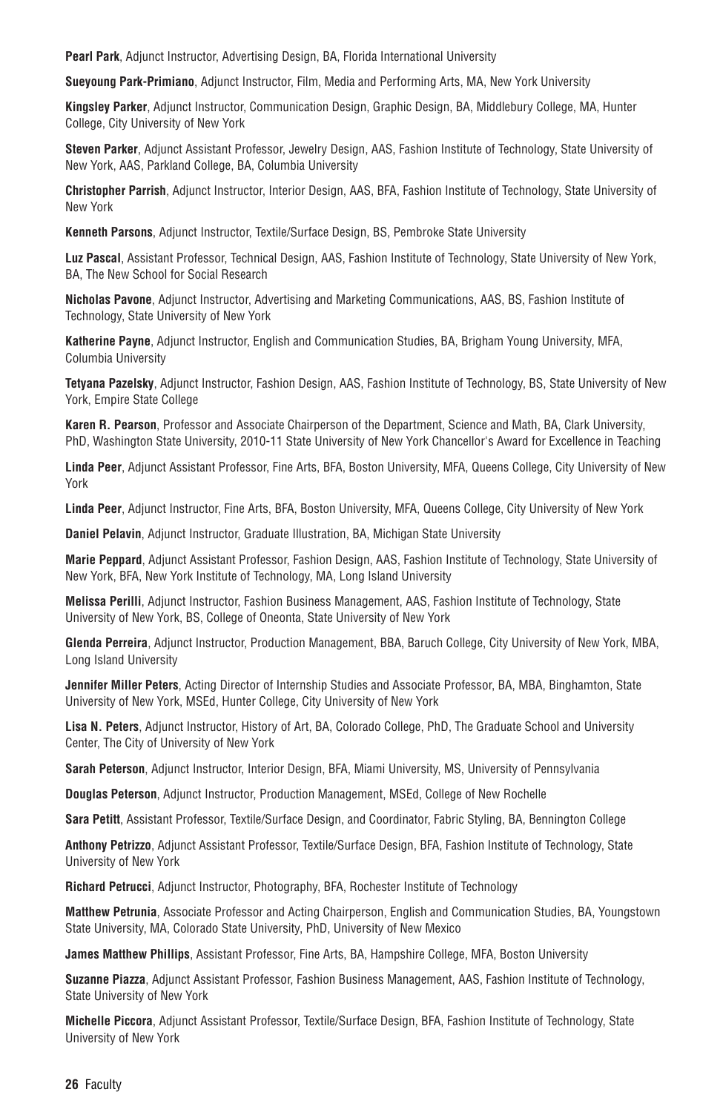**Pearl Park**, Adjunct Instructor, Advertising Design, BA, Florida International University

**Sueyoung Park-Primiano**, Adjunct Instructor, Film, Media and Performing Arts, MA, New York University

**Kingsley Parker**, Adjunct Instructor, Communication Design, Graphic Design, BA, Middlebury College, MA, Hunter College, City University of New York

**Steven Parker**, Adjunct Assistant Professor, Jewelry Design, AAS, Fashion Institute of Technology, State University of New York, AAS, Parkland College, BA, Columbia University

**Christopher Parrish**, Adjunct Instructor, Interior Design, AAS, BFA, Fashion Institute of Technology, State University of New York

**Kenneth Parsons**, Adjunct Instructor, Textile/Surface Design, BS, Pembroke State University

**Luz Pascal**, Assistant Professor, Technical Design, AAS, Fashion Institute of Technology, State University of New York, BA, The New School for Social Research

**Nicholas Pavone**, Adjunct Instructor, Advertising and Marketing Communications, AAS, BS, Fashion Institute of Technology, State University of New York

**Katherine Payne**, Adjunct Instructor, English and Communication Studies, BA, Brigham Young University, MFA, Columbia University

**Tetyana Pazelsky**, Adjunct Instructor, Fashion Design, AAS, Fashion Institute of Technology, BS, State University of New York, Empire State College

**Karen R. Pearson**, Professor and Associate Chairperson of the Department, Science and Math, BA, Clark University, PhD, Washington State University, 2010-11 State University of New York Chancellor's Award for Excellence in Teaching

**Linda Peer**, Adjunct Assistant Professor, Fine Arts, BFA, Boston University, MFA, Queens College, City University of New York

**Linda Peer**, Adjunct Instructor, Fine Arts, BFA, Boston University, MFA, Queens College, City University of New York

**Daniel Pelavin**, Adjunct Instructor, Graduate Illustration, BA, Michigan State University

**Marie Peppard**, Adjunct Assistant Professor, Fashion Design, AAS, Fashion Institute of Technology, State University of New York, BFA, New York Institute of Technology, MA, Long Island University

**Melissa Perilli**, Adjunct Instructor, Fashion Business Management, AAS, Fashion Institute of Technology, State University of New York, BS, College of Oneonta, State University of New York

**Glenda Perreira**, Adjunct Instructor, Production Management, BBA, Baruch College, City University of New York, MBA, Long Island University

**Jennifer Miller Peters**, Acting Director of Internship Studies and Associate Professor, BA, MBA, Binghamton, State University of New York, MSEd, Hunter College, City University of New York

**Lisa N. Peters**, Adjunct Instructor, History of Art, BA, Colorado College, PhD, The Graduate School and University Center, The City of University of New York

**Sarah Peterson**, Adjunct Instructor, Interior Design, BFA, Miami University, MS, University of Pennsylvania

**Douglas Peterson**, Adjunct Instructor, Production Management, MSEd, College of New Rochelle

**Sara Petitt**, Assistant Professor, Textile/Surface Design, and Coordinator, Fabric Styling, BA, Bennington College

**Anthony Petrizzo**, Adjunct Assistant Professor, Textile/Surface Design, BFA, Fashion Institute of Technology, State University of New York

**Richard Petrucci**, Adjunct Instructor, Photography, BFA, Rochester Institute of Technology

**Matthew Petrunia**, Associate Professor and Acting Chairperson, English and Communication Studies, BA, Youngstown State University, MA, Colorado State University, PhD, University of New Mexico

**James Matthew Phillips**, Assistant Professor, Fine Arts, BA, Hampshire College, MFA, Boston University

**Suzanne Piazza**, Adjunct Assistant Professor, Fashion Business Management, AAS, Fashion Institute of Technology, State University of New York

**Michelle Piccora**, Adjunct Assistant Professor, Textile/Surface Design, BFA, Fashion Institute of Technology, State University of New York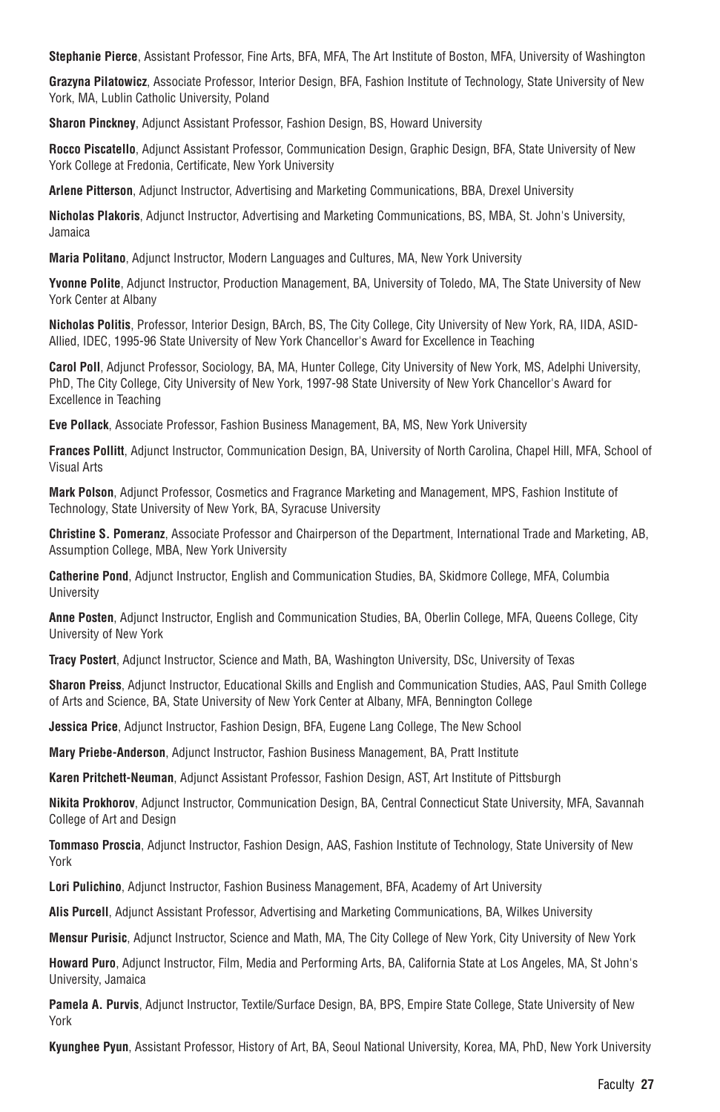**Stephanie Pierce**, Assistant Professor, Fine Arts, BFA, MFA, The Art Institute of Boston, MFA, University of Washington

**Grazyna Pilatowicz**, Associate Professor, Interior Design, BFA, Fashion Institute of Technology, State University of New York, MA, Lublin Catholic University, Poland

**Sharon Pinckney**, Adjunct Assistant Professor, Fashion Design, BS, Howard University

**Rocco Piscatello**, Adjunct Assistant Professor, Communication Design, Graphic Design, BFA, State University of New York College at Fredonia, Certificate, New York University

**Arlene Pitterson**, Adjunct Instructor, Advertising and Marketing Communications, BBA, Drexel University

**Nicholas Plakoris**, Adjunct Instructor, Advertising and Marketing Communications, BS, MBA, St. John's University, Jamaica

**Maria Politano**, Adjunct Instructor, Modern Languages and Cultures, MA, New York University

**Yvonne Polite**, Adjunct Instructor, Production Management, BA, University of Toledo, MA, The State University of New York Center at Albany

**Nicholas Politis**, Professor, Interior Design, BArch, BS, The City College, City University of New York, RA, IIDA, ASID-Allied, IDEC, 1995-96 State University of New York Chancellor's Award for Excellence in Teaching

**Carol Poll**, Adjunct Professor, Sociology, BA, MA, Hunter College, City University of New York, MS, Adelphi University, PhD, The City College, City University of New York, 1997-98 State University of New York Chancellor's Award for Excellence in Teaching

**Eve Pollack**, Associate Professor, Fashion Business Management, BA, MS, New York University

**Frances Pollitt**, Adjunct Instructor, Communication Design, BA, University of North Carolina, Chapel Hill, MFA, School of Visual Arts

**Mark Polson**, Adjunct Professor, Cosmetics and Fragrance Marketing and Management, MPS, Fashion Institute of Technology, State University of New York, BA, Syracuse University

**Christine S. Pomeranz**, Associate Professor and Chairperson of the Department, International Trade and Marketing, AB, Assumption College, MBA, New York University

**Catherine Pond**, Adjunct Instructor, English and Communication Studies, BA, Skidmore College, MFA, Columbia University

**Anne Posten**, Adjunct Instructor, English and Communication Studies, BA, Oberlin College, MFA, Queens College, City University of New York

**Tracy Postert**, Adjunct Instructor, Science and Math, BA, Washington University, DSc, University of Texas

**Sharon Preiss**, Adjunct Instructor, Educational Skills and English and Communication Studies, AAS, Paul Smith College of Arts and Science, BA, State University of New York Center at Albany, MFA, Bennington College

**Jessica Price**, Adjunct Instructor, Fashion Design, BFA, Eugene Lang College, The New School

**Mary Priebe-Anderson**, Adjunct Instructor, Fashion Business Management, BA, Pratt Institute

**Karen Pritchett-Neuman**, Adjunct Assistant Professor, Fashion Design, AST, Art Institute of Pittsburgh

**Nikita Prokhorov**, Adjunct Instructor, Communication Design, BA, Central Connecticut State University, MFA, Savannah College of Art and Design

**Tommaso Proscia**, Adjunct Instructor, Fashion Design, AAS, Fashion Institute of Technology, State University of New York

**Lori Pulichino**, Adjunct Instructor, Fashion Business Management, BFA, Academy of Art University

**Alis Purcell**, Adjunct Assistant Professor, Advertising and Marketing Communications, BA, Wilkes University

**Mensur Purisic**, Adjunct Instructor, Science and Math, MA, The City College of New York, City University of New York

**Howard Puro**, Adjunct Instructor, Film, Media and Performing Arts, BA, California State at Los Angeles, MA, St John's University, Jamaica

**Pamela A. Purvis**, Adjunct Instructor, Textile/Surface Design, BA, BPS, Empire State College, State University of New York

**Kyunghee Pyun**, Assistant Professor, History of Art, BA, Seoul National University, Korea, MA, PhD, New York University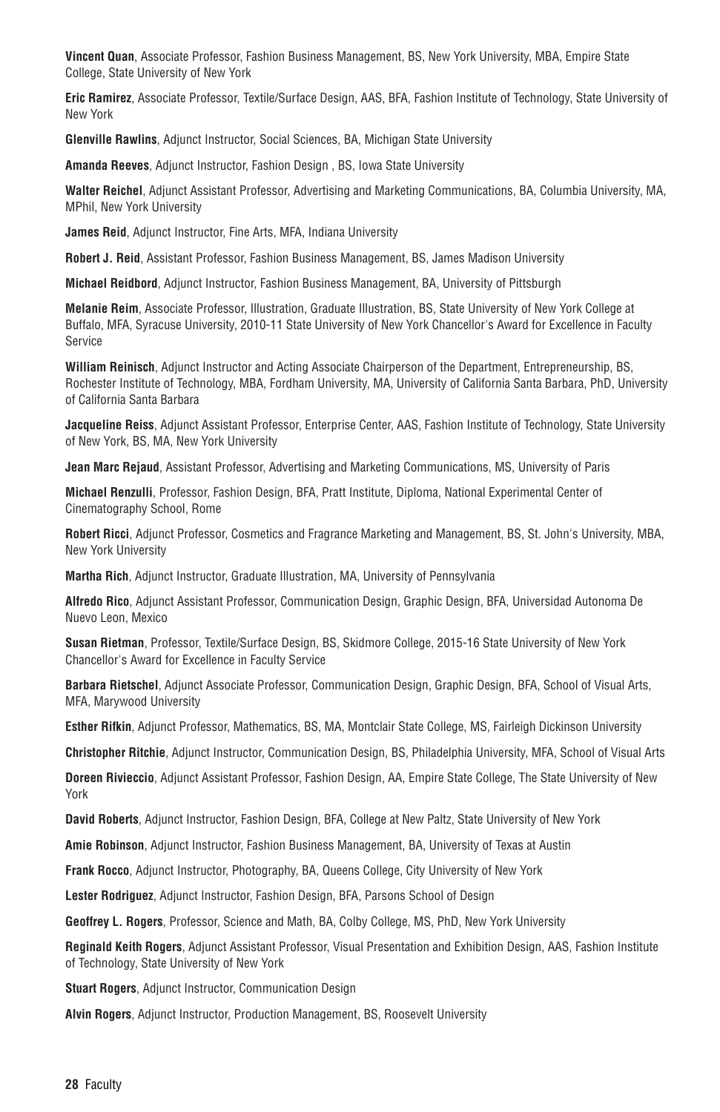**Vincent Quan**, Associate Professor, Fashion Business Management, BS, New York University, MBA, Empire State College, State University of New York

**Eric Ramirez**, Associate Professor, Textile/Surface Design, AAS, BFA, Fashion Institute of Technology, State University of New York

**Glenville Rawlins**, Adjunct Instructor, Social Sciences, BA, Michigan State University

**Amanda Reeves**, Adjunct Instructor, Fashion Design , BS, Iowa State University

**Walter Reichel**, Adjunct Assistant Professor, Advertising and Marketing Communications, BA, Columbia University, MA, MPhil, New York University

**James Reid**, Adjunct Instructor, Fine Arts, MFA, Indiana University

**Robert J. Reid**, Assistant Professor, Fashion Business Management, BS, James Madison University

**Michael Reidbord**, Adjunct Instructor, Fashion Business Management, BA, University of Pittsburgh

**Melanie Reim**, Associate Professor, Illustration, Graduate Illustration, BS, State University of New York College at Buffalo, MFA, Syracuse University, 2010-11 State University of New York Chancellor's Award for Excellence in Faculty Service

**William Reinisch**, Adjunct Instructor and Acting Associate Chairperson of the Department, Entrepreneurship, BS, Rochester Institute of Technology, MBA, Fordham University, MA, University of California Santa Barbara, PhD, University of California Santa Barbara

**Jacqueline Reiss**, Adjunct Assistant Professor, Enterprise Center, AAS, Fashion Institute of Technology, State University of New York, BS, MA, New York University

**Jean Marc Rejaud**, Assistant Professor, Advertising and Marketing Communications, MS, University of Paris

**Michael Renzulli**, Professor, Fashion Design, BFA, Pratt Institute, Diploma, National Experimental Center of Cinematography School, Rome

**Robert Ricci**, Adjunct Professor, Cosmetics and Fragrance Marketing and Management, BS, St. John's University, MBA, New York University

**Martha Rich**, Adjunct Instructor, Graduate Illustration, MA, University of Pennsylvania

**Alfredo Rico**, Adjunct Assistant Professor, Communication Design, Graphic Design, BFA, Universidad Autonoma De Nuevo Leon, Mexico

**Susan Rietman**, Professor, Textile/Surface Design, BS, Skidmore College, 2015-16 State University of New York Chancellor's Award for Excellence in Faculty Service

**Barbara Rietschel**, Adjunct Associate Professor, Communication Design, Graphic Design, BFA, School of Visual Arts, MFA, Marywood University

**Esther Rifkin**, Adjunct Professor, Mathematics, BS, MA, Montclair State College, MS, Fairleigh Dickinson University

**Christopher Ritchie**, Adjunct Instructor, Communication Design, BS, Philadelphia University, MFA, School of Visual Arts

**Doreen Rivieccio**, Adjunct Assistant Professor, Fashion Design, AA, Empire State College, The State University of New York

**David Roberts**, Adjunct Instructor, Fashion Design, BFA, College at New Paltz, State University of New York

**Amie Robinson**, Adjunct Instructor, Fashion Business Management, BA, University of Texas at Austin

**Frank Rocco**, Adjunct Instructor, Photography, BA, Queens College, City University of New York

**Lester Rodriguez**, Adjunct Instructor, Fashion Design, BFA, Parsons School of Design

**Geoffrey L. Rogers**, Professor, Science and Math, BA, Colby College, MS, PhD, New York University

**Reginald Keith Rogers**, Adjunct Assistant Professor, Visual Presentation and Exhibition Design, AAS, Fashion Institute of Technology, State University of New York

**Stuart Rogers**, Adjunct Instructor, Communication Design

**Alvin Rogers**, Adjunct Instructor, Production Management, BS, Roosevelt University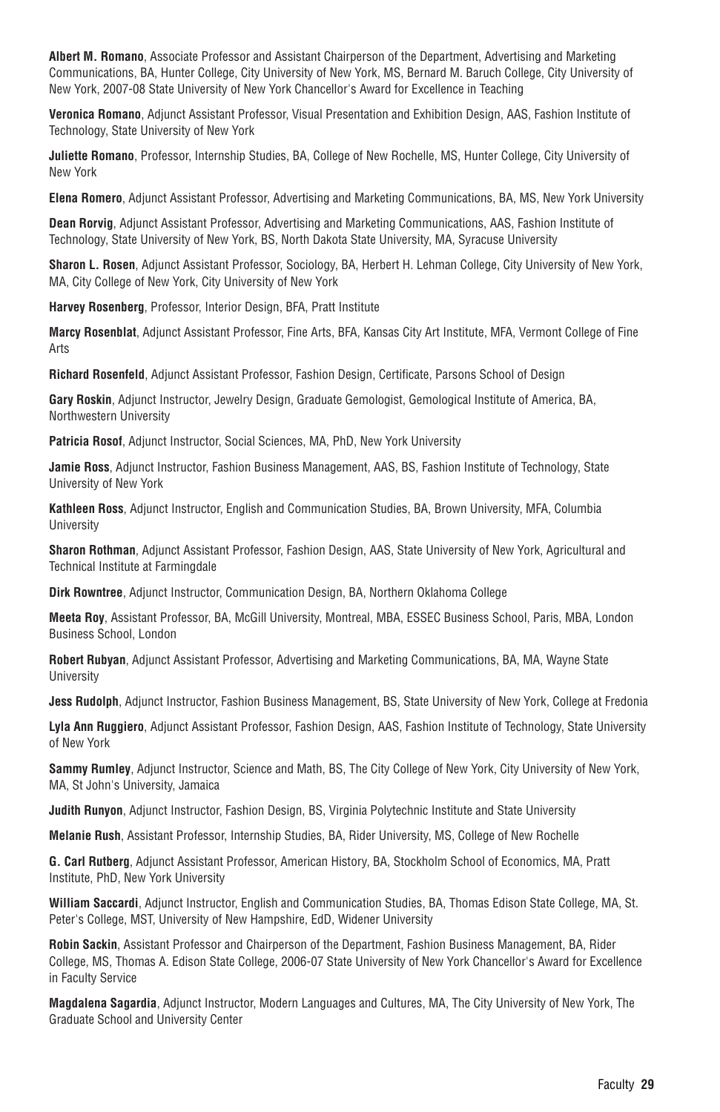**Albert M. Romano**, Associate Professor and Assistant Chairperson of the Department, Advertising and Marketing Communications, BA, Hunter College, City University of New York, MS, Bernard M. Baruch College, City University of New York, 2007-08 State University of New York Chancellor's Award for Excellence in Teaching

**Veronica Romano**, Adjunct Assistant Professor, Visual Presentation and Exhibition Design, AAS, Fashion Institute of Technology, State University of New York

**Juliette Romano**, Professor, Internship Studies, BA, College of New Rochelle, MS, Hunter College, City University of New York

**Elena Romero**, Adjunct Assistant Professor, Advertising and Marketing Communications, BA, MS, New York University

**Dean Rorvig**, Adjunct Assistant Professor, Advertising and Marketing Communications, AAS, Fashion Institute of Technology, State University of New York, BS, North Dakota State University, MA, Syracuse University

**Sharon L. Rosen**, Adjunct Assistant Professor, Sociology, BA, Herbert H. Lehman College, City University of New York, MA, City College of New York, City University of New York

**Harvey Rosenberg**, Professor, Interior Design, BFA, Pratt Institute

**Marcy Rosenblat**, Adjunct Assistant Professor, Fine Arts, BFA, Kansas City Art Institute, MFA, Vermont College of Fine Arts

**Richard Rosenfeld**, Adjunct Assistant Professor, Fashion Design, Certificate, Parsons School of Design

**Gary Roskin**, Adjunct Instructor, Jewelry Design, Graduate Gemologist, Gemological Institute of America, BA, Northwestern University

**Patricia Rosof**, Adjunct Instructor, Social Sciences, MA, PhD, New York University

**Jamie Ross**, Adjunct Instructor, Fashion Business Management, AAS, BS, Fashion Institute of Technology, State University of New York

**Kathleen Ross**, Adjunct Instructor, English and Communication Studies, BA, Brown University, MFA, Columbia **University** 

**Sharon Rothman**, Adjunct Assistant Professor, Fashion Design, AAS, State University of New York, Agricultural and Technical Institute at Farmingdale

**Dirk Rowntree**, Adjunct Instructor, Communication Design, BA, Northern Oklahoma College

**Meeta Roy**, Assistant Professor, BA, McGill University, Montreal, MBA, ESSEC Business School, Paris, MBA, London Business School, London

**Robert Rubyan**, Adjunct Assistant Professor, Advertising and Marketing Communications, BA, MA, Wayne State University

**Jess Rudolph**, Adjunct Instructor, Fashion Business Management, BS, State University of New York, College at Fredonia

**Lyla Ann Ruggiero**, Adjunct Assistant Professor, Fashion Design, AAS, Fashion Institute of Technology, State University of New York

**Sammy Rumley**, Adjunct Instructor, Science and Math, BS, The City College of New York, City University of New York, MA, St John's University, Jamaica

**Judith Runyon**, Adjunct Instructor, Fashion Design, BS, Virginia Polytechnic Institute and State University

**Melanie Rush**, Assistant Professor, Internship Studies, BA, Rider University, MS, College of New Rochelle

**G. Carl Rutberg**, Adjunct Assistant Professor, American History, BA, Stockholm School of Economics, MA, Pratt Institute, PhD, New York University

**William Saccardi**, Adjunct Instructor, English and Communication Studies, BA, Thomas Edison State College, MA, St. Peter's College, MST, University of New Hampshire, EdD, Widener University

**Robin Sackin**, Assistant Professor and Chairperson of the Department, Fashion Business Management, BA, Rider College, MS, Thomas A. Edison State College, 2006-07 State University of New York Chancellor's Award for Excellence in Faculty Service

**Magdalena Sagardia**, Adjunct Instructor, Modern Languages and Cultures, MA, The City University of New York, The Graduate School and University Center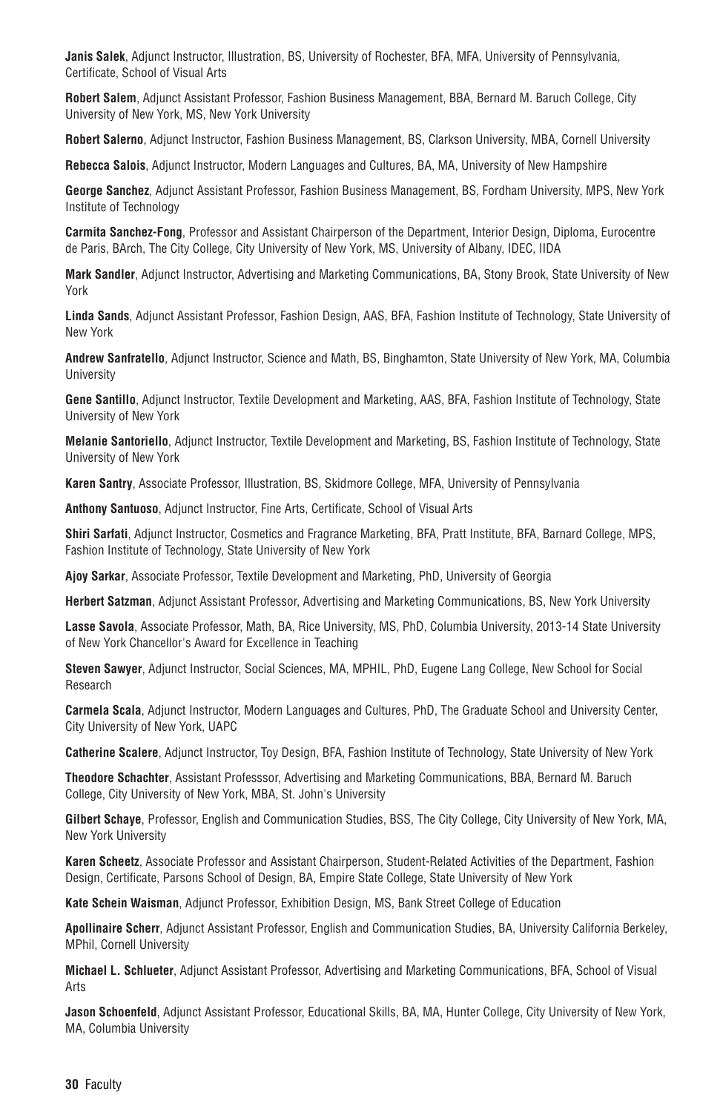**Janis Salek**, Adjunct Instructor, Illustration, BS, University of Rochester, BFA, MFA, University of Pennsylvania, Certificate, School of Visual Arts

**Robert Salem**, Adjunct Assistant Professor, Fashion Business Management, BBA, Bernard M. Baruch College, City University of New York, MS, New York University

**Robert Salerno**, Adjunct Instructor, Fashion Business Management, BS, Clarkson University, MBA, Cornell University

**Rebecca Salois**, Adjunct Instructor, Modern Languages and Cultures, BA, MA, University of New Hampshire

**George Sanchez**, Adjunct Assistant Professor, Fashion Business Management, BS, Fordham University, MPS, New York Institute of Technology

**Carmita Sanchez-Fong**, Professor and Assistant Chairperson of the Department, Interior Design, Diploma, Eurocentre de Paris, BArch, The City College, City University of New York, MS, University of Albany, IDEC, IIDA

**Mark Sandler**, Adjunct Instructor, Advertising and Marketing Communications, BA, Stony Brook, State University of New York

**Linda Sands**, Adjunct Assistant Professor, Fashion Design, AAS, BFA, Fashion Institute of Technology, State University of New York

**Andrew Sanfratello**, Adjunct Instructor, Science and Math, BS, Binghamton, State University of New York, MA, Columbia **University** 

**Gene Santillo**, Adjunct Instructor, Textile Development and Marketing, AAS, BFA, Fashion Institute of Technology, State University of New York

**Melanie Santoriello**, Adjunct Instructor, Textile Development and Marketing, BS, Fashion Institute of Technology, State University of New York

**Karen Santry**, Associate Professor, Illustration, BS, Skidmore College, MFA, University of Pennsylvania

**Anthony Santuoso**, Adjunct Instructor, Fine Arts, Certificate, School of Visual Arts

**Shiri Sarfati**, Adjunct Instructor, Cosmetics and Fragrance Marketing, BFA, Pratt Institute, BFA, Barnard College, MPS, Fashion Institute of Technology, State University of New York

**Ajoy Sarkar**, Associate Professor, Textile Development and Marketing, PhD, University of Georgia

**Herbert Satzman**, Adjunct Assistant Professor, Advertising and Marketing Communications, BS, New York University

**Lasse Savola**, Associate Professor, Math, BA, Rice University, MS, PhD, Columbia University, 2013-14 State University of New York Chancellor's Award for Excellence in Teaching

**Steven Sawyer**, Adjunct Instructor, Social Sciences, MA, MPHIL, PhD, Eugene Lang College, New School for Social Research

**Carmela Scala**, Adjunct Instructor, Modern Languages and Cultures, PhD, The Graduate School and University Center, City University of New York, UAPC

**Catherine Scalere**, Adjunct Instructor, Toy Design, BFA, Fashion Institute of Technology, State University of New York

**Theodore Schachter**, Assistant Professsor, Advertising and Marketing Communications, BBA, Bernard M. Baruch College, City University of New York, MBA, St. John's University

**Gilbert Schaye**, Professor, English and Communication Studies, BSS, The City College, City University of New York, MA, New York University

**Karen Scheetz**, Associate Professor and Assistant Chairperson, Student-Related Activities of the Department, Fashion Design, Certificate, Parsons School of Design, BA, Empire State College, State University of New York

**Kate Schein Waisman**, Adjunct Professor, Exhibition Design, MS, Bank Street College of Education

**Apollinaire Scherr**, Adjunct Assistant Professor, English and Communication Studies, BA, University California Berkeley, MPhil, Cornell University

**Michael L. Schlueter**, Adjunct Assistant Professor, Advertising and Marketing Communications, BFA, School of Visual Arts

**Jason Schoenfeld**, Adjunct Assistant Professor, Educational Skills, BA, MA, Hunter College, City University of New York, MA, Columbia University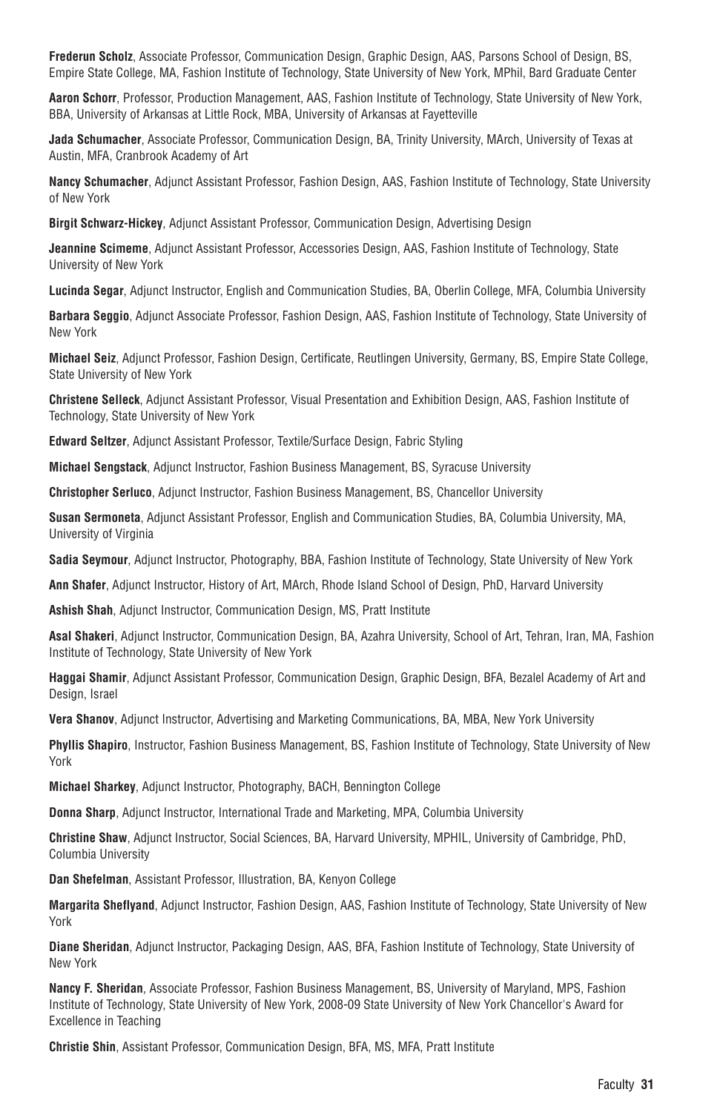**Frederun Scholz**, Associate Professor, Communication Design, Graphic Design, AAS, Parsons School of Design, BS, Empire State College, MA, Fashion Institute of Technology, State University of New York, MPhil, Bard Graduate Center

**Aaron Schorr**, Professor, Production Management, AAS, Fashion Institute of Technology, State University of New York, BBA, University of Arkansas at Little Rock, MBA, University of Arkansas at Fayetteville

**Jada Schumacher**, Associate Professor, Communication Design, BA, Trinity University, MArch, University of Texas at Austin, MFA, Cranbrook Academy of Art

**Nancy Schumacher**, Adjunct Assistant Professor, Fashion Design, AAS, Fashion Institute of Technology, State University of New York

**Birgit Schwarz-Hickey**, Adjunct Assistant Professor, Communication Design, Advertising Design

**Jeannine Scimeme**, Adjunct Assistant Professor, Accessories Design, AAS, Fashion Institute of Technology, State University of New York

**Lucinda Segar**, Adjunct Instructor, English and Communication Studies, BA, Oberlin College, MFA, Columbia University

**Barbara Seggio**, Adjunct Associate Professor, Fashion Design, AAS, Fashion Institute of Technology, State University of New York

**Michael Seiz**, Adjunct Professor, Fashion Design, Certificate, Reutlingen University, Germany, BS, Empire State College, State University of New York

**Christene Selleck**, Adjunct Assistant Professor, Visual Presentation and Exhibition Design, AAS, Fashion Institute of Technology, State University of New York

**Edward Seltzer**, Adjunct Assistant Professor, Textile/Surface Design, Fabric Styling

**Michael Sengstack**, Adjunct Instructor, Fashion Business Management, BS, Syracuse University

**Christopher Serluco**, Adjunct Instructor, Fashion Business Management, BS, Chancellor University

**Susan Sermoneta**, Adjunct Assistant Professor, English and Communication Studies, BA, Columbia University, MA, University of Virginia

**Sadia Seymour**, Adjunct Instructor, Photography, BBA, Fashion Institute of Technology, State University of New York

**Ann Shafer**, Adjunct Instructor, History of Art, MArch, Rhode Island School of Design, PhD, Harvard University

**Ashish Shah**, Adjunct Instructor, Communication Design, MS, Pratt Institute

**Asal Shakeri**, Adjunct Instructor, Communication Design, BA, Azahra University, School of Art, Tehran, Iran, MA, Fashion Institute of Technology, State University of New York

**Haggai Shamir**, Adjunct Assistant Professor, Communication Design, Graphic Design, BFA, Bezalel Academy of Art and Design, Israel

**Vera Shanov**, Adjunct Instructor, Advertising and Marketing Communications, BA, MBA, New York University

**Phyllis Shapiro**, Instructor, Fashion Business Management, BS, Fashion Institute of Technology, State University of New York

**Michael Sharkey**, Adjunct Instructor, Photography, BACH, Bennington College

**Donna Sharp**, Adjunct Instructor, International Trade and Marketing, MPA, Columbia University

**Christine Shaw**, Adjunct Instructor, Social Sciences, BA, Harvard University, MPHIL, University of Cambridge, PhD, Columbia University

**Dan Shefelman**, Assistant Professor, Illustration, BA, Kenyon College

**Margarita Sheflyand**, Adjunct Instructor, Fashion Design, AAS, Fashion Institute of Technology, State University of New York

**Diane Sheridan**, Adjunct Instructor, Packaging Design, AAS, BFA, Fashion Institute of Technology, State University of New York

**Nancy F. Sheridan**, Associate Professor, Fashion Business Management, BS, University of Maryland, MPS, Fashion Institute of Technology, State University of New York, 2008-09 State University of New York Chancellor's Award for Excellence in Teaching

**Christie Shin**, Assistant Professor, Communication Design, BFA, MS, MFA, Pratt Institute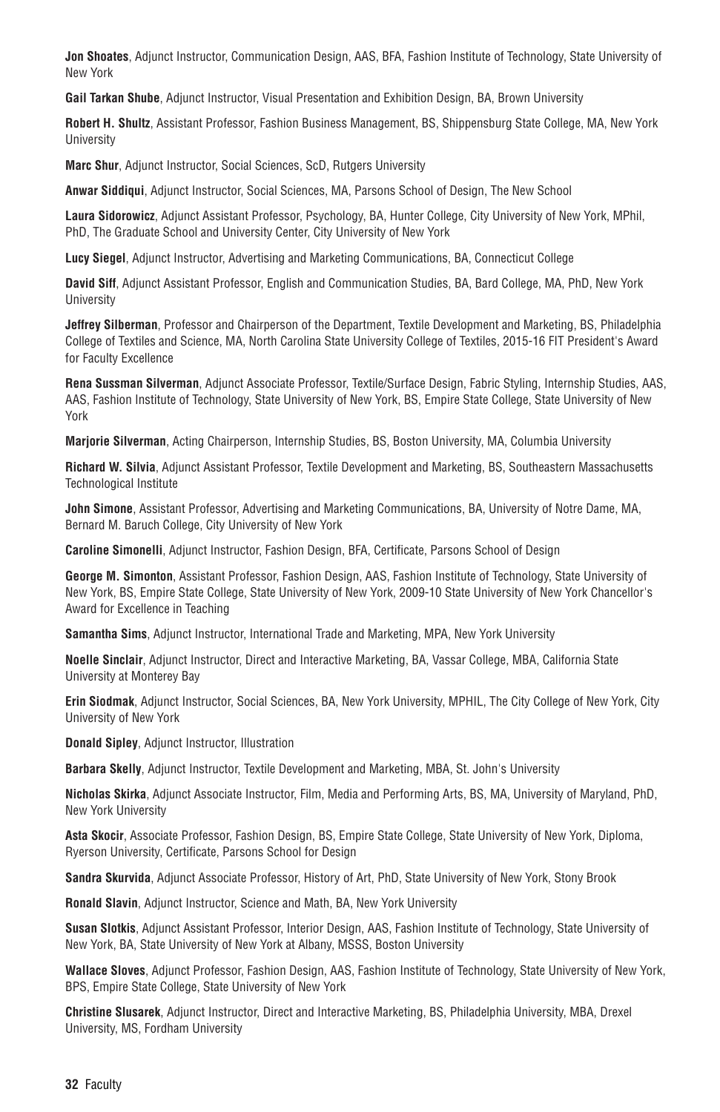**Jon Shoates**, Adjunct Instructor, Communication Design, AAS, BFA, Fashion Institute of Technology, State University of New York

**Gail Tarkan Shube**, Adjunct Instructor, Visual Presentation and Exhibition Design, BA, Brown University

**Robert H. Shultz**, Assistant Professor, Fashion Business Management, BS, Shippensburg State College, MA, New York **University** 

**Marc Shur**, Adjunct Instructor, Social Sciences, ScD, Rutgers University

**Anwar Siddiqui**, Adjunct Instructor, Social Sciences, MA, Parsons School of Design, The New School

**Laura Sidorowicz**, Adjunct Assistant Professor, Psychology, BA, Hunter College, City University of New York, MPhil, PhD, The Graduate School and University Center, City University of New York

**Lucy Siegel**, Adjunct Instructor, Advertising and Marketing Communications, BA, Connecticut College

**David Siff**, Adjunct Assistant Professor, English and Communication Studies, BA, Bard College, MA, PhD, New York University

**Jeffrey Silberman**, Professor and Chairperson of the Department, Textile Development and Marketing, BS, Philadelphia College of Textiles and Science, MA, North Carolina State University College of Textiles, 2015-16 FIT President's Award for Faculty Excellence

**Rena Sussman Silverman**, Adjunct Associate Professor, Textile/Surface Design, Fabric Styling, Internship Studies, AAS, AAS, Fashion Institute of Technology, State University of New York, BS, Empire State College, State University of New York

**Marjorie Silverman**, Acting Chairperson, Internship Studies, BS, Boston University, MA, Columbia University

**Richard W. Silvia**, Adjunct Assistant Professor, Textile Development and Marketing, BS, Southeastern Massachusetts Technological Institute

**John Simone**, Assistant Professor, Advertising and Marketing Communications, BA, University of Notre Dame, MA, Bernard M. Baruch College, City University of New York

**Caroline Simonelli**, Adjunct Instructor, Fashion Design, BFA, Certificate, Parsons School of Design

**George M. Simonton**, Assistant Professor, Fashion Design, AAS, Fashion Institute of Technology, State University of New York, BS, Empire State College, State University of New York, 2009-10 State University of New York Chancellor's Award for Excellence in Teaching

**Samantha Sims**, Adjunct Instructor, International Trade and Marketing, MPA, New York University

**Noelle Sinclair**, Adjunct Instructor, Direct and Interactive Marketing, BA, Vassar College, MBA, California State University at Monterey Bay

**Erin Siodmak**, Adjunct Instructor, Social Sciences, BA, New York University, MPHIL, The City College of New York, City University of New York

**Donald Sipley**, Adjunct Instructor, Illustration

**Barbara Skelly**, Adjunct Instructor, Textile Development and Marketing, MBA, St. John's University

**Nicholas Skirka**, Adjunct Associate Instructor, Film, Media and Performing Arts, BS, MA, University of Maryland, PhD, New York University

**Asta Skocir**, Associate Professor, Fashion Design, BS, Empire State College, State University of New York, Diploma, Ryerson University, Certificate, Parsons School for Design

**Sandra Skurvida**, Adjunct Associate Professor, History of Art, PhD, State University of New York, Stony Brook

**Ronald Slavin**, Adjunct Instructor, Science and Math, BA, New York University

**Susan Slotkis**, Adjunct Assistant Professor, Interior Design, AAS, Fashion Institute of Technology, State University of New York, BA, State University of New York at Albany, MSSS, Boston University

**Wallace Sloves**, Adjunct Professor, Fashion Design, AAS, Fashion Institute of Technology, State University of New York, BPS, Empire State College, State University of New York

**Christine Slusarek**, Adjunct Instructor, Direct and Interactive Marketing, BS, Philadelphia University, MBA, Drexel University, MS, Fordham University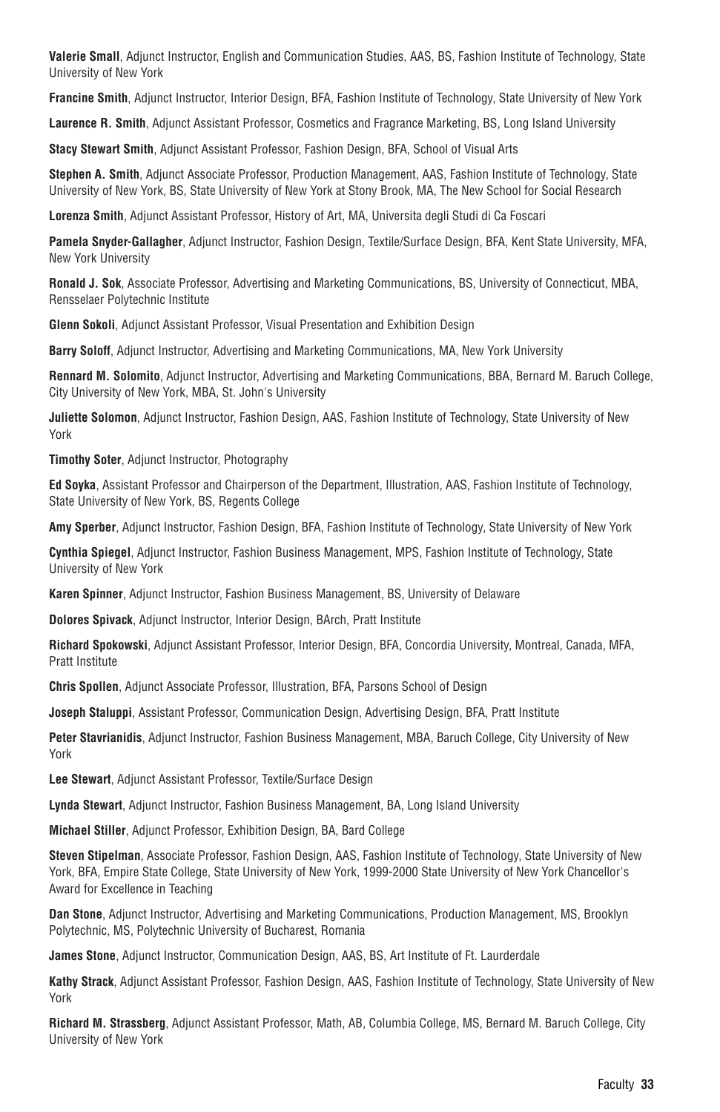**Valerie Small**, Adjunct Instructor, English and Communication Studies, AAS, BS, Fashion Institute of Technology, State University of New York

**Francine Smith**, Adjunct Instructor, Interior Design, BFA, Fashion Institute of Technology, State University of New York

**Laurence R. Smith**, Adjunct Assistant Professor, Cosmetics and Fragrance Marketing, BS, Long Island University

**Stacy Stewart Smith**, Adjunct Assistant Professor, Fashion Design, BFA, School of Visual Arts

**Stephen A. Smith**, Adjunct Associate Professor, Production Management, AAS, Fashion Institute of Technology, State University of New York, BS, State University of New York at Stony Brook, MA, The New School for Social Research

**Lorenza Smith**, Adjunct Assistant Professor, History of Art, MA, Universita degli Studi di Ca Foscari

**Pamela Snyder-Gallagher**, Adjunct Instructor, Fashion Design, Textile/Surface Design, BFA, Kent State University, MFA, New York University

**Ronald J. Sok**, Associate Professor, Advertising and Marketing Communications, BS, University of Connecticut, MBA, Rensselaer Polytechnic Institute

**Glenn Sokoli**, Adjunct Assistant Professor, Visual Presentation and Exhibition Design

**Barry Soloff**, Adjunct Instructor, Advertising and Marketing Communications, MA, New York University

**Rennard M. Solomito**, Adjunct Instructor, Advertising and Marketing Communications, BBA, Bernard M. Baruch College, City University of New York, MBA, St. John's University

**Juliette Solomon**, Adjunct Instructor, Fashion Design, AAS, Fashion Institute of Technology, State University of New York

**Timothy Soter**, Adjunct Instructor, Photography

**Ed Soyka**, Assistant Professor and Chairperson of the Department, Illustration, AAS, Fashion Institute of Technology, State University of New York, BS, Regents College

**Amy Sperber**, Adjunct Instructor, Fashion Design, BFA, Fashion Institute of Technology, State University of New York

**Cynthia Spiegel**, Adjunct Instructor, Fashion Business Management, MPS, Fashion Institute of Technology, State University of New York

**Karen Spinner**, Adjunct Instructor, Fashion Business Management, BS, University of Delaware

**Dolores Spivack**, Adjunct Instructor, Interior Design, BArch, Pratt Institute

**Richard Spokowski**, Adjunct Assistant Professor, Interior Design, BFA, Concordia University, Montreal, Canada, MFA, Pratt Institute

**Chris Spollen**, Adjunct Associate Professor, Illustration, BFA, Parsons School of Design

**Joseph Staluppi**, Assistant Professor, Communication Design, Advertising Design, BFA, Pratt Institute

**Peter Stavrianidis**, Adjunct Instructor, Fashion Business Management, MBA, Baruch College, City University of New York

**Lee Stewart**, Adjunct Assistant Professor, Textile/Surface Design

**Lynda Stewart**, Adjunct Instructor, Fashion Business Management, BA, Long Island University

**Michael Stiller**, Adjunct Professor, Exhibition Design, BA, Bard College

**Steven Stipelman**, Associate Professor, Fashion Design, AAS, Fashion Institute of Technology, State University of New York, BFA, Empire State College, State University of New York, 1999-2000 State University of New York Chancellor's Award for Excellence in Teaching

**Dan Stone**, Adjunct Instructor, Advertising and Marketing Communications, Production Management, MS, Brooklyn Polytechnic, MS, Polytechnic University of Bucharest, Romania

**James Stone**, Adjunct Instructor, Communication Design, AAS, BS, Art Institute of Ft. Laurderdale

**Kathy Strack**, Adjunct Assistant Professor, Fashion Design, AAS, Fashion Institute of Technology, State University of New York

**Richard M. Strassberg**, Adjunct Assistant Professor, Math, AB, Columbia College, MS, Bernard M. Baruch College, City University of New York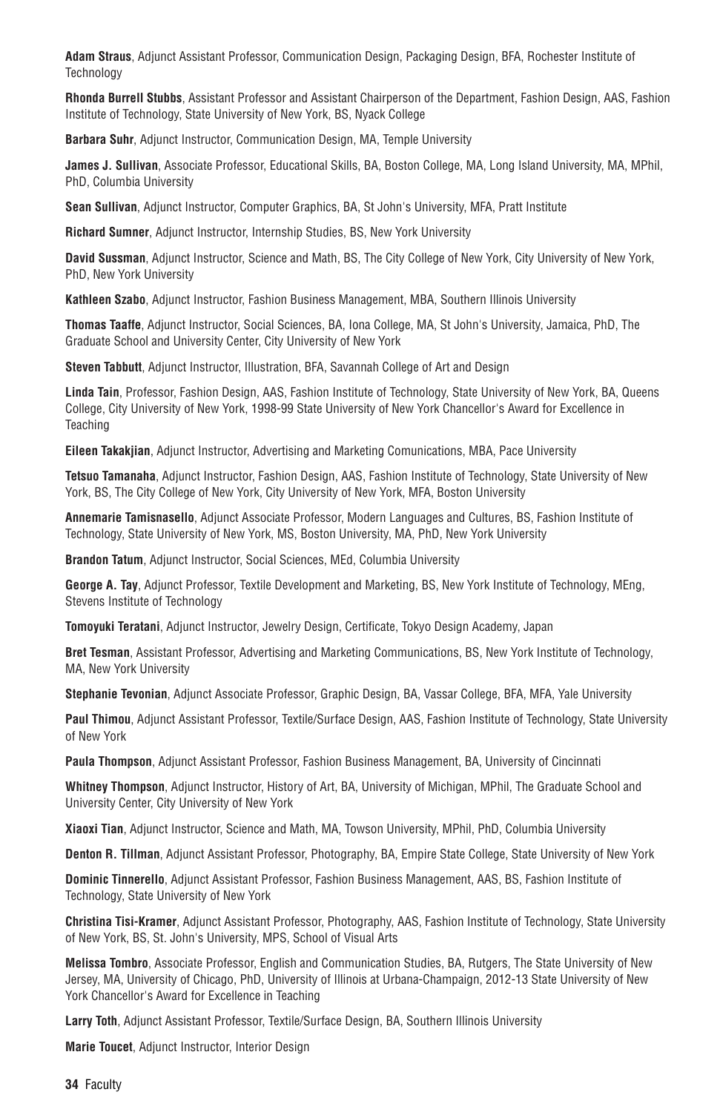**Adam Straus**, Adjunct Assistant Professor, Communication Design, Packaging Design, BFA, Rochester Institute of **Technology** 

**Rhonda Burrell Stubbs**, Assistant Professor and Assistant Chairperson of the Department, Fashion Design, AAS, Fashion Institute of Technology, State University of New York, BS, Nyack College

**Barbara Suhr**, Adjunct Instructor, Communication Design, MA, Temple University

**James J. Sullivan**, Associate Professor, Educational Skills, BA, Boston College, MA, Long Island University, MA, MPhil, PhD, Columbia University

**Sean Sullivan**, Adjunct Instructor, Computer Graphics, BA, St John's University, MFA, Pratt Institute

**Richard Sumner**, Adjunct Instructor, Internship Studies, BS, New York University

**David Sussman**, Adjunct Instructor, Science and Math, BS, The City College of New York, City University of New York, PhD, New York University

**Kathleen Szabo**, Adjunct Instructor, Fashion Business Management, MBA, Southern Illinois University

**Thomas Taaffe**, Adjunct Instructor, Social Sciences, BA, Iona College, MA, St John's University, Jamaica, PhD, The Graduate School and University Center, City University of New York

**Steven Tabbutt**, Adjunct Instructor, Illustration, BFA, Savannah College of Art and Design

**Linda Tain**, Professor, Fashion Design, AAS, Fashion Institute of Technology, State University of New York, BA, Queens College, City University of New York, 1998-99 State University of New York Chancellor's Award for Excellence in **Teaching** 

**Eileen Takakjian**, Adjunct Instructor, Advertising and Marketing Comunications, MBA, Pace University

**Tetsuo Tamanaha**, Adjunct Instructor, Fashion Design, AAS, Fashion Institute of Technology, State University of New York, BS, The City College of New York, City University of New York, MFA, Boston University

**Annemarie Tamisnasello**, Adjunct Associate Professor, Modern Languages and Cultures, BS, Fashion Institute of Technology, State University of New York, MS, Boston University, MA, PhD, New York University

**Brandon Tatum**, Adjunct Instructor, Social Sciences, MEd, Columbia University

**George A. Tay**, Adjunct Professor, Textile Development and Marketing, BS, New York Institute of Technology, MEng, Stevens Institute of Technology

**Tomoyuki Teratani**, Adjunct Instructor, Jewelry Design, Certificate, Tokyo Design Academy, Japan

**Bret Tesman**, Assistant Professor, Advertising and Marketing Communications, BS, New York Institute of Technology, MA, New York University

**Stephanie Tevonian**, Adjunct Associate Professor, Graphic Design, BA, Vassar College, BFA, MFA, Yale University

**Paul Thimou**, Adjunct Assistant Professor, Textile/Surface Design, AAS, Fashion Institute of Technology, State University of New York

**Paula Thompson**, Adjunct Assistant Professor, Fashion Business Management, BA, University of Cincinnati

**Whitney Thompson**, Adjunct Instructor, History of Art, BA, University of Michigan, MPhil, The Graduate School and University Center, City University of New York

**Xiaoxi Tian**, Adjunct Instructor, Science and Math, MA, Towson University, MPhil, PhD, Columbia University

**Denton R. Tillman**, Adjunct Assistant Professor, Photography, BA, Empire State College, State University of New York

**Dominic Tinnerello**, Adjunct Assistant Professor, Fashion Business Management, AAS, BS, Fashion Institute of Technology, State University of New York

**Christina Tisi-Kramer**, Adjunct Assistant Professor, Photography, AAS, Fashion Institute of Technology, State University of New York, BS, St. John's University, MPS, School of Visual Arts

**Melissa Tombro**, Associate Professor, English and Communication Studies, BA, Rutgers, The State University of New Jersey, MA, University of Chicago, PhD, University of Illinois at Urbana-Champaign, 2012-13 State University of New York Chancellor's Award for Excellence in Teaching

**Larry Toth**, Adjunct Assistant Professor, Textile/Surface Design, BA, Southern Illinois University

**Marie Toucet**, Adjunct Instructor, Interior Design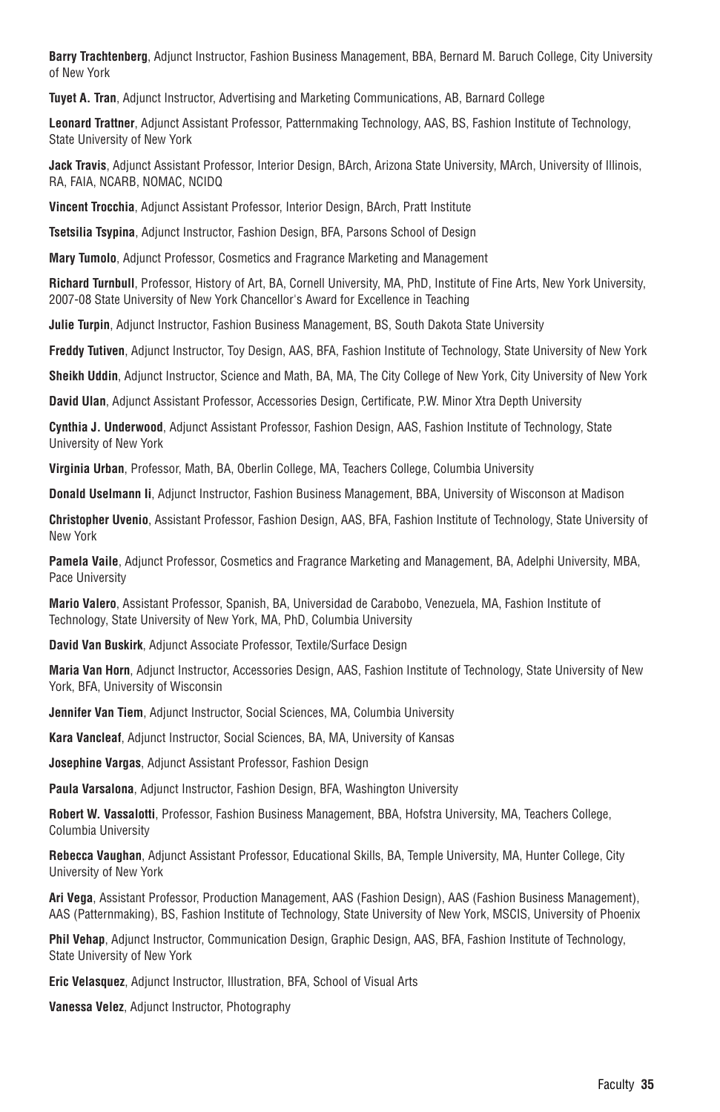**Barry Trachtenberg**, Adjunct Instructor, Fashion Business Management, BBA, Bernard M. Baruch College, City University of New York

**Tuyet A. Tran**, Adjunct Instructor, Advertising and Marketing Communications, AB, Barnard College

**Leonard Trattner**, Adjunct Assistant Professor, Patternmaking Technology, AAS, BS, Fashion Institute of Technology, State University of New York

**Jack Travis**, Adjunct Assistant Professor, Interior Design, BArch, Arizona State University, MArch, University of Illinois, RA, FAIA, NCARB, NOMAC, NCIDQ

**Vincent Trocchia**, Adjunct Assistant Professor, Interior Design, BArch, Pratt Institute

**Tsetsilia Tsypina**, Adjunct Instructor, Fashion Design, BFA, Parsons School of Design

**Mary Tumolo**, Adjunct Professor, Cosmetics and Fragrance Marketing and Management

**Richard Turnbull**, Professor, History of Art, BA, Cornell University, MA, PhD, Institute of Fine Arts, New York University, 2007-08 State University of New York Chancellor's Award for Excellence in Teaching

**Julie Turpin**, Adjunct Instructor, Fashion Business Management, BS, South Dakota State University

**Freddy Tutiven**, Adjunct Instructor, Toy Design, AAS, BFA, Fashion Institute of Technology, State University of New York

**Sheikh Uddin**, Adjunct Instructor, Science and Math, BA, MA, The City College of New York, City University of New York

**David Ulan**, Adjunct Assistant Professor, Accessories Design, Certificate, P.W. Minor Xtra Depth University

**Cynthia J. Underwood**, Adjunct Assistant Professor, Fashion Design, AAS, Fashion Institute of Technology, State University of New York

**Virginia Urban**, Professor, Math, BA, Oberlin College, MA, Teachers College, Columbia University

**Donald Uselmann Ii**, Adjunct Instructor, Fashion Business Management, BBA, University of Wisconson at Madison

**Christopher Uvenio**, Assistant Professor, Fashion Design, AAS, BFA, Fashion Institute of Technology, State University of New York

**Pamela Vaile**, Adjunct Professor, Cosmetics and Fragrance Marketing and Management, BA, Adelphi University, MBA, Pace University

**Mario Valero**, Assistant Professor, Spanish, BA, Universidad de Carabobo, Venezuela, MA, Fashion Institute of Technology, State University of New York, MA, PhD, Columbia University

**David Van Buskirk**, Adjunct Associate Professor, Textile/Surface Design

**Maria Van Horn**, Adjunct Instructor, Accessories Design, AAS, Fashion Institute of Technology, State University of New York, BFA, University of Wisconsin

**Jennifer Van Tiem**, Adjunct Instructor, Social Sciences, MA, Columbia University

**Kara Vancleaf**, Adjunct Instructor, Social Sciences, BA, MA, University of Kansas

**Josephine Vargas**, Adjunct Assistant Professor, Fashion Design

**Paula Varsalona**, Adjunct Instructor, Fashion Design, BFA, Washington University

**Robert W. Vassalotti**, Professor, Fashion Business Management, BBA, Hofstra University, MA, Teachers College, Columbia University

**Rebecca Vaughan**, Adjunct Assistant Professor, Educational Skills, BA, Temple University, MA, Hunter College, City University of New York

**Ari Vega**, Assistant Professor, Production Management, AAS (Fashion Design), AAS (Fashion Business Management), AAS (Patternmaking), BS, Fashion Institute of Technology, State University of New York, MSCIS, University of Phoenix

**Phil Vehap**, Adjunct Instructor, Communication Design, Graphic Design, AAS, BFA, Fashion Institute of Technology, State University of New York

**Eric Velasquez**, Adjunct Instructor, Illustration, BFA, School of Visual Arts

**Vanessa Velez**, Adjunct Instructor, Photography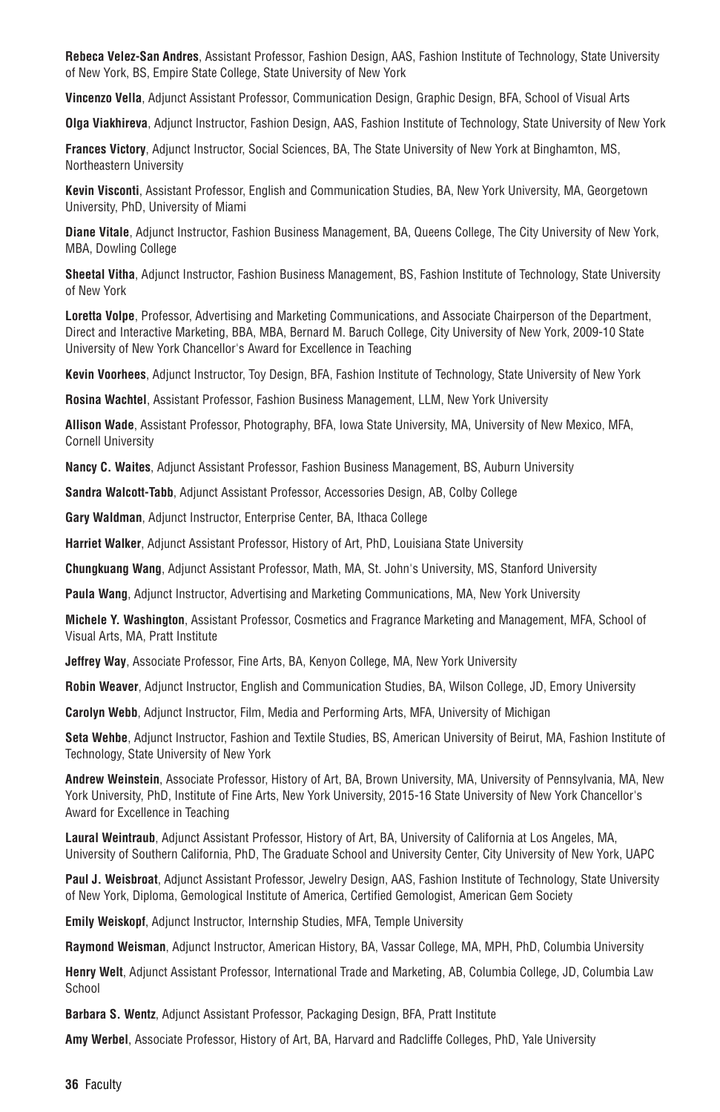**Rebeca Velez-San Andres**, Assistant Professor, Fashion Design, AAS, Fashion Institute of Technology, State University of New York, BS, Empire State College, State University of New York

**Vincenzo Vella**, Adjunct Assistant Professor, Communication Design, Graphic Design, BFA, School of Visual Arts

**Olga Viakhireva**, Adjunct Instructor, Fashion Design, AAS, Fashion Institute of Technology, State University of New York

**Frances Victory**, Adjunct Instructor, Social Sciences, BA, The State University of New York at Binghamton, MS, Northeastern University

**Kevin Visconti**, Assistant Professor, English and Communication Studies, BA, New York University, MA, Georgetown University, PhD, University of Miami

**Diane Vitale**, Adjunct Instructor, Fashion Business Management, BA, Queens College, The City University of New York, MBA, Dowling College

**Sheetal Vitha**, Adjunct Instructor, Fashion Business Management, BS, Fashion Institute of Technology, State University of New York

**Loretta Volpe**, Professor, Advertising and Marketing Communications, and Associate Chairperson of the Department, Direct and Interactive Marketing, BBA, MBA, Bernard M. Baruch College, City University of New York, 2009-10 State University of New York Chancellor's Award for Excellence in Teaching

**Kevin Voorhees**, Adjunct Instructor, Toy Design, BFA, Fashion Institute of Technology, State University of New York

**Rosina Wachtel**, Assistant Professor, Fashion Business Management, LLM, New York University

**Allison Wade**, Assistant Professor, Photography, BFA, Iowa State University, MA, University of New Mexico, MFA, Cornell University

**Nancy C. Waites**, Adjunct Assistant Professor, Fashion Business Management, BS, Auburn University

**Sandra Walcott-Tabb**, Adjunct Assistant Professor, Accessories Design, AB, Colby College

**Gary Waldman**, Adjunct Instructor, Enterprise Center, BA, Ithaca College

**Harriet Walker**, Adjunct Assistant Professor, History of Art, PhD, Louisiana State University

**Chungkuang Wang**, Adjunct Assistant Professor, Math, MA, St. John's University, MS, Stanford University

**Paula Wang**, Adjunct Instructor, Advertising and Marketing Communications, MA, New York University

**Michele Y. Washington**, Assistant Professor, Cosmetics and Fragrance Marketing and Management, MFA, School of Visual Arts, MA, Pratt Institute

**Jeffrey Way**, Associate Professor, Fine Arts, BA, Kenyon College, MA, New York University

**Robin Weaver**, Adjunct Instructor, English and Communication Studies, BA, Wilson College, JD, Emory University

**Carolyn Webb**, Adjunct Instructor, Film, Media and Performing Arts, MFA, University of Michigan

**Seta Wehbe**, Adjunct Instructor, Fashion and Textile Studies, BS, American University of Beirut, MA, Fashion Institute of Technology, State University of New York

**Andrew Weinstein**, Associate Professor, History of Art, BA, Brown University, MA, University of Pennsylvania, MA, New York University, PhD, Institute of Fine Arts, New York University, 2015-16 State University of New York Chancellor's Award for Excellence in Teaching

**Laural Weintraub**, Adjunct Assistant Professor, History of Art, BA, University of California at Los Angeles, MA, University of Southern California, PhD, The Graduate School and University Center, City University of New York, UAPC

**Paul J. Weisbroat**, Adjunct Assistant Professor, Jewelry Design, AAS, Fashion Institute of Technology, State University of New York, Diploma, Gemological Institute of America, Certified Gemologist, American Gem Society

**Emily Weiskopf**, Adjunct Instructor, Internship Studies, MFA, Temple University

**Raymond Weisman**, Adjunct Instructor, American History, BA, Vassar College, MA, MPH, PhD, Columbia University

**Henry Welt**, Adjunct Assistant Professor, International Trade and Marketing, AB, Columbia College, JD, Columbia Law School

**Barbara S. Wentz**, Adjunct Assistant Professor, Packaging Design, BFA, Pratt Institute

**Amy Werbel**, Associate Professor, History of Art, BA, Harvard and Radcliffe Colleges, PhD, Yale University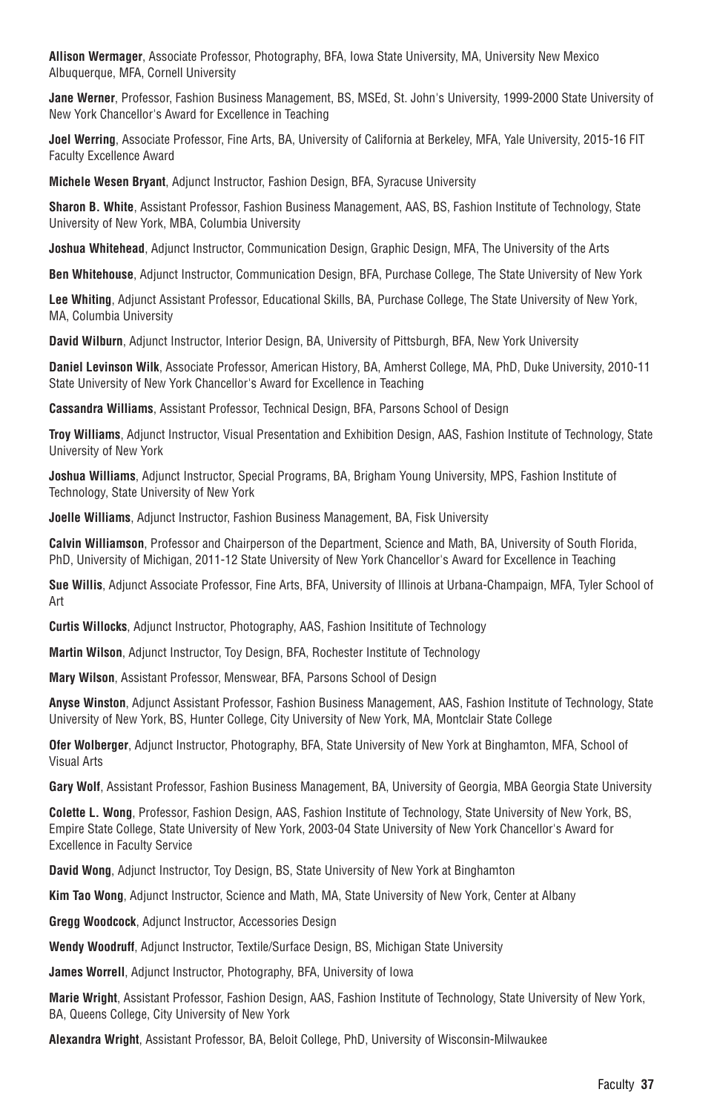**Allison Wermager**, Associate Professor, Photography, BFA, Iowa State University, MA, University New Mexico Albuquerque, MFA, Cornell University

**Jane Werner**, Professor, Fashion Business Management, BS, MSEd, St. John's University, 1999-2000 State University of New York Chancellor's Award for Excellence in Teaching

**Joel Werring**, Associate Professor, Fine Arts, BA, University of California at Berkeley, MFA, Yale University, 2015-16 FIT Faculty Excellence Award

**Michele Wesen Bryant**, Adjunct Instructor, Fashion Design, BFA, Syracuse University

**Sharon B. White**, Assistant Professor, Fashion Business Management, AAS, BS, Fashion Institute of Technology, State University of New York, MBA, Columbia University

**Joshua Whitehead**, Adjunct Instructor, Communication Design, Graphic Design, MFA, The University of the Arts

**Ben Whitehouse**, Adjunct Instructor, Communication Design, BFA, Purchase College, The State University of New York

**Lee Whiting**, Adjunct Assistant Professor, Educational Skills, BA, Purchase College, The State University of New York, MA, Columbia University

**David Wilburn**, Adjunct Instructor, Interior Design, BA, University of Pittsburgh, BFA, New York University

**Daniel Levinson Wilk**, Associate Professor, American History, BA, Amherst College, MA, PhD, Duke University, 2010-11 State University of New York Chancellor's Award for Excellence in Teaching

**Cassandra Williams**, Assistant Professor, Technical Design, BFA, Parsons School of Design

**Troy Williams**, Adjunct Instructor, Visual Presentation and Exhibition Design, AAS, Fashion Institute of Technology, State University of New York

**Joshua Williams**, Adjunct Instructor, Special Programs, BA, Brigham Young University, MPS, Fashion Institute of Technology, State University of New York

**Joelle Williams**, Adjunct Instructor, Fashion Business Management, BA, Fisk University

**Calvin Williamson**, Professor and Chairperson of the Department, Science and Math, BA, University of South Florida, PhD, University of Michigan, 2011-12 State University of New York Chancellor's Award for Excellence in Teaching

**Sue Willis**, Adjunct Associate Professor, Fine Arts, BFA, University of Illinois at Urbana-Champaign, MFA, Tyler School of Art

**Curtis Willocks**, Adjunct Instructor, Photography, AAS, Fashion Insititute of Technology

**Martin Wilson**, Adjunct Instructor, Toy Design, BFA, Rochester Institute of Technology

**Mary Wilson**, Assistant Professor, Menswear, BFA, Parsons School of Design

**Anyse Winston**, Adjunct Assistant Professor, Fashion Business Management, AAS, Fashion Institute of Technology, State University of New York, BS, Hunter College, City University of New York, MA, Montclair State College

**Ofer Wolberger**, Adjunct Instructor, Photography, BFA, State University of New York at Binghamton, MFA, School of Visual Arts

**Gary Wolf**, Assistant Professor, Fashion Business Management, BA, University of Georgia, MBA Georgia State University

**Colette L. Wong**, Professor, Fashion Design, AAS, Fashion Institute of Technology, State University of New York, BS, Empire State College, State University of New York, 2003-04 State University of New York Chancellor's Award for Excellence in Faculty Service

**David Wong**, Adjunct Instructor, Toy Design, BS, State University of New York at Binghamton

**Kim Tao Wong**, Adjunct Instructor, Science and Math, MA, State University of New York, Center at Albany

**Gregg Woodcock**, Adjunct Instructor, Accessories Design

**Wendy Woodruff**, Adjunct Instructor, Textile/Surface Design, BS, Michigan State University

**James Worrell**, Adjunct Instructor, Photography, BFA, University of Iowa

**Marie Wright**, Assistant Professor, Fashion Design, AAS, Fashion Institute of Technology, State University of New York, BA, Queens College, City University of New York

**Alexandra Wright**, Assistant Professor, BA, Beloit College, PhD, University of Wisconsin-Milwaukee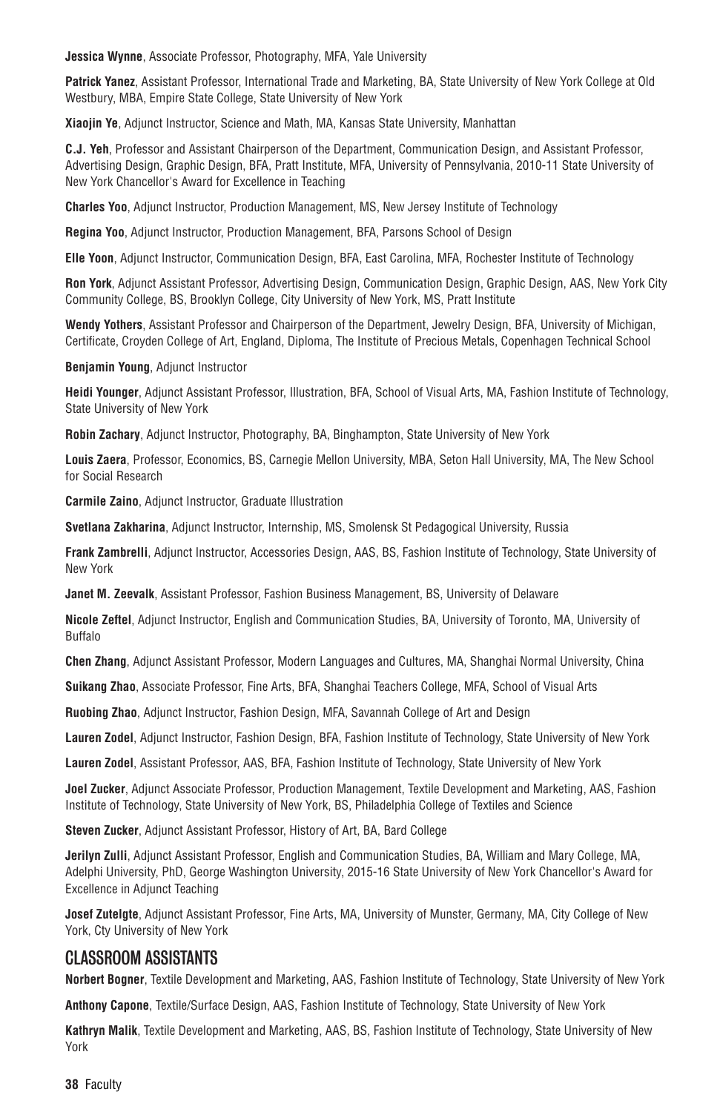**Jessica Wynne**, Associate Professor, Photography, MFA, Yale University

**Patrick Yanez**, Assistant Professor, International Trade and Marketing, BA, State University of New York College at Old Westbury, MBA, Empire State College, State University of New York

**Xiaojin Ye**, Adjunct Instructor, Science and Math, MA, Kansas State University, Manhattan

**C.J. Yeh**, Professor and Assistant Chairperson of the Department, Communication Design, and Assistant Professor, Advertising Design, Graphic Design, BFA, Pratt Institute, MFA, University of Pennsylvania, 2010-11 State University of New York Chancellor's Award for Excellence in Teaching

**Charles Yoo**, Adjunct Instructor, Production Management, MS, New Jersey Institute of Technology

**Regina Yoo**, Adjunct Instructor, Production Management, BFA, Parsons School of Design

**Elle Yoon**, Adjunct Instructor, Communication Design, BFA, East Carolina, MFA, Rochester Institute of Technology

**Ron York**, Adjunct Assistant Professor, Advertising Design, Communication Design, Graphic Design, AAS, New York City Community College, BS, Brooklyn College, City University of New York, MS, Pratt Institute

**Wendy Yothers**, Assistant Professor and Chairperson of the Department, Jewelry Design, BFA, University of Michigan, Certificate, Croyden College of Art, England, Diploma, The Institute of Precious Metals, Copenhagen Technical School

**Benjamin Young**, Adjunct Instructor

**Heidi Younger**, Adjunct Assistant Professor, Illustration, BFA, School of Visual Arts, MA, Fashion Institute of Technology, State University of New York

**Robin Zachary**, Adjunct Instructor, Photography, BA, Binghampton, State University of New York

**Louis Zaera**, Professor, Economics, BS, Carnegie Mellon University, MBA, Seton Hall University, MA, The New School for Social Research

**Carmile Zaino**, Adjunct Instructor, Graduate Illustration

**Svetlana Zakharina**, Adjunct Instructor, Internship, MS, Smolensk St Pedagogical University, Russia

**Frank Zambrelli**, Adjunct Instructor, Accessories Design, AAS, BS, Fashion Institute of Technology, State University of New York

**Janet M. Zeevalk**, Assistant Professor, Fashion Business Management, BS, University of Delaware

**Nicole Zeftel**, Adjunct Instructor, English and Communication Studies, BA, University of Toronto, MA, University of Buffalo

**Chen Zhang**, Adjunct Assistant Professor, Modern Languages and Cultures, MA, Shanghai Normal University, China

**Suikang Zhao**, Associate Professor, Fine Arts, BFA, Shanghai Teachers College, MFA, School of Visual Arts

**Ruobing Zhao**, Adjunct Instructor, Fashion Design, MFA, Savannah College of Art and Design

**Lauren Zodel**, Adjunct Instructor, Fashion Design, BFA, Fashion Institute of Technology, State University of New York

**Lauren Zodel**, Assistant Professor, AAS, BFA, Fashion Institute of Technology, State University of New York

**Joel Zucker**, Adjunct Associate Professor, Production Management, Textile Development and Marketing, AAS, Fashion Institute of Technology, State University of New York, BS, Philadelphia College of Textiles and Science

**Steven Zucker**, Adjunct Assistant Professor, History of Art, BA, Bard College

**Jerilyn Zulli**, Adjunct Assistant Professor, English and Communication Studies, BA, William and Mary College, MA, Adelphi University, PhD, George Washington University, 2015-16 State University of New York Chancellor's Award for Excellence in Adjunct Teaching

**Josef Zutelgte**, Adjunct Assistant Professor, Fine Arts, MA, University of Munster, Germany, MA, City College of New York, Cty University of New York

## CLASSROOM ASSISTANTS

**Norbert Bogner**, Textile Development and Marketing, AAS, Fashion Institute of Technology, State University of New York

**Anthony Capone**, Textile/Surface Design, AAS, Fashion Institute of Technology, State University of New York

**Kathryn Malik**, Textile Development and Marketing, AAS, BS, Fashion Institute of Technology, State University of New York